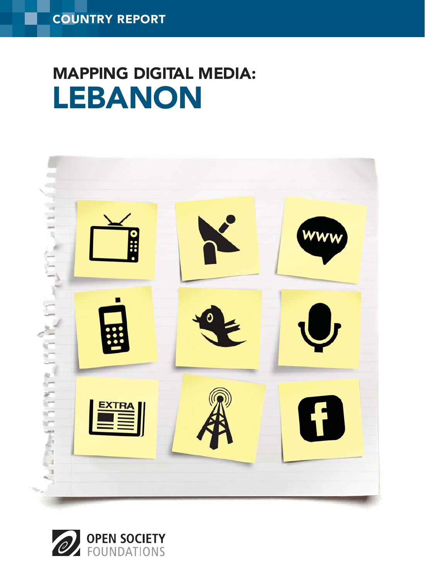## LEBANON MAPPING DIGITAL MEDIA:



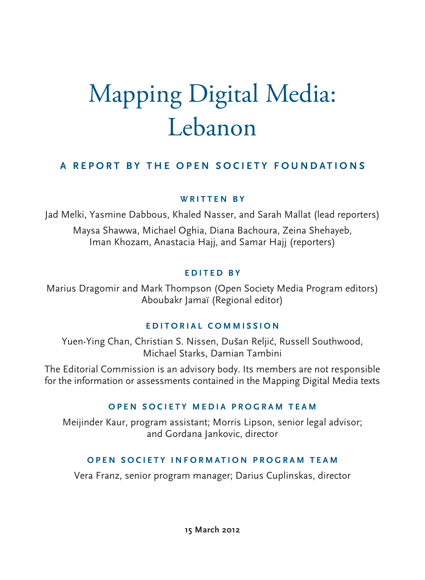# Mapping Digital Media: Lebanon

## **A REPORT BY THE OPEN SOCIETY FOUNDATIONS**

## **WRITTEN BY**

Jad Melki, Yasmine Dabbous, Khaled Nasser, and Sarah Mallat (lead reporters) Maysa Shawwa, Michael Oghia, Diana Bachoura, Zeina Shehayeb, Iman Khozam, Anastacia Hajj, and Samar Hajj (reporters)

## **EDITED BY**

Marius Dragomir and Mark Thompson (Open Society Media Program editors) Aboubakr Jamaï (Regional editor)

## **EDITORIAL COMMISSION**

Yuen-Ying Chan, Christian S. Nissen, Dušan Reljić, Russell Southwood, Michael Starks, Damian Tambini

The Editorial Commission is an advisory body. Its members are not responsible for the information or assessments contained in the Mapping Digital Media texts

## **OPEN SOCIETY MEDIA PROGRAM TEAM**

Meijinder Kaur, program assistant; Morris Lipson, senior legal advisor; and Gordana Jankovic, director

## **OPEN SOCIETY INFORMATION PROGRAM TEAM**

Vera Franz, senior program manager; Darius Cuplinskas, director

**15 March 2012**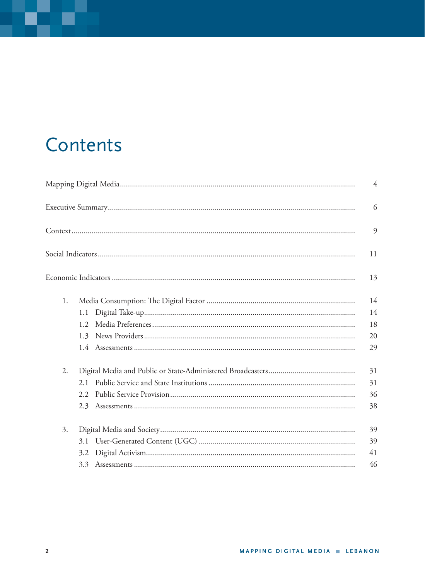## Contents

|    |                  | $\overline{4}$ |
|----|------------------|----------------|
|    |                  | 6              |
|    |                  | 9              |
|    |                  | 11             |
|    |                  | 13             |
| 1. |                  | 14             |
|    | 1.1              | 14             |
|    | 1.2 <sub>1</sub> | 18             |
|    | 1.3              | 20             |
|    |                  | 29             |
| 2. |                  | 31             |
|    | 2.1              | 31             |
|    | 2.2              | 36             |
|    | 2.3              | 38             |
| 3. |                  | 39             |
|    | 3.1              | 39             |
|    | 3.2              | 41             |
|    |                  | 46             |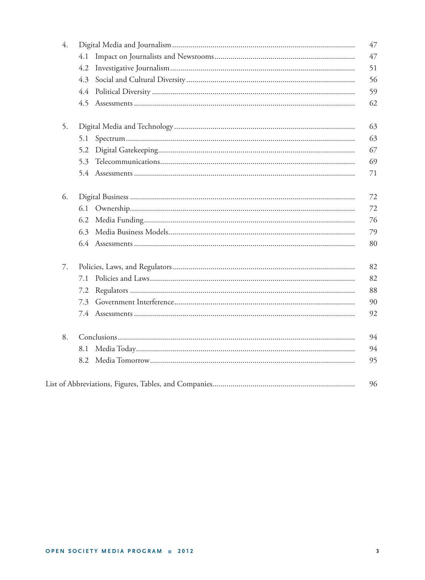| 4. |     | 47 |
|----|-----|----|
|    | 4.1 | 47 |
|    | 4.2 | 51 |
|    | 4.3 | 56 |
|    | 4.4 | 59 |
|    |     | 62 |
| 5. |     | 63 |
|    | 5.1 | 63 |
|    | 5.2 | 67 |
|    | 5.3 | 69 |
|    |     | 71 |
| 6. |     | 72 |
|    |     | 72 |
|    | 6.2 | 76 |
|    | 6.3 | 79 |
|    |     | 80 |
| 7. |     | 82 |
|    | 7.1 | 82 |
|    | 7.2 | 88 |
|    |     | 90 |
|    |     | 92 |
| 8. |     | 94 |
|    | 8.1 | 94 |
|    | 8.2 | 95 |
|    |     | 96 |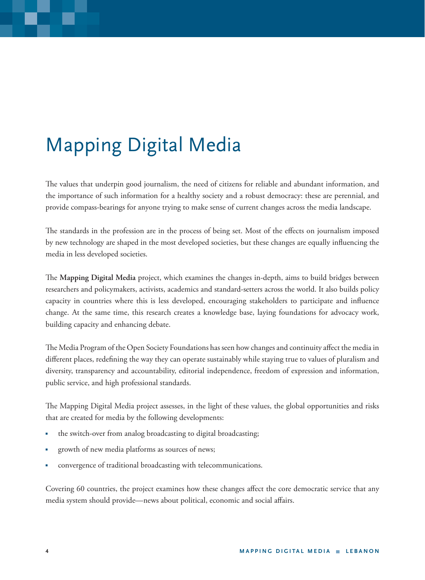## Mapping Digital Media

The values that underpin good journalism, the need of citizens for reliable and abundant information, and the importance of such information for a healthy society and a robust democracy: these are perennial, and provide compass-bearings for anyone trying to make sense of current changes across the media landscape.

The standards in the profession are in the process of being set. Most of the effects on journalism imposed by new technology are shaped in the most developed societies, but these changes are equally influencing the media in less developed societies.

The Mapping Digital Media project, which examines the changes in-depth, aims to build bridges between researchers and policymakers, activists, academics and standard-setters across the world. It also builds policy capacity in countries where this is less developed, encouraging stakeholders to participate and influence change. At the same time, this research creates a knowledge base, laying foundations for advocacy work, building capacity and enhancing debate.

The Media Program of the Open Society Foundations has seen how changes and continuity affect the media in different places, redefining the way they can operate sustainably while staying true to values of pluralism and diversity, transparency and accountability, editorial independence, freedom of expression and information, public service, and high professional standards.

The Mapping Digital Media project assesses, in the light of these values, the global opportunities and risks that are created for media by the following developments:

- the switch-over from analog broadcasting to digital broadcasting;
- growth of new media platforms as sources of news;
- convergence of traditional broadcasting with telecommunications.

Covering 60 countries, the project examines how these changes affect the core democratic service that any media system should provide—news about political, economic and social affairs.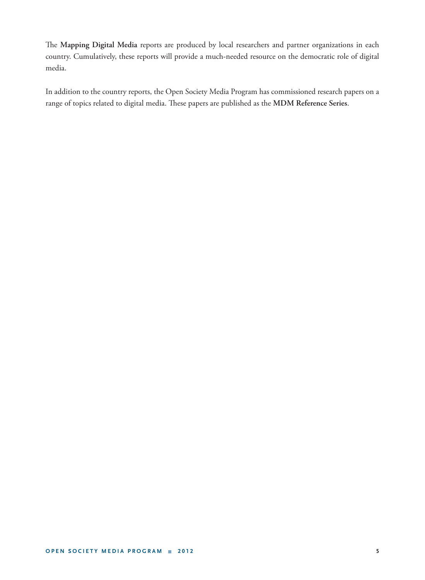The Mapping Digital Media reports are produced by local researchers and partner organizations in each country. Cumulatively, these reports will provide a much-needed resource on the democratic role of digital media.

In addition to the country reports, the Open Society Media Program has commissioned research papers on a range of topics related to digital media. These papers are published as the MDM Reference Series.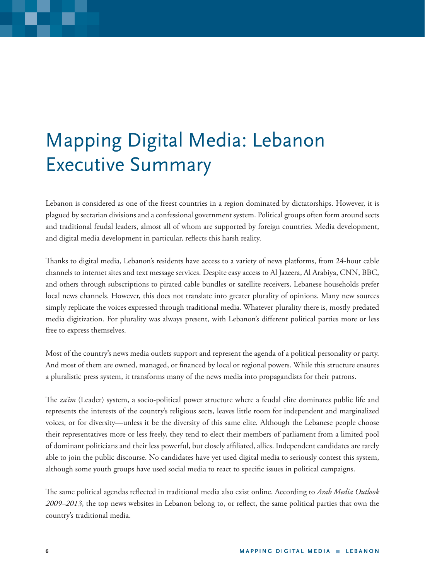## Mapping Digital Media: Lebanon Executive Summary

Lebanon is considered as one of the freest countries in a region dominated by dictatorships. However, it is plagued by sectarian divisions and a confessional government system. Political groups often form around sects and traditional feudal leaders, almost all of whom are supported by foreign countries. Media development, and digital media development in particular, reflects this harsh reality.

Thanks to digital media, Lebanon's residents have access to a variety of news platforms, from 24-hour cable channels to internet sites and text message services. Despite easy access to Al Jazeera, Al Arabiya, CNN, BBC, and others through subscriptions to pirated cable bundles or satellite receivers, Lebanese households prefer local news channels. However, this does not translate into greater plurality of opinions. Many new sources simply replicate the voices expressed through traditional media. Whatever plurality there is, mostly predated media digitization. For plurality was always present, with Lebanon's different political parties more or less free to express themselves.

Most of the country's news media outlets support and represent the agenda of a political personality or party. And most of them are owned, managed, or financed by local or regional powers. While this structure ensures a pluralistic press system, it transforms many of the news media into propagandists for their patrons.

The *za'im* (Leader) system, a socio-political power structure where a feudal elite dominates public life and represents the interests of the country's religious sects, leaves little room for independent and marginalized voices, or for diversity—unless it be the diversity of this same elite. Although the Lebanese people choose their representatives more or less freely, they tend to elect their members of parliament from a limited pool of dominant politicians and their less powerful, but closely affiliated, allies. Independent candidates are rarely able to join the public discourse. No candidates have yet used digital media to seriously contest this system, although some youth groups have used social media to react to specific issues in political campaigns.

The same political agendas reflected in traditional media also exist online. According to *Arab Media Outlook 2009–2013*, the top news websites in Lebanon belong to, or reflect, the same political parties that own the country's traditional media.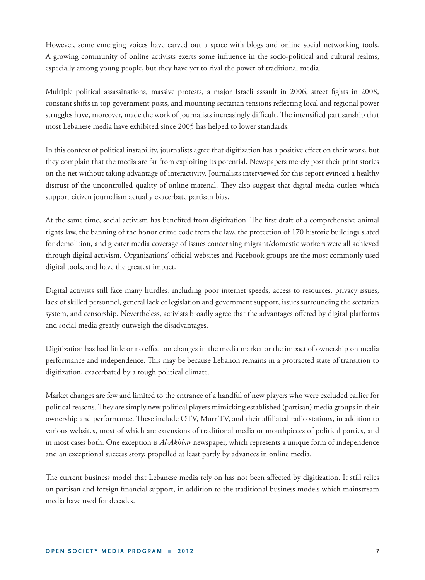However, some emerging voices have carved out a space with blogs and online social networking tools. A growing community of online activists exerts some influence in the socio-political and cultural realms, especially among young people, but they have yet to rival the power of traditional media.

Multiple political assassinations, massive protests, a major Israeli assault in 2006, street fights in 2008, constant shifts in top government posts, and mounting sectarian tensions reflecting local and regional power struggles have, moreover, made the work of journalists increasingly difficult. The intensified partisanship that most Lebanese media have exhibited since 2005 has helped to lower standards.

In this context of political instability, journalists agree that digitization has a positive effect on their work, but they complain that the media are far from exploiting its potential. Newspapers merely post their print stories on the net without taking advantage of interactivity. Journalists interviewed for this report evinced a healthy distrust of the uncontrolled quality of online material. They also suggest that digital media outlets which support citizen journalism actually exacerbate partisan bias.

At the same time, social activism has benefited from digitization. The first draft of a comprehensive animal rights law, the banning of the honor crime code from the law, the protection of 170 historic buildings slated for demolition, and greater media coverage of issues concerning migrant/domestic workers were all achieved through digital activism. Organizations' official websites and Facebook groups are the most commonly used digital tools, and have the greatest impact.

Digital activists still face many hurdles, including poor internet speeds, access to resources, privacy issues, lack of skilled personnel, general lack of legislation and government support, issues surrounding the sectarian system, and censorship. Nevertheless, activists broadly agree that the advantages offered by digital platforms and social media greatly outweigh the disadvantages.

Digitization has had little or no effect on changes in the media market or the impact of ownership on media performance and independence. This may be because Lebanon remains in a protracted state of transition to digitization, exacerbated by a rough political climate.

Market changes are few and limited to the entrance of a handful of new players who were excluded earlier for political reasons. They are simply new political players mimicking established (partisan) media groups in their ownership and performance. These include OTV, Murr TV, and their affiliated radio stations, in addition to various websites, most of which are extensions of traditional media or mouthpieces of political parties, and in most cases both. One exception is *Al-Akhbar* newspaper, which represents a unique form of independence and an exceptional success story, propelled at least partly by advances in online media.

The current business model that Lebanese media rely on has not been affected by digitization. It still relies on partisan and foreign financial support, in addition to the traditional business models which mainstream media have used for decades.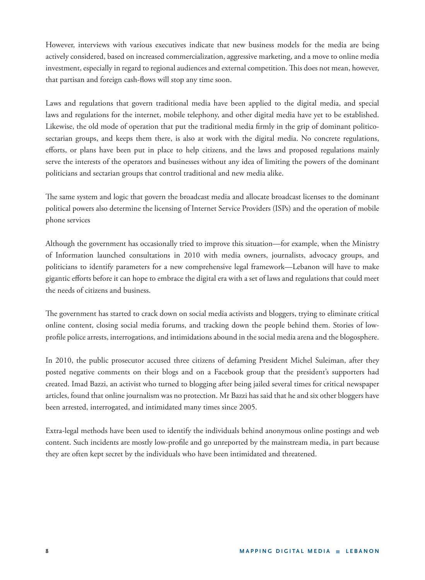However, interviews with various executives indicate that new business models for the media are being actively considered, based on increased commercialization, aggressive marketing, and a move to online media investment, especially in regard to regional audiences and external competition. This does not mean, however, that partisan and foreign cash-flows will stop any time soon.

Laws and regulations that govern traditional media have been applied to the digital media, and special laws and regulations for the internet, mobile telephony, and other digital media have yet to be established. Likewise, the old mode of operation that put the traditional media firmly in the grip of dominant politicosectarian groups, and keeps them there, is also at work with the digital media. No concrete regulations, efforts, or plans have been put in place to help citizens, and the laws and proposed regulations mainly serve the interests of the operators and businesses without any idea of limiting the powers of the dominant politicians and sectarian groups that control traditional and new media alike.

The same system and logic that govern the broadcast media and allocate broadcast licenses to the dominant political powers also determine the licensing of Internet Service Providers (ISPs) and the operation of mobile phone services

Although the government has occasionally tried to improve this situation—for example, when the Ministry of Information launched consultations in 2010 with media owners, journalists, advocacy groups, and politicians to identify parameters for a new comprehensive legal framework—Lebanon will have to make gigantic efforts before it can hope to embrace the digital era with a set of laws and regulations that could meet the needs of citizens and business.

The government has started to crack down on social media activists and bloggers, trying to eliminate critical online content, closing social media forums, and tracking down the people behind them. Stories of lowprofile police arrests, interrogations, and intimidations abound in the social media arena and the blogosphere.

In 2010, the public prosecutor accused three citizens of defaming President Michel Suleiman, after they posted negative comments on their blogs and on a Facebook group that the president's supporters had created. Imad Bazzi, an activist who turned to blogging after being jailed several times for critical newspaper articles, found that online journalism was no protection. Mr Bazzi has said that he and six other bloggers have been arrested, interrogated, and intimidated many times since 2005.

Extra-legal methods have been used to identify the individuals behind anonymous online postings and web content. Such incidents are mostly low-profile and go unreported by the mainstream media, in part because they are often kept secret by the individuals who have been intimidated and threatened.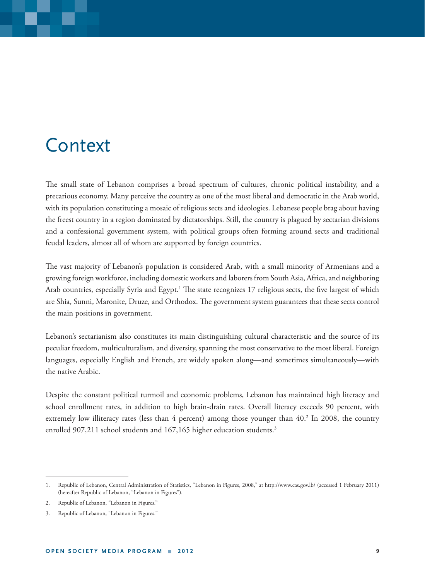## Context

The small state of Lebanon comprises a broad spectrum of cultures, chronic political instability, and a precarious economy. Many perceive the country as one of the most liberal and democratic in the Arab world, with its population constituting a mosaic of religious sects and ideologies. Lebanese people brag about having the freest country in a region dominated by dictatorships. Still, the country is plagued by sectarian divisions and a confessional government system, with political groups often forming around sects and traditional feudal leaders, almost all of whom are supported by foreign countries.

The vast majority of Lebanon's population is considered Arab, with a small minority of Armenians and a growing foreign workforce, including domestic workers and laborers from South Asia, Africa, and neighboring Arab countries, especially Syria and Egypt.<sup>1</sup> The state recognizes 17 religious sects, the five largest of which are Shia, Sunni, Maronite, Druze, and Orthodox. The government system guarantees that these sects control the main positions in government.

Lebanon's sectarianism also constitutes its main distinguishing cultural characteristic and the source of its peculiar freedom, multiculturalism, and diversity, spanning the most conservative to the most liberal. Foreign languages, especially English and French, are widely spoken along—and sometimes simultaneously—with the native Arabic.

Despite the constant political turmoil and economic problems, Lebanon has maintained high literacy and school enrollment rates, in addition to high brain-drain rates. Overall literacy exceeds 90 percent, with extremely low illiteracy rates (less than 4 percent) among those younger than 40.<sup>2</sup> In 2008, the country enrolled 907,211 school students and 167,165 higher education students.<sup>3</sup>

<sup>1.</sup> Republic of Lebanon, Central Administration of Statistics, "Lebanon in Figures, 2008," at http://www.cas.gov.lb/ (accessed 1 February 2011) (hereafter Republic of Lebanon, "Lebanon in Figures").

<sup>2.</sup> Republic of Lebanon, "Lebanon in Figures."

<sup>3.</sup> Republic of Lebanon, "Lebanon in Figures."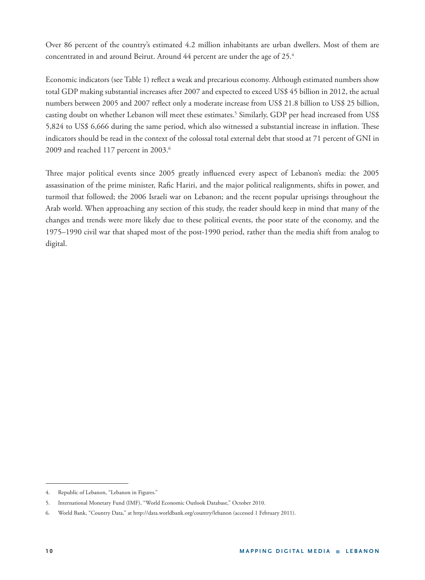Over 86 percent of the country's estimated 4.2 million inhabitants are urban dwellers. Most of them are concentrated in and around Beirut. Around 44 percent are under the age of 25.4

Economic indicators (see Table 1) reflect a weak and precarious economy. Although estimated numbers show total GDP making substantial increases after 2007 and expected to exceed US\$ 45 billion in 2012, the actual numbers between 2005 and 2007 reflect only a moderate increase from US\$ 21.8 billion to US\$ 25 billion, casting doubt on whether Lebanon will meet these estimates.<sup>5</sup> Similarly, GDP per head increased from US\$ 5,824 to US\$ 6,666 during the same period, which also witnessed a substantial increase in inflation. These indicators should be read in the context of the colossal total external debt that stood at 71 percent of GNI in 2009 and reached 117 percent in 2003.<sup>6</sup>

Three major political events since 2005 greatly influenced every aspect of Lebanon's media: the 2005 assassination of the prime minister, Rafic Hariri, and the major political realignments, shifts in power, and turmoil that followed; the 2006 Israeli war on Lebanon; and the recent popular uprisings throughout the Arab world. When approaching any section of this study, the reader should keep in mind that many of the changes and trends were more likely due to these political events, the poor state of the economy, and the 1975–1990 civil war that shaped most of the post-1990 period, rather than the media shift from analog to digital.

<sup>4.</sup> Republic of Lebanon, "Lebanon in Figures."

<sup>5.</sup> International Monetary Fund (IMF), "World Economic Outlook Database," October 2010.

<sup>6.</sup> World Bank, "Country Data," at http://data.worldbank.org/country/lebanon (accessed 1 February 2011).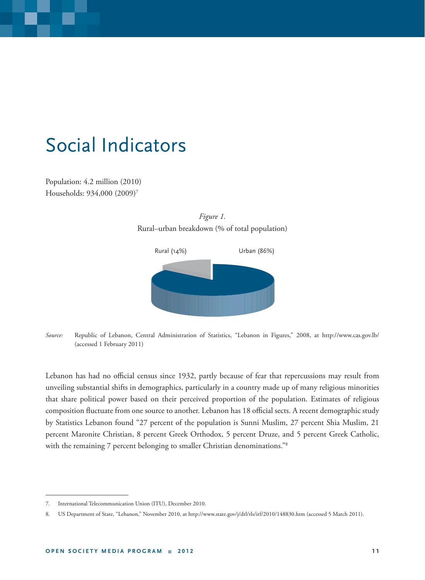## Social Indicators

Population: 4.2 million (2010) Households: 934,000 (2009)7



*Figure 1.*  Rural–urban breakdown (% of total population)

*Source:* Republic of Lebanon, Central Administration of Statistics, "Lebanon in Figures," 2008, at http://www.cas.gov.lb/ (accessed 1 February 2011)

Lebanon has had no official census since 1932, partly because of fear that repercussions may result from unveiling substantial shifts in demographics, particularly in a country made up of many religious minorities that share political power based on their perceived proportion of the population. Estimates of religious composition fluctuate from one source to another. Lebanon has 18 official sects. A recent demographic study by Statistics Lebanon found "27 percent of the population is Sunni Muslim, 27 percent Shia Muslim, 21 percent Maronite Christian, 8 percent Greek Orthodox, 5 percent Druze, and 5 percent Greek Catholic, with the remaining 7 percent belonging to smaller Christian denominations."<sup>8</sup>

<sup>7.</sup> International Telecommunication Union (ITU), December 2010.

<sup>8.</sup> US Department of State, "Lebanon," November 2010, at http://www.state.gov/j/drl/rls/irf/2010/148830.htm (accessed 5 March 2011).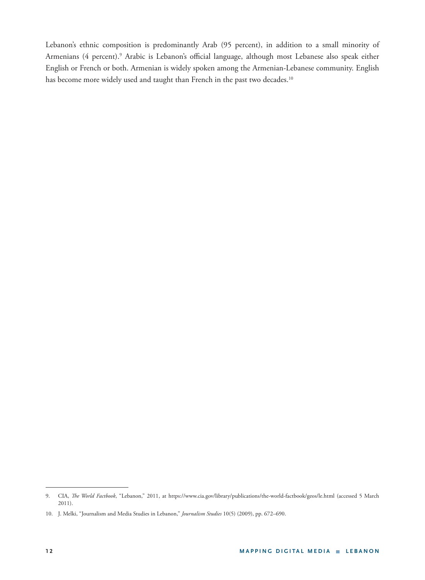Lebanon's ethnic composition is predominantly Arab (95 percent), in addition to a small minority of Armenians (4 percent).<sup>9</sup> Arabic is Lebanon's official language, although most Lebanese also speak either English or French or both. Armenian is widely spoken among the Armenian-Lebanese community. English has become more widely used and taught than French in the past two decades.<sup>10</sup>

<sup>9.</sup> CIA, *The World Factbook*, "Lebanon," 2011, at https://www.cia.gov/library/publications/the-world-factbook/geos/le.html (accessed 5 March 2011).

<sup>10.</sup> J. Melki, "Journalism and Media Studies in Lebanon," *Journalism Studies* 10(5) (2009), pp. 672–690.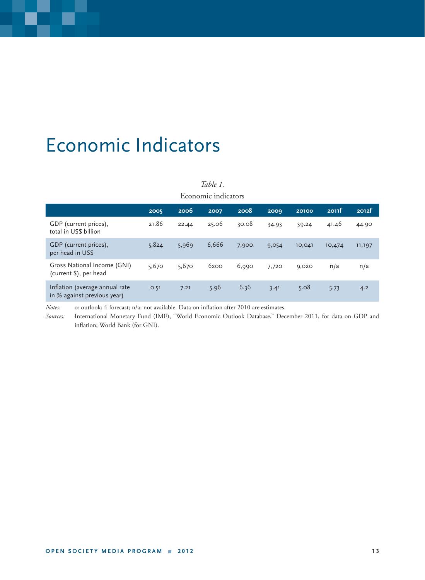## Economic Indicators

#### *Table 1.*

Economic indicators

|                                                               | 2005  | 2006  | 2007  | 2008  | 2009  | 20100  | 2011f  | 2012f  |
|---------------------------------------------------------------|-------|-------|-------|-------|-------|--------|--------|--------|
| GDP (current prices),<br>total in US\$ billion                | 21.86 | 22.44 | 25.06 | 30.08 | 34.93 | 39.24  | 41.46  | 44.90  |
| GDP (current prices),<br>per head in US\$                     | 5,824 | 5,969 | 6,666 | 7,900 | 9,054 | 10,041 | 10,474 | 11,197 |
| Gross National Income (GNI)<br>(current \$), per head         | 5,670 | 5,670 | 6200  | 6,990 | 7,720 | 9,020  | n/a    | n/a    |
| Inflation (average annual rate<br>in % against previous year) | 0.51  | 7.21  | 5.96  | 6.36  | 3.41  | 5.08   | 5.73   | 4.2    |

*Notes:* o: outlook; f: forecast; n/a: not available. Data on inflation after 2010 are estimates.

*Sources:* International Monetary Fund (IMF), "World Economic Outlook Database," December 2011, for data on GDP and inflation; World Bank (for GNI).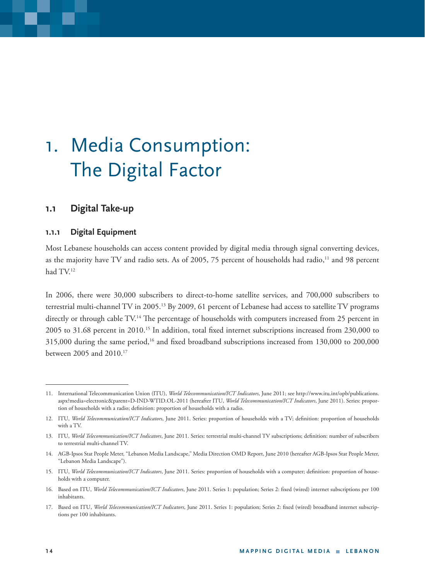## 1. Media Consumption: The Digital Factor

## **1.1 Digital Take-up**

### **1.1.1 Digital Equipment**

Most Lebanese households can access content provided by digital media through signal converting devices, as the majority have TV and radio sets. As of 2005, 75 percent of households had radio,<sup>11</sup> and 98 percent had TV.12

In 2006, there were 30,000 subscribers to direct-to-home satellite services, and 700,000 subscribers to terrestrial multi-channel TV in 2005.<sup>13</sup> By 2009, 61 percent of Lebanese had access to satellite TV programs directly or through cable TV.<sup>14</sup> The percentage of households with computers increased from 25 percent in 2005 to 31.68 percent in 2010.<sup>15</sup> In addition, total fixed internet subscriptions increased from 230,000 to  $315,000$  during the same period,<sup>16</sup> and fixed broadband subscriptions increased from  $130,000$  to  $200,000$ between 2005 and 2010.17

<sup>11.</sup> International Telecommunication Union (ITU), *World Telecommunication/ICT Indicators*, June 2011; see http://www.itu.int/opb/publications. aspx?media=electronic&parent=D-IND-WTID.OL-2011 (hereafter ITU, *World Telecommunication/ICT Indicators*, June 2011). Series: proportion of households with a radio; definition: proportion of households with a radio.

<sup>12.</sup> ITU, World Telecommunication/ICT Indicators, June 2011. Series: proportion of households with a TV; definition: proportion of households with a TV.

<sup>13.</sup> ITU, World Telecommunication/ICT Indicators, June 2011. Series: terrestrial multi-channel TV subscriptions; definition: number of subscribers to terrestrial multi-channel TV.

<sup>14.</sup> AGB-Ipsos Stat People Meter, "Lebanon Media Landscape," Media Direction OMD Report, June 2010 (hereafter AGB-Ipsos Stat People Meter, "Lebanon Media Landscape").

<sup>15.</sup> ITU, World Telecommunication/ICT Indicators, June 2011. Series: proportion of households with a computer; definition: proportion of households with a computer.

<sup>16.</sup> Based on ITU, World Telecommunication/ICT Indicators, June 2011. Series 1: population; Series 2: fixed (wired) internet subscriptions per 100 inhabitants.

<sup>17.</sup> Based on ITU, World Telecommunication/ICT Indicators, June 2011. Series 1: population; Series 2: fixed (wired) broadband internet subscriptions per 100 inhabitants.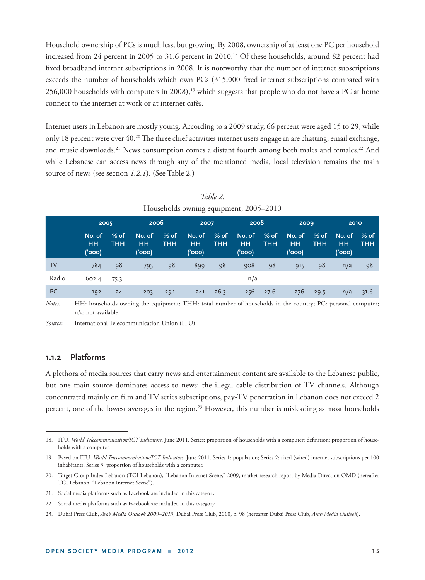Household ownership of PCs is much less, but growing. By 2008, ownership of at least one PC per household increased from 24 percent in 2005 to 31.6 percent in 2010.<sup>18</sup> Of these households, around 82 percent had fixed broadband internet subscriptions in 2008. It is noteworthy that the number of internet subscriptions exceeds the number of households which own PCs (315,000 fixed internet subscriptions compared with 256,000 households with computers in 2008),<sup>19</sup> which suggests that people who do not have a PC at home connect to the internet at work or at internet cafés.

Internet users in Lebanon are mostly young. According to a 2009 study, 66 percent were aged 15 to 29, while only 18 percent were over  $40.^{20}$  The three chief activities internet users engage in are chatting, email exchange, and music downloads.<sup>21</sup> News consumption comes a distant fourth among both males and females.<sup>22</sup> And while Lebanese can access news through any of the mentioned media, local television remains the main source of news (see section *1.2.1*). (See Table 2.)

| Households owning equipment, 2003–2010 |                               |                      |                               |                      |                               |                    |                               |                    |                               |                      |                               |                |
|----------------------------------------|-------------------------------|----------------------|-------------------------------|----------------------|-------------------------------|--------------------|-------------------------------|--------------------|-------------------------------|----------------------|-------------------------------|----------------|
|                                        | 2005                          |                      | 2006                          |                      | 2007                          |                    | 2008                          |                    | 2009                          |                      | 2010                          |                |
|                                        | No. of<br><b>HH</b><br>('000) | $%$ of<br><b>THH</b> | No. of<br><b>HH</b><br>('000) | $%$ of<br><b>THH</b> | No. of<br><b>HH</b><br>('000) | % of<br><b>THH</b> | No. of<br><b>HH</b><br>('000) | % of<br><b>THH</b> | No. of<br><b>HH</b><br>('000) | $%$ of<br><b>THH</b> | No. of<br><b>HH</b><br>('000) | $%$ of<br>THH. |
| TV                                     | 784                           | 98                   | 793                           | 98                   | 899                           | 98                 | 908                           | -98                | 915                           | 98                   | n/a                           | 98             |
| Radio                                  | 602.4                         | 75.3                 |                               |                      |                               |                    | n/a                           |                    |                               |                      |                               |                |
| <b>PC</b>                              | 192                           | 24                   | 203                           | 25.1                 | 241                           | 26.3               | 256                           | 27.6               | 276                           | 29.5                 | n/a                           | 31.6           |

*Table 2.* Households owning equipment, 2005–2010

*Notes:* HH: households owning the equipment; THH: total number of households in the country; PC: personal computer; n/a: not available.

#### **1.1.2 Platforms**

A plethora of media sources that carry news and entertainment content are available to the Lebanese public, but one main source dominates access to news: the illegal cable distribution of TV channels. Although concentrated mainly on film and TV series subscriptions, pay-TV penetration in Lebanon does not exceed 2 percent, one of the lowest averages in the region.<sup>23</sup> However, this number is misleading as most households

*Source*: International Telecommunication Union (ITU).

<sup>18.</sup> ITU, World Telecommunication/ICT Indicators, June 2011. Series: proportion of households with a computer; definition: proportion of households with a computer.

<sup>19.</sup> Based on ITU, World Telecommunication/ICT Indicators, June 2011. Series 1: population; Series 2: fixed (wired) internet subscriptions per 100 inhabitants; Series 3: proportion of households with a computer.

<sup>20.</sup> Target Group Index Lebanon (TGI Lebanon), "Lebanon Internet Scene," 2009, market research report by Media Direction OMD (hereafter TGI Lebanon, "Lebanon Internet Scene").

<sup>21.</sup> Social media platforms such as Facebook are included in this category.

<sup>22.</sup> Social media platforms such as Facebook are included in this category.

<sup>23.</sup> Dubai Press Club, *Arab Media Outlook 2009–2013*, Dubai Press Club, 2010, p. 98 (hereafter Dubai Press Club, *Arab Media Outlook*).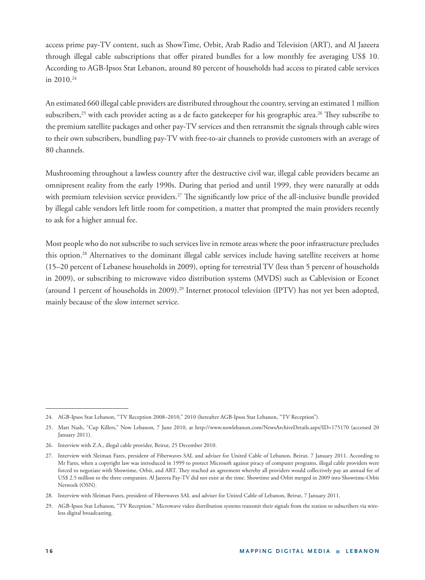access prime pay-TV content, such as ShowTime, Orbit, Arab Radio and Television (ART), and Al Jazeera through illegal cable subscriptions that offer pirated bundles for a low monthly fee averaging US\$ 10. According to AGB-Ipsos Stat Lebanon, around 80 percent of households had access to pirated cable services in  $2010^{24}$ 

An estimated 660 illegal cable providers are distributed throughout the country, serving an estimated 1 million subscribers,<sup>25</sup> with each provider acting as a de facto gatekeeper for his geographic area.<sup>26</sup> They subscribe to the premium satellite packages and other pay-TV services and then retransmit the signals through cable wires to their own subscribers, bundling pay-TV with free-to-air channels to provide customers with an average of 80 channels.

Mushrooming throughout a lawless country after the destructive civil war, illegal cable providers became an omnipresent reality from the early 1990s. During that period and until 1999, they were naturally at odds with premium television service providers.<sup>27</sup> The significantly low price of the all-inclusive bundle provided by illegal cable vendors left little room for competition, a matter that prompted the main providers recently to ask for a higher annual fee.

Most people who do not subscribe to such services live in remote areas where the poor infrastructure precludes this option.28 Alternatives to the dominant illegal cable services include having satellite receivers at home (15–20 percent of Lebanese households in 2009), opting for terrestrial TV (less than 5 percent of households in 2009), or subscribing to microwave video distribution systems (MVDS) such as Cablevision or Econet (around 1 percent of households in 2009).29 Internet protocol television (IPTV) has not yet been adopted, mainly because of the slow internet service.

<sup>24.</sup> AGB-Ipsos Stat Lebanon, "TV Reception 2008–2010," 2010 (hereafter AGB-Ipsos Stat Lebanon, "TV Reception").

<sup>25.</sup> Matt Nash, "Cup Killers," Now Lebanon, 7 June 2010, at http://www.nowlebanon.com/NewsArchiveDetails.aspx?ID=175170 (accessed 20 January 2011).

<sup>26.</sup> Interview with Z.A., illegal cable provider, Beirut, 25 December 2010.

<sup>27.</sup> Interview with Sleiman Fares, president of Fiberwaves SAL and adviser for United Cable of Lebanon, Beirut, 7 January 2011. According to Mr Fares, when a copyright law was introduced in 1999 to protect Microsoft against piracy of computer programs, illegal cable providers were forced to negotiate with Showtime, Orbit, and ART. They reached an agreement whereby all providers would collectively pay an annual fee of US\$ 2.5 million to the three companies. Al Jazeera Pay-TV did not exist at the time. Showtime and Orbit merged in 2009 into Showtime-Orbit Network (OSN).

<sup>28.</sup> Interview with Sleiman Fares, president of Fiberwaves SAL and adviser for United Cable of Lebanon, Beirut, 7 January 2011.

<sup>29.</sup> AGB-Ipsos Stat Lebanon, "TV Reception." Microwave video distribution systems transmit their signals from the station to subscribers via wireless digital broadcasting.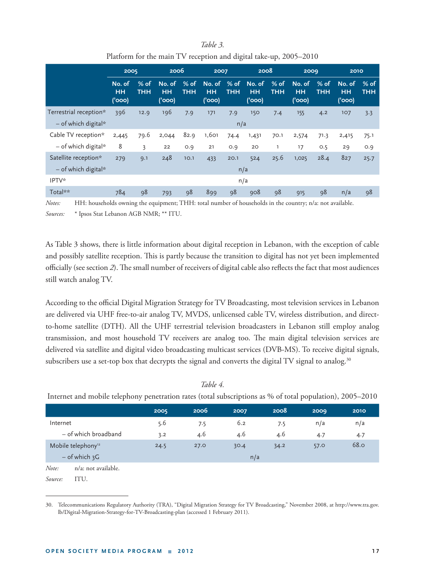#### **2005 2006 2007 2008 2009 2010 No. of HH ('000) % of THH No. of HH ('000) % of THH No. of HH ('000) % of THH No. of HH ('000) % of THH No. of HH ('000) % of THH No. of HH ('000) % of THH** Terrestrial reception\* 396 12.9 196 7.9 171 7.9 150 7.4 155 4.2 107 3.3  $-$  of which digital $*$  n/aastas and  $\mathbf{a}$  n/aastas and  $\mathbf{a}$ Cable TV reception\* 2,445 79.6 2,044 82.9 1,601 74.4 1,431 70.1 2,574 71.3 2,415 75.1 – of which digital\* 8 3 22 0.9 21 0.9 20 1 17 0.5 29 0.9 Satellite reception\* 279 9.1 248 10.1 433 20.1 524 25.6 1,025 28.4 827 25.7 – of which digital\* n/a  $I$ PTV\* n/a Total\*\* 784 98 793 98 899 98 908 98 915 98 n/a 98

| Table 3.                                                          |  |
|-------------------------------------------------------------------|--|
| Platform for the main TV reception and digital take-up, 2005–2010 |  |

*Notes:* HH: households owning the equipment; THH: total number of households in the country; n/a: not available.

*Sources:* \* Ipsos Stat Lebanon AGB NMR; \*\* ITU.

As Table 3 shows, there is little information about digital reception in Lebanon, with the exception of cable and possibly satellite reception. This is partly because the transition to digital has not yet been implemented officially (see section 2). The small number of receivers of digital cable also reflects the fact that most audiences still watch analog TV.

According to the official Digital Migration Strategy for TV Broadcasting, most television services in Lebanon are delivered via UHF free-to-air analog TV, MVDS, unlicensed cable TV, wireless distribution, and directto-home satellite (DTH). All the UHF terrestrial television broadcasters in Lebanon still employ analog transmission, and most household TV receivers are analog too. The main digital television services are delivered via satellite and digital video broadcasting multicast services (DVB-MS). To receive digital signals, subscribers use a set-top box that decrypts the signal and converts the digital TV signal to analog.<sup>30</sup>

|                                |                      | 2005 | 2006 | 2007 | 2008 | 2009 | 2010        |
|--------------------------------|----------------------|------|------|------|------|------|-------------|
| Internet                       |                      | 5.6  | 7.5  | 6.2  | 7.5  | n/a  | n/a         |
|                                | - of which broadband | 3.2  | 4.6  | 4.6  | 4.6  | 4.7  | 4.7         |
| Mobile telephony <sup>12</sup> |                      | 24.5 | 27.0 | 30.4 | 34.2 | 57.0 | <b>68.0</b> |
| $-$ of which $3G$              |                      |      |      | n/a  |      |      |             |
| Note:                          | n/a: not available.  |      |      |      |      |      |             |
| Source:                        | ITU.                 |      |      |      |      |      |             |

*Table 4.* 

Internet and mobile telephony penetration rates (total subscriptions as % of total population), 2005–2010

<sup>30.</sup> Telecommunications Regulatory Authority (TRA), "Digital Migration Strategy for TV Broadcasting," November 2008, at http://www.tra.gov. lb/Digital-Migration-Strategy-for-TV-Broadcasting-plan (accessed 1 February 2011).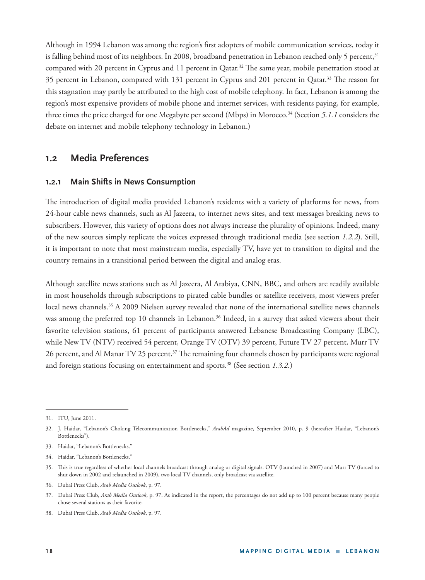Although in 1994 Lebanon was among the region's first adopters of mobile communication services, today it is falling behind most of its neighbors. In 2008, broadband penetration in Lebanon reached only 5 percent,<sup>31</sup> compared with 20 percent in Cyprus and 11 percent in Qatar.<sup>32</sup> The same year, mobile penetration stood at 35 percent in Lebanon, compared with 131 percent in Cyprus and 201 percent in Qatar.<sup>33</sup> The reason for this stagnation may partly be attributed to the high cost of mobile telephony. In fact, Lebanon is among the region's most expensive providers of mobile phone and internet services, with residents paying, for example, three times the price charged for one Megabyte per second (Mbps) in Morocco.<sup>34</sup> (Section 5.1.1 considers the debate on internet and mobile telephony technology in Lebanon.)

### **1 .2 Media Preferences**

#### **1.2.1 Main Shifts in News Consumption**

The introduction of digital media provided Lebanon's residents with a variety of platforms for news, from 24-hour cable news channels, such as Al Jazeera, to internet news sites, and text messages breaking news to subscribers. However, this variety of options does not always increase the plurality of opinions. Indeed, many of the new sources simply replicate the voices expressed through traditional media (see section *1.2.2*). Still, it is important to note that most mainstream media, especially TV, have yet to transition to digital and the country remains in a transitional period between the digital and analog eras.

Although satellite news stations such as Al Jazeera, Al Arabiya, CNN, BBC, and others are readily available in most households through subscriptions to pirated cable bundles or satellite receivers, most viewers prefer local news channels.<sup>35</sup> A 2009 Nielsen survey revealed that none of the international satellite news channels was among the preferred top 10 channels in Lebanon.<sup>36</sup> Indeed, in a survey that asked viewers about their favorite television stations, 61 percent of participants answered Lebanese Broadcasting Company (LBC), while New TV (NTV) received 54 percent, Orange TV (OTV) 39 percent, Future TV 27 percent, Murr TV 26 percent, and Al Manar TV 25 percent.<sup>37</sup> The remaining four channels chosen by participants were regional and foreign stations focusing on entertainment and sports.38 (See section *1.3.2.*)

<sup>31.</sup> ITU, June 2011.

<sup>32.</sup> J. Haidar, "Lebanon's Choking Telecommunication Bottlenecks," *ArabAd* magazine, September 2010, p. 9 (hereafter Haidar, "Lebanon's Bottlenecks").

<sup>33.</sup> Haidar, "Lebanon's Bottlenecks."

<sup>34.</sup> Haidar, "Lebanon's Bottlenecks."

<sup>35.</sup> This is true regardless of whether local channels broadcast through analog or digital signals. OTV (launched in 2007) and Murr TV (forced to shut down in 2002 and relaunched in 2009), two local TV channels, only broadcast via satellite.

<sup>36.</sup> Dubai Press Club, *Arab Media Outlook*, p. 97.

<sup>37.</sup> Dubai Press Club, *Arab Media Outlook*, p. 97. As indicated in the report, the percentages do not add up to 100 percent because many people chose several stations as their favorite.

<sup>38.</sup> Dubai Press Club, *Arab Media Outlook*, p. 97.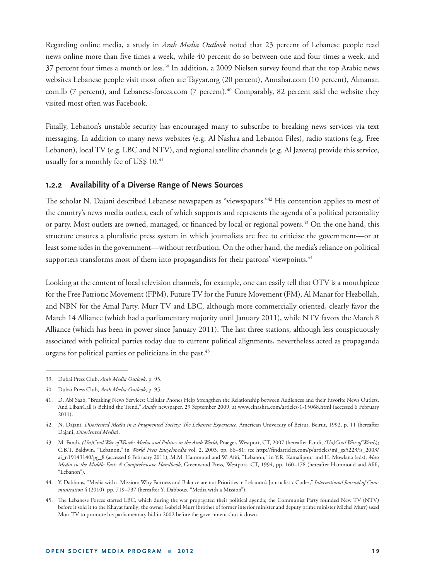Regarding online media, a study in *Arab Media Outlook* noted that 23 percent of Lebanese people read news online more than five times a week, while 40 percent do so between one and four times a week, and 37 percent four times a month or less.39 In addition, a 2009 Nielsen survey found that the top Arabic news websites Lebanese people visit most often are Tayyar.org (20 percent), Annahar.com (10 percent), Almanar. com.lb (7 percent), and Lebanese-forces.com (7 percent).<sup>40</sup> Comparably, 82 percent said the website they visited most often was Facebook.

Finally, Lebanon's unstable security has encouraged many to subscribe to breaking news services via text messaging. In addition to many news websites (e.g. Al Nashra and Lebanon Files), radio stations (e.g. Free Lebanon), local TV (e.g. LBC and NTV), and regional satellite channels (e.g. Al Jazeera) provide this service, usually for a monthly fee of US\$ 10.<sup>41</sup>

### **1.2.2 Availability of a Diverse Range of News Sources**

The scholar N. Dajani described Lebanese newspapers as "viewspapers."<sup>42</sup> His contention applies to most of the country's news media outlets, each of which supports and represents the agenda of a political personality or party. Most outlets are owned, managed, or financed by local or regional powers.<sup>43</sup> On the one hand, this structure ensures a pluralistic press system in which journalists are free to criticize the government—or at least some sides in the government—without retribution. On the other hand, the media's reliance on political supporters transforms most of them into propagandists for their patrons' viewpoints.<sup>44</sup>

Looking at the content of local television channels, for example, one can easily tell that OTV is a mouthpiece for the Free Patriotic Movement (FPM), Future TV for the Future Movement (FM), Al Manar for Hezbollah, and NBN for the Amal Party. Murr TV and LBC, although more commercially oriented, clearly favor the March 14 Alliance (which had a parliamentary majority until January 2011), while NTV favors the March 8 Alliance (which has been in power since January 2011). The last three stations, although less conspicuously associated with political parties today due to current political alignments, nevertheless acted as propaganda organs for political parties or politicians in the past.<sup>45</sup>

<sup>39.</sup> Dubai Press Club, *Arab Media Outlook*, p. 95.

<sup>40.</sup> Dubai Press Club, *Arab Media Outlook*, p. 95.

<sup>41.</sup> D. Abi Saab, "Breaking News Services: Cellular Phones Help Strengthen the Relationship between Audiences and their Favorite News Outlets. And LibanCall is Behind the Trend," Assafir newspaper, 29 September 2009, at www.elnashra.com/articles-1-15068.html (accessed 6 February 2011).

<sup>42.</sup> N. Dajani, *Disoriented Media in a Fragmented Society: The Lebanese Experience*, American University of Beirut, Beirut, 1992, p. 11 (hereafter Dajani, *Disoriented Media*).

<sup>43.</sup> M. Fandi, *(Un)Civil War of Words: Media and Politics in the Arab World*, Praeger, Westport, CT, 2007 (hereafter Fandi, *(Un)Civil War of Words*); C.B.T. Baldwin, "Lebanon," in *World Press Encyclopedia* vol. 2, 2003, pp. 66–81; see http://findarticles.com/p/articles/mi\_gx5223/is\_2003/ ai\_n19143140/pg\_8 (accessed 6 February 2011); M.M. Hammoud and W. Afifi, "Lebanon," in Y.R. Kamalipour and H. Mowlana (eds), Mass *Media in the Middle East: A Comprehensive Handbook*, Greenwood Press, Westport, CT, 1994, pp. 160-178 (hereafter Hammoud and Afifi, "Lebanon")*.*

<sup>44.</sup> Y. Dabbous, "Media with a Mission: Why Fairness and Balance are not Priorities in Lebanon's Journalistic Codes," *International Journal of Communication* 4 (2010), pp. 719–737 (hereafter Y. Dabbous, "Media with a Mission").

<sup>45.</sup> The Lebanese Forces started LBC, which during the war propagated their political agenda; the Communist Party founded New TV (NTV) before it sold it to the Khayat family; the owner Gabriel Murr (brother of former interior minister and deputy prime minister Michel Murr) used Murr TV to promote his parliamentary bid in 2002 before the government shut it down.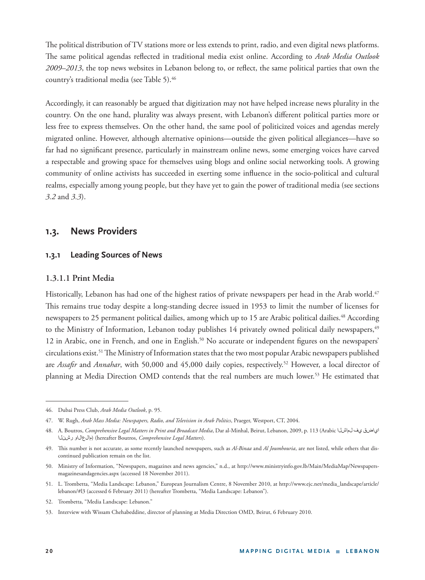The political distribution of TV stations more or less extends to print, radio, and even digital news platforms. The same political agendas reflected in traditional media exist online. According to *Arab Media Outlook 2009–2013*, the top news websites in Lebanon belong to, or reflect, the same political parties that own the country's traditional media (see Table 5).46

Accordingly, it can reasonably be argued that digitization may not have helped increase news plurality in the country. On the one hand, plurality was always present, with Lebanon's different political parties more or less free to express themselves. On the other hand, the same pool of politicized voices and agendas merely migrated online. However, although alternative opinions—outside the given political allegiances—have so far had no significant presence, particularly in mainstream online news, some emerging voices have carved a respectable and growing space for themselves using blogs and online social networking tools. A growing community of online activists has succeeded in exerting some influence in the socio-political and cultural realms, especially among young people, but they have yet to gain the power of traditional media (see sections *3.2* and *3.3*).

## **1.3. News Providers**

### **1.3.1 Leading Sources of News**

### **1. 3.1.1 Print Media**

Historically, Lebanon has had one of the highest ratios of private newspapers per head in the Arab world.<sup>47</sup> This remains true today despite a long-standing decree issued in 1953 to limit the number of licenses for newspapers to 25 permanent political dailies, among which up to 15 are Arabic political dailies.<sup>48</sup> According to the Ministry of Information, Lebanon today publishes 14 privately owned political daily newspapers,<sup>49</sup> 12 in Arabic, one in French, and one in English.<sup>50</sup> No accurate or independent figures on the newspapers' circulations exist.<sup>51</sup> The Ministry of Information states that the two most popular Arabic newspapers published are *Assafir* and *Annahar*, with 50,000 and 45,000 daily copies, respectively.<sup>52</sup> However, a local director of planning at Media Direction OMD contends that the real numbers are much lower.<sup>53</sup> He estimated that

<sup>46.</sup> Dubai Press Club, *Arab Media Outlook*, p. 95.

<sup>47.</sup> W. Rugh, *Arab Mass Media: Newspapers, Radio, and Television in Arab Politics*, Praeger, Westport, CT, 2004.

<sup>48.</sup> A. Boutros, *Comprehensive Legal Matters in Print and Broadcast Media*, Dar al-Minhal, Beirut, Lebanon, 2009, p. 113 (Arabic لماشلا يف اياضق رشنلا مالعالاو) (hereafter Boutros, *Comprehensive Legal Matters*).

<sup>49.</sup> This number is not accurate, as some recently launched newspapers, such as *Al-Binaa* and *Al Joumhouria*, are not listed, while others that discontinued publication remain on the list.

<sup>50.</sup> Ministry of Information, "Newspapers, magazines and news agencies," n.d., at http://www.ministryinfo.gov.lb/Main/MediaMap/Newspapersmagazinesandagencies.aspx (accessed 18 November 2011).

<sup>51.</sup> L. Trombetta, "Media Landscape: Lebanon," European Journalism Centre, 8 November 2010, at http://www.ejc.net/media\_landscape/article/ lebanon/#l3 (accessed 6 February 2011) (hereafter Trombetta, "Media Landscape: Lebanon").

<sup>52.</sup> Trombetta, "Media Landscape: Lebanon."

<sup>53.</sup> Interview with Wissam Chehabeddine, director of planning at Media Direction OMD, Beirut, 6 February 2010.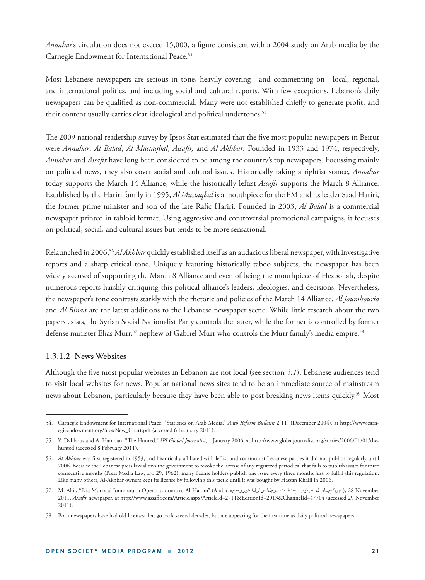*Annahar*'s circulation does not exceed 15,000, a figure consistent with a 2004 study on Arab media by the Carnegie Endowment for International Peace.<sup>54</sup>

Most Lebanese newspapers are serious in tone, heavily covering—and commenting on—local, regional, and international politics, and including social and cultural reports. With few exceptions, Lebanon's daily newspapers can be qualified as non-commercial. Many were not established chiefly to generate profit, and their content usually carries clear ideological and political undertones.<sup>55</sup>

The 2009 national readership survey by Ipsos Stat estimated that the five most popular newspapers in Beirut were *Annahar*, *Al Balad*, *Al Mustaqbal*, *Assafi r,* and *Al Akhbar*. Founded in 1933 and 1974, respectively, Annahar and Assafir have long been considered to be among the country's top newspapers. Focussing mainly on political news, they also cover social and cultural issues. Historically taking a rightist stance, *Annahar* today supports the March 14 Alliance, while the historically leftist *Assafir* supports the March 8 Alliance. Established by the Hariri family in 1995, *Al Mustaqbal* is a mouthpiece for the FM and its leader Saad Hariri, the former prime minister and son of the late Rafic Hariri. Founded in 2003, *Al Balad* is a commercial newspaper printed in tabloid format. Using aggressive and controversial promotional campaigns, it focusses on political, social, and cultural issues but tends to be more sensational.

Relaunched in 2006,56 *Al Akhbar* quickly established itself as an audacious liberal newspaper, with investigative reports and a sharp critical tone. Uniquely featuring historically taboo subjects, the newspaper has been widely accused of supporting the March 8 Alliance and even of being the mouthpiece of Hezbollah, despite numerous reports harshly critiquing this political alliance's leaders, ideologies, and decisions. Nevertheless, the newspaper's tone contrasts starkly with the rhetoric and policies of the March 14 Alliance. *Al Joumhouria*  and *Al Binaa* are the latest additions to the Lebanese newspaper scene. While little research about the two papers exists, the Syrian Social Nationalist Party controls the latter, while the former is controlled by former defense minister Elias Murr,<sup>57</sup> nephew of Gabriel Murr who controls the Murr family's media empire.<sup>58</sup>

#### **1.3.1.2 News Websites**

Although the five most popular websites in Lebanon are not local (see section 3.1), Lebanese audiences tend to visit local websites for news. Popular national news sites tend to be an immediate source of mainstream news about Lebanon, particularly because they have been able to post breaking news items quickly.59 Most

<sup>54.</sup> Carnegie Endowment for International Peace, "Statistics on Arab Media," *Arab Reform Bulletin* 2(11) (December 2004), at http://www.carnegieendowment.org/files/New\_Chart.pdf (accessed 6 February 2011).

<sup>55.</sup> Y. Dabbous and A. Hamdan, "The Hunted," *IPI Global Journalist*, 1 January 2006, at http://www.globaljournalist.org/stories/2006/01/01/thehunted (accessed 8 February 2011).

<sup>56.</sup> *Al-Akhbar* was first registered in 1953, and historically affiliated with leftist and communist Lebanese parties it did not publish regularly until 2006. Because the Lebanese press law allows the government to revoke the license of any registered periodical that fails to publish issues for three consecutive months (Press Media Law, art. 29, 1962), many license holders publish one issue every three months just to fulfill this regulation. Like many others, Al-Akhbar owners kept its license by following this tactic until it was bought by Hassan Khalil in 2006.

<sup>57.</sup> M. Akil, "Elia Murr's al Joumhouria Opens its doors to Al-Hakim" (Arabic «جويله حياله بالميلا سايلا ا ةيرومج»), 28 November ميرها استان بها ميك ميك 2011, *Assafir* newspaper, at http://www.assafir.com/Article.aspx?ArticleId=2711&EditionId=2013&ChannelId=47704 (accessed 29 November 2011).

<sup>58.</sup> Both newspapers have had old licenses that go back several decades, but are appearing for the first time as daily political newspapers.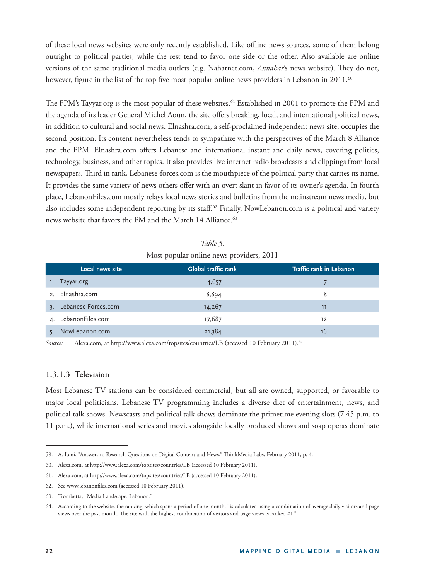of these local news websites were only recently established. Like offline news sources, some of them belong outright to political parties, while the rest tend to favor one side or the other. Also available are online versions of the same traditional media outlets (e.g. Naharnet.com, *Annahar*'s news website). They do not, however, figure in the list of the top five most popular online news providers in Lebanon in 2011.<sup>60</sup>

The FPM's Tayyar.org is the most popular of these websites.<sup>61</sup> Established in 2001 to promote the FPM and the agenda of its leader General Michel Aoun, the site offers breaking, local, and international political news, in addition to cultural and social news. Elnashra.com, a self-proclaimed independent news site, occupies the second position. Its content nevertheless tends to sympathize with the perspectives of the March 8 Alliance and the FPM. Elnashra.com offers Lebanese and international instant and daily news, covering politics, technology, business, and other topics. It also provides live internet radio broadcasts and clippings from local newspapers. Th ird in rank, Lebanese-forces.com is the mouthpiece of the political party that carries its name. It provides the same variety of news others offer with an overt slant in favor of its owner's agenda. In fourth place, LebanonFiles.com mostly relays local news stories and bulletins from the mainstream news media, but also includes some independent reporting by its staff.<sup>62</sup> Finally, NowLebanon.com is a political and variety news website that favors the FM and the March 14 Alliance.<sup>63</sup>

|                           | Local news site | <b>Global traffic rank</b> | Traffic rank in Lebanon |
|---------------------------|-----------------|----------------------------|-------------------------|
| Tayyar.org<br>1.          |                 | 4,657                      |                         |
| 2. Elnashra.com           |                 | 8,894                      | 8                       |
| Lebanese-Forces.com<br>3. |                 | 14,267                     | 11                      |
| 4. LebanonFiles.com       |                 | 17,687                     | 12                      |
| NowLebanon.com            |                 | 21,384                     | 16                      |

| Table 5.                                 |  |
|------------------------------------------|--|
| Most popular online news providers, 2011 |  |

*Source:* Alexa.com, at http://www.alexa.com/topsites/countries/LB (accessed 10 February 2011).64

#### **1.3.1.3 Television**

Most Lebanese TV stations can be considered commercial, but all are owned, supported, or favorable to major local politicians. Lebanese TV programming includes a diverse diet of entertainment, news, and political talk shows. Newscasts and political talk shows dominate the primetime evening slots (7.45 p.m. to 11 p.m.), while international series and movies alongside locally produced shows and soap operas dominate

<sup>59.</sup> A. Itani, "Answers to Research Questions on Digital Content and News," ThinkMedia Labs, February 2011, p. 4.

<sup>60.</sup> Alexa.com, at http://www.alexa.com/topsites/countries/LB (accessed 10 February 2011).

<sup>61.</sup> Alexa.com, at http://www.alexa.com/topsites/countries/LB (accessed 10 February 2011).

<sup>62.</sup> See www.lebanonfiles.com (accessed 10 February 2011).

<sup>63.</sup> Trombetta, "Media Landscape: Lebanon."

<sup>64.</sup> According to the website, the ranking, which spans a period of one month, "is calculated using a combination of average daily visitors and page views over the past month. The site with the highest combination of visitors and page views is ranked #1."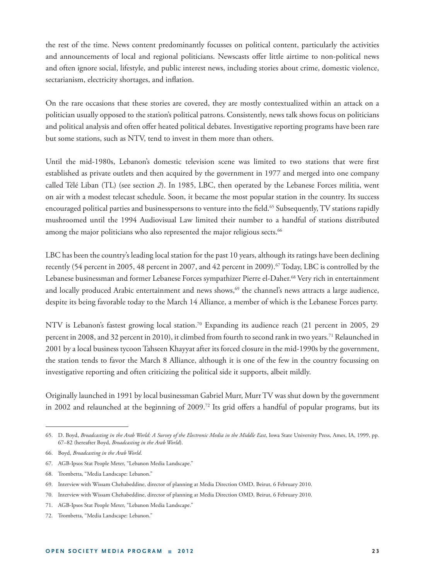the rest of the time. News content predominantly focusses on political content, particularly the activities and announcements of local and regional politicians. Newscasts offer little airtime to non-political news and often ignore social, lifestyle, and public interest news, including stories about crime, domestic violence, sectarianism, electricity shortages, and inflation.

On the rare occasions that these stories are covered, they are mostly contextualized within an attack on a politician usually opposed to the station's political patrons. Consistently, news talk shows focus on politicians and political analysis and often offer heated political debates. Investigative reporting programs have been rare but some stations, such as NTV, tend to invest in them more than others.

Until the mid-1980s, Lebanon's domestic television scene was limited to two stations that were first established as private outlets and then acquired by the government in 1977 and merged into one company called Télé Liban (TL) (see section *2*). In 1985, LBC, then operated by the Lebanese Forces militia, went on air with a modest telecast schedule. Soon, it became the most popular station in the country. Its success encouraged political parties and businesspersons to venture into the field.<sup>65</sup> Subsequently, TV stations rapidly mushroomed until the 1994 Audiovisual Law limited their number to a handful of stations distributed among the major politicians who also represented the major religious sects.<sup>66</sup>

LBC has been the country's leading local station for the past 10 years, although its ratings have been declining recently (54 percent in 2005, 48 percent in 2007, and 42 percent in 2009).<sup>67</sup> Today, LBC is controlled by the Lebanese businessman and former Lebanese Forces sympathizer Pierre el-Daher.<sup>68</sup> Very rich in entertainment and locally produced Arabic entertainment and news shows,<sup>69</sup> the channel's news attracts a large audience, despite its being favorable today to the March 14 Alliance, a member of which is the Lebanese Forces party.

NTV is Lebanon's fastest growing local station.<sup>70</sup> Expanding its audience reach (21 percent in 2005, 29 percent in 2008, and 32 percent in 2010), it climbed from fourth to second rank in two years.<sup>71</sup> Relaunched in 2001 by a local business tycoon Tahseen Khayyat after its forced closure in the mid-1990s by the government, the station tends to favor the March 8 Alliance, although it is one of the few in the country focussing on investigative reporting and often criticizing the political side it supports, albeit mildly.

Originally launched in 1991 by local businessman Gabriel Murr, Murr TV was shut down by the government in 2002 and relaunched at the beginning of 2009.<sup>72</sup> Its grid offers a handful of popular programs, but its

<sup>65.</sup> D. Boyd, *Broadcasting in the Arab World: A Survey of the Electronic Media in the Middle East*, Iowa State University Press, Ames, IA, 1999, pp. 67–82 (hereafter Boyd, *Broadcasting in the Arab World*).

<sup>66.</sup> Boyd, *Broadcasting in the Arab World*.

<sup>67.</sup> AGB-Ipsos Stat People Meter, "Lebanon Media Landscape."

<sup>68.</sup> Trombetta, "Media Landscape: Lebanon."

<sup>69.</sup> Interview with Wissam Chehabeddine, director of planning at Media Direction OMD, Beirut, 6 February 2010.

<sup>70.</sup> Interview with Wissam Chehabeddine, director of planning at Media Direction OMD, Beirut, 6 February 2010.

<sup>71.</sup> AGB-Ipsos Stat People Meter, "Lebanon Media Landscape."

<sup>72.</sup> Trombetta, "Media Landscape: Lebanon."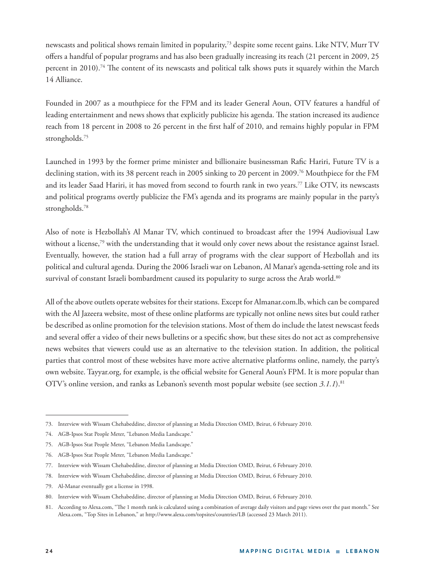newscasts and political shows remain limited in popularity,73 despite some recent gains. Like NTV, Murr TV offers a handful of popular programs and has also been gradually increasing its reach (21 percent in 2009, 25 percent in 2010).<sup>74</sup> The content of its newscasts and political talk shows puts it squarely within the March 14 Alliance.

Founded in 2007 as a mouthpiece for the FPM and its leader General Aoun, OTV features a handful of leading entertainment and news shows that explicitly publicize his agenda. The station increased its audience reach from 18 percent in 2008 to 26 percent in the first half of 2010, and remains highly popular in FPM strongholds.75

Launched in 1993 by the former prime minister and billionaire businessman Rafic Hariri, Future TV is a declining station, with its 38 percent reach in 2005 sinking to 20 percent in 2009.<sup>76</sup> Mouthpiece for the FM and its leader Saad Hariri, it has moved from second to fourth rank in two years.<sup>77</sup> Like OTV, its newscasts and political programs overtly publicize the FM's agenda and its programs are mainly popular in the party's strongholds.<sup>78</sup>

Also of note is Hezbollah's Al Manar TV, which continued to broadcast after the 1994 Audiovisual Law without a license,<sup>79</sup> with the understanding that it would only cover news about the resistance against Israel. Eventually, however, the station had a full array of programs with the clear support of Hezbollah and its political and cultural agenda. During the 2006 Israeli war on Lebanon, Al Manar's agenda-setting role and its survival of constant Israeli bombardment caused its popularity to surge across the Arab world.<sup>80</sup>

All of the above outlets operate websites for their stations. Except for Almanar.com.lb, which can be compared with the Al Jazeera website, most of these online platforms are typically not online news sites but could rather be described as online promotion for the television stations. Most of them do include the latest newscast feeds and several offer a video of their news bulletins or a specific show, but these sites do not act as comprehensive news websites that viewers could use as an alternative to the television station. In addition, the political parties that control most of these websites have more active alternative platforms online, namely, the party's own website. Tayyar.org, for example, is the official website for General Aoun's FPM. It is more popular than OTV's online version, and ranks as Lebanon's seventh most popular website (see section *3.1.1*).81

<sup>73.</sup> Interview with Wissam Chehabeddine, director of planning at Media Direction OMD, Beirut, 6 February 2010.

<sup>74.</sup> AGB-Ipsos Stat People Meter, "Lebanon Media Landscape."

<sup>75.</sup> AGB-Ipsos Stat People Meter, "Lebanon Media Landscape."

<sup>76.</sup> AGB-Ipsos Stat People Meter, "Lebanon Media Landscape."

<sup>77.</sup> Interview with Wissam Chehabeddine, director of planning at Media Direction OMD, Beirut, 6 February 2010.

<sup>78.</sup> Interview with Wissam Chehabeddine, director of planning at Media Direction OMD, Beirut, 6 February 2010.

<sup>79.</sup> Al-Manar eventually got a license in 1998.

<sup>80.</sup> Interview with Wissam Chehabeddine, director of planning at Media Direction OMD, Beirut, 6 February 2010.

<sup>81.</sup> According to Alexa.com, "The 1 month rank is calculated using a combination of average daily visitors and page views over the past month." See Alexa.com, "Top Sites in Lebanon," at http://www.alexa.com/topsites/countries/LB (accessed 23 March 2011).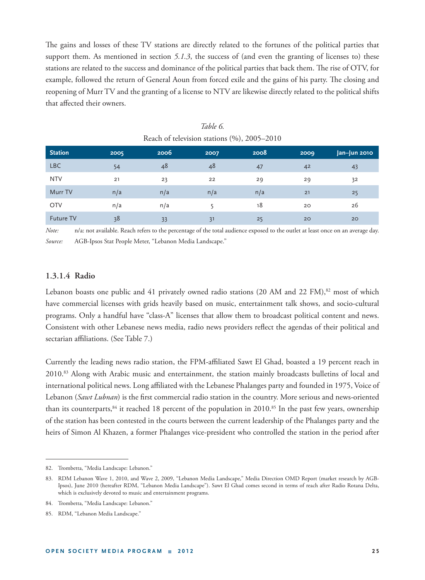The gains and losses of these TV stations are directly related to the fortunes of the political parties that support them. As mentioned in section 5.1.3, the success of (and even the granting of licenses to) these stations are related to the success and dominance of the political parties that back them. The rise of OTV, for example, followed the return of General Aoun from forced exile and the gains of his party. The closing and reopening of Murr TV and the granting of a license to NTV are likewise directly related to the political shifts that affected their owners.

| <b>Station</b>   | 2005 | 2006 | 2007 | 2008 | 2009 | Jan-Jun 2010 |
|------------------|------|------|------|------|------|--------------|
| <b>LBC</b>       | 54   | 48   | 48   | 47   | 42   | 43           |
| <b>NTV</b>       | 21   | 23   | 22   | 29   | 29   | 32           |
| Murr TV          | n/a  | n/a  | n/a  | n/a  | 21   | 25           |
| <b>OTV</b>       | n/a  | n/a  |      | 18   | 20   | 26           |
| <b>Future TV</b> | 38   | 33   | 31   | 25   | 20   | 20           |

*Table 6.* Reach of television stations (%), 2005–2010

*Note:* n/a: not available. Reach refers to the percentage of the total audience exposed to the outlet at least once on an average day. *Source:* AGB-Ipsos Stat People Meter, "Lebanon Media Landscape."

### **1.3.1.4 Radio**

Lebanon boasts one public and 41 privately owned radio stations (20 AM and 22 FM),<sup>82</sup> most of which have commercial licenses with grids heavily based on music, entertainment talk shows, and socio-cultural programs. Only a handful have "class-A" licenses that allow them to broadcast political content and news. Consistent with other Lebanese news media, radio news providers reflect the agendas of their political and sectarian affiliations. (See Table 7.)

Currently the leading news radio station, the FPM-affiliated Sawt El Ghad, boasted a 19 percent reach in 2010.<sup>83</sup> Along with Arabic music and entertainment, the station mainly broadcasts bulletins of local and international political news. Long affiliated with the Lebanese Phalanges party and founded in 1975, Voice of Lebanon (*Sawt Lubnan*) is the first commercial radio station in the country. More serious and news-oriented than its counterparts, $84$  it reached 18 percent of the population in 2010.<sup>85</sup> In the past few years, ownership of the station has been contested in the courts between the current leadership of the Phalanges party and the heirs of Simon Al Khazen, a former Phalanges vice-president who controlled the station in the period after

<sup>82.</sup> Trombetta, "Media Landscape: Lebanon."

<sup>83.</sup> RDM Lebanon Wave 1, 2010, and Wave 2, 2009, "Lebanon Media Landscape," Media Direction OMD Report (market research by AGB-Ipsos), June 2010 (hereafter RDM, "Lebanon Media Landscape"). Sawt El Ghad comes second in terms of reach after Radio Rotana Delta, which is exclusively devoted to music and entertainment programs.

<sup>84.</sup> Trombetta, "Media Landscape: Lebanon."

<sup>85.</sup> RDM, "Lebanon Media Landscape."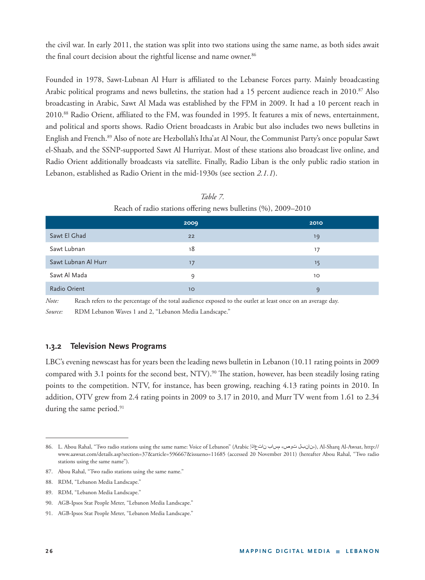the civil war. In early 2011, the station was split into two stations using the same name, as both sides await the final court decision about the rightful license and name owner.<sup>86</sup>

Founded in 1978, Sawt-Lubnan Al Hurr is affiliated to the Lebanese Forces party. Mainly broadcasting Arabic political programs and news bulletins, the station had a 15 percent audience reach in 2010.<sup>87</sup> Also broadcasting in Arabic, Sawt Al Mada was established by the FPM in 2009. It had a 10 percent reach in 2010.<sup>88</sup> Radio Orient, affiliated to the FM, was founded in 1995. It features a mix of news, entertainment, and political and sports shows. Radio Orient broadcasts in Arabic but also includes two news bulletins in English and French.89 Also of note are Hezbollah's Itha'at Al Nour, the Communist Party's once popular Sawt el-Shaab, and the SSNP-supported Sawt Al Hurriyat. Most of these stations also broadcast live online, and Radio Orient additionally broadcasts via satellite. Finally, Radio Liban is the only public radio station in Lebanon, established as Radio Orient in the mid-1930s (see section *2.1.1*).

|                     | 2009 | 2010 |
|---------------------|------|------|
| Sawt El Ghad        | 22   | 19   |
| Sawt Lubnan         | 18   | 17   |
| Sawt Lubnan Al Hurr | 17   | 15   |
| Sawt Al Mada        | 9    | 10   |
| Radio Orient        | 10   | q    |

*Table 7.*   $R = 1 - C$ . 1:  $t_{\text{redu}} = 0$  radio stations of  $T_{\text{redu}} = 1 - 1$  and  $T_{\text{redu}} = 0$ 

*Note:* Reach refers to the percentage of the total audience exposed to the outlet at least once on an average day. *Source:* RDM Lebanon Waves 1 and 2, "Lebanon Media Landscape."

### **1.3.2 Television News Programs**

LBC's evening newscast has for years been the leading news bulletin in Lebanon (10.11 rating points in 2009 compared with 3.1 points for the second best, NTV).<sup>90</sup> The station, however, has been steadily losing rating points to the competition. NTV, for instance, has been growing, reaching 4.13 rating points in 2010. In addition, OTV grew from 2.4 rating points in 2009 to 3.17 in 2010, and Murr TV went from 1.61 to 2.34 during the same period.<sup>91</sup>

<sup>86.</sup> L. Abou Rahal, "Two radio stations using the same name: Voice of Lebanon" (Arabic أبونانبل( توص نام مساب نات عاذا), Al-Sharq Al-Awsat, http:// www.aawsat.com/details.asp?section=37&article=596667&issueno=11685 (accessed 20 November 2011) (hereafter Abou Rahal, "Two radio stations using the same name").

<sup>87.</sup> Abou Rahal, "Two radio stations using the same name."

<sup>88.</sup> RDM, "Lebanon Media Landscape."

<sup>89.</sup> RDM, "Lebanon Media Landscape."

<sup>90.</sup> AGB-Ipsos Stat People Meter, "Lebanon Media Landscape."

<sup>91.</sup> AGB-Ipsos Stat People Meter, "Lebanon Media Landscape."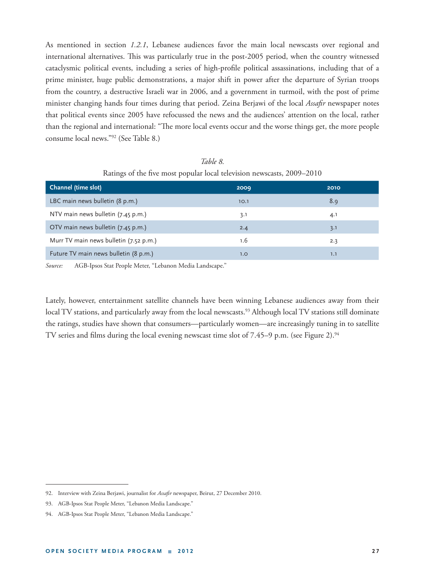As mentioned in section *1.2.1*, Lebanese audiences favor the main local newscasts over regional and international alternatives. This was particularly true in the post-2005 period, when the country witnessed cataclysmic political events, including a series of high-profile political assassinations, including that of a prime minister, huge public demonstrations, a major shift in power after the departure of Syrian troops from the country, a destructive Israeli war in 2006, and a government in turmoil, with the post of prime minister changing hands four times during that period. Zeina Berjawi of the local *Assafir* newspaper notes that political events since 2005 have refocussed the news and the audiences' attention on the local, rather than the regional and international: "The more local events occur and the worse things get, the more people consume local news."92 (See Table 8.)

| Channel (time slot)                    | 2009 | 2010 |
|----------------------------------------|------|------|
| LBC main news bulletin (8 p.m.)        | 10.1 | 8.9  |
| NTV main news bulletin (7.45 p.m.)     | 3.1  | 4.1  |
| OTV main news bulletin (7.45 p.m.)     | 2.4  | 3.1  |
| Murr TV main news bulletin (7.52 p.m.) | 1.6  | 2.3  |
| Future TV main news bulletin (8 p.m.)  | 1.0  | 1.1  |
|                                        |      |      |

*Table 8.*  Ratings of the five most popular local television newscasts, 2009–2010

*Source:* AGB-Ipsos Stat People Meter, "Lebanon Media Landscape."

Lately, however, entertainment satellite channels have been winning Lebanese audiences away from their local TV stations, and particularly away from the local newscasts.<sup>93</sup> Although local TV stations still dominate the ratings, studies have shown that consumers—particularly women—are increasingly tuning in to satellite TV series and films during the local evening newscast time slot of  $7.45-9$  p.m. (see Figure 2).<sup>94</sup>

<sup>92.</sup> Interview with Zeina Berjawi, journalist for Assafir newspaper, Beirut, 27 December 2010.

<sup>93.</sup> AGB-Ipsos Stat People Meter, "Lebanon Media Landscape."

<sup>94.</sup> AGB-Ipsos Stat People Meter, "Lebanon Media Landscape."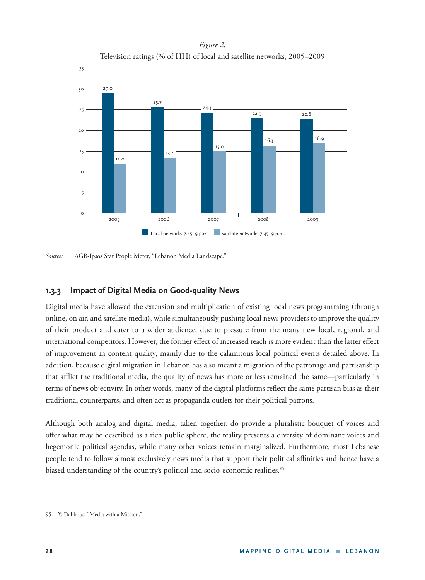*Figure 2.*  Television ratings (% of HH) of local and satellite networks, 2005–2009



*Source:* AGB-Ipsos Stat People Meter, "Lebanon Media Landscape."

### **1.3.3 Impact of Digital Media on Good-quality News**

Digital media have allowed the extension and multiplication of existing local news programming (through online, on air, and satellite media), while simultaneously pushing local news providers to improve the quality of their product and cater to a wider audience, due to pressure from the many new local, regional, and international competitors. However, the former effect of increased reach is more evident than the latter effect of improvement in content quality, mainly due to the calamitous local political events detailed above. In addition, because digital migration in Lebanon has also meant a migration of the patronage and partisanship that afflict the traditional media, the quality of news has more or less remained the same—particularly in terms of news objectivity. In other words, many of the digital platforms reflect the same partisan bias as their traditional counterparts, and often act as propaganda outlets for their political patrons.

Although both analog and digital media, taken together, do provide a pluralistic bouquet of voices and offer what may be described as a rich public sphere, the reality presents a diversity of dominant voices and hegemonic political agendas, while many other voices remain marginalized. Furthermore, most Lebanese people tend to follow almost exclusively news media that support their political affinities and hence have a biased understanding of the country's political and socio-economic realities.<sup>95</sup>

<sup>95.</sup> Y. Dabbous, "Media with a Mission."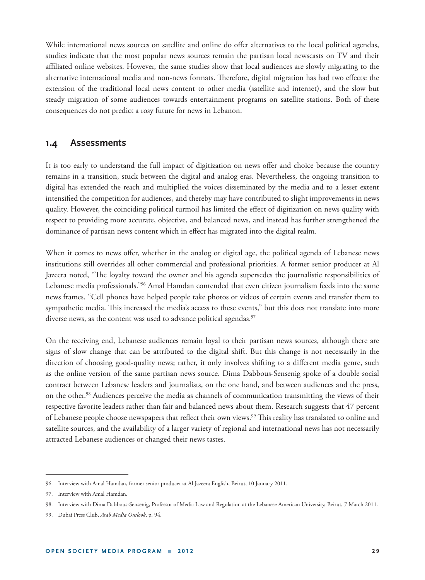While international news sources on satellite and online do offer alternatives to the local political agendas, studies indicate that the most popular news sources remain the partisan local newscasts on TV and their affiliated online websites. However, the same studies show that local audiences are slowly migrating to the alternative international media and non-news formats. Therefore, digital migration has had two effects: the extension of the traditional local news content to other media (satellite and internet), and the slow but steady migration of some audiences towards entertainment programs on satellite stations. Both of these consequences do not predict a rosy future for news in Lebanon.

### **1.4 Assessments**

It is too early to understand the full impact of digitization on news offer and choice because the country remains in a transition, stuck between the digital and analog eras. Nevertheless, the ongoing transition to digital has extended the reach and multiplied the voices disseminated by the media and to a lesser extent intensified the competition for audiences, and thereby may have contributed to slight improvements in news quality. However, the coinciding political turmoil has limited the effect of digitization on news quality with respect to providing more accurate, objective, and balanced news, and instead has further strengthened the dominance of partisan news content which in effect has migrated into the digital realm.

When it comes to news offer, whether in the analog or digital age, the political agenda of Lebanese news institutions still overrides all other commercial and professional priorities. A former senior producer at Al Jazeera noted, "The loyalty toward the owner and his agenda supersedes the journalistic responsibilities of Lebanese media professionals."96 Amal Hamdan contended that even citizen journalism feeds into the same news frames. "Cell phones have helped people take photos or videos of certain events and transfer them to sympathetic media. This increased the media's access to these events," but this does not translate into more diverse news, as the content was used to advance political agendas.<sup>97</sup>

On the receiving end, Lebanese audiences remain loyal to their partisan news sources, although there are signs of slow change that can be attributed to the digital shift. But this change is not necessarily in the direction of choosing good-quality news; rather, it only involves shifting to a different media genre, such as the online version of the same partisan news source. Dima Dabbous-Sensenig spoke of a double social contract between Lebanese leaders and journalists, on the one hand, and between audiences and the press, on the other.<sup>98</sup> Audiences perceive the media as channels of communication transmitting the views of their respective favorite leaders rather than fair and balanced news about them. Research suggests that 47 percent of Lebanese people choose newspapers that reflect their own views.<sup>99</sup> This reality has translated to online and satellite sources, and the availability of a larger variety of regional and international news has not necessarily attracted Lebanese audiences or changed their news tastes.

<sup>96.</sup> Interview with Amal Hamdan, former senior producer at Al Jazeera English, Beirut, 10 January 2011.

<sup>97.</sup> Interview with Amal Hamdan.

<sup>98.</sup> Interview with Dima Dabbous-Sensenig, Professor of Media Law and Regulation at the Lebanese American University, Beirut, 7 March 2011.

<sup>99.</sup> Dubai Press Club, *Arab Media Outlook*, p. 94.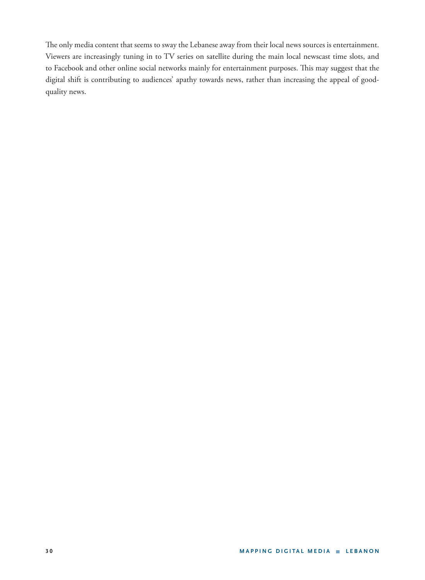The only media content that seems to sway the Lebanese away from their local news sources is entertainment. Viewers are increasingly tuning in to TV series on satellite during the main local newscast time slots, and to Facebook and other online social networks mainly for entertainment purposes. This may suggest that the digital shift is contributing to audiences' apathy towards news, rather than increasing the appeal of goodquality news.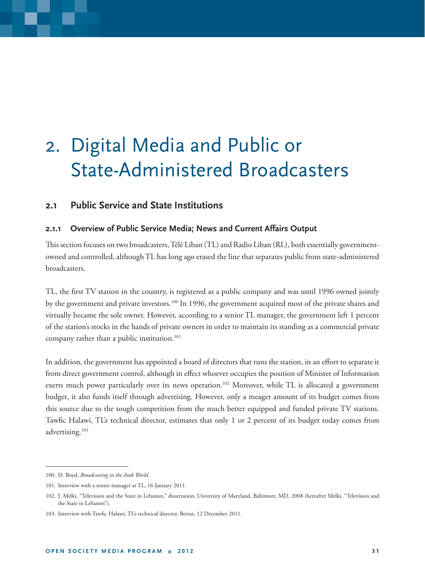## 2. Digital Media and Public or State-Administered Broadcasters

## **2.1 Public Service and State Institutions**

### **2.1.1 Overview of Public Service Media; News and Current Affairs Output**

This section focuses on two broadcasters, Télé Liban (TL) and Radio Liban (RL), both essentially governmentowned and controlled, although TL has long ago erased the line that separates public from state-administered broadcasters.

TL, the first TV station in the country, is registered as a public company and was until 1996 owned jointly by the government and private investors.100 In 1996, the government acquired most of the private shares and virtually became the sole owner. However, according to a senior TL manager, the government left 1 percent of the station's stocks in the hands of private owners in order to maintain its standing as a commercial private company rather than a public institution.<sup>101</sup>

In addition, the government has appointed a board of directors that runs the station, in an effort to separate it from direct government control, although in effect whoever occupies the position of Minister of Information exerts much power particularly over its news operation.<sup>102</sup> Moreover, while TL is allocated a government budget, it also funds itself through advertising. However, only a meager amount of its budget comes from this source due to the tough competition from the much better equipped and funded private TV stations. Tawfic Halawi, TL's technical director, estimates that only 1 or 2 percent of its budget today comes from advertising.103

<sup>100.</sup> D. Boyd, *Broadcasting in the Arab World*.

<sup>101.</sup> Interview with a senior manager at TL, 16 January 2011.

<sup>102.</sup> J. Melki, "Television and the State in Lebanon," dissertation, University of Maryland, Baltimore, MD, 2008 (hereafter Melki, "Television and the State in Lebanon").

<sup>103.</sup> Interview with Tawfic Halawi, TL's technical director, Beirut, 12 December 2011.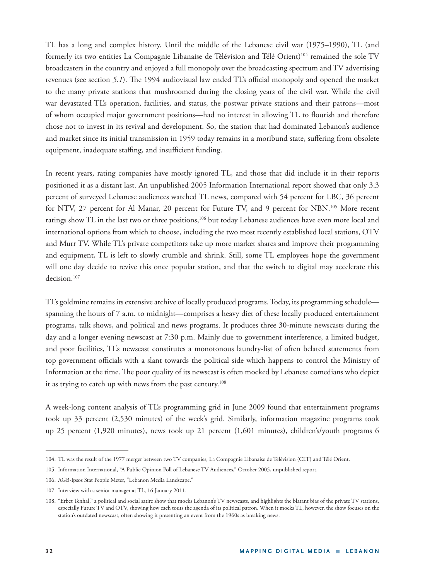TL has a long and complex history. Until the middle of the Lebanese civil war (1975–1990), TL (and formerly its two entities La Compagnie Libanaise de Télévision and Télé Orient)<sup>104</sup> remained the sole TV broadcasters in the country and enjoyed a full monopoly over the broadcasting spectrum and TV advertising revenues (see section 5.1). The 1994 audiovisual law ended TL's official monopoly and opened the market to the many private stations that mushroomed during the closing years of the civil war. While the civil war devastated TL's operation, facilities, and status, the postwar private stations and their patrons—most of whom occupied major government positions—had no interest in allowing TL to flourish and therefore chose not to invest in its revival and development. So, the station that had dominated Lebanon's audience and market since its initial transmission in 1959 today remains in a moribund state, suffering from obsolete equipment, inadequate staffing, and insufficient funding.

In recent years, rating companies have mostly ignored TL, and those that did include it in their reports positioned it as a distant last. An unpublished 2005 Information International report showed that only 3.3 percent of surveyed Lebanese audiences watched TL news, compared with 54 percent for LBC, 36 percent for NTV, 27 percent for Al Manar, 20 percent for Future TV, and 9 percent for NBN.<sup>105</sup> More recent ratings show TL in the last two or three positions,<sup>106</sup> but today Lebanese audiences have even more local and international options from which to choose, including the two most recently established local stations, OTV and Murr TV. While TL's private competitors take up more market shares and improve their programming and equipment, TL is left to slowly crumble and shrink. Still, some TL employees hope the government will one day decide to revive this once popular station, and that the switch to digital may accelerate this decision.<sup>107</sup>

TL's goldmine remains its extensive archive of locally produced programs. Today, its programming schedule spanning the hours of 7 a.m. to midnight—comprises a heavy diet of these locally produced entertainment programs, talk shows, and political and news programs. It produces three 30-minute newscasts during the day and a longer evening newscast at 7:30 p.m. Mainly due to government interference, a limited budget, and poor facilities, TL's newscast constitutes a monotonous laundry-list of often belated statements from top government officials with a slant towards the political side which happens to control the Ministry of Information at the time. The poor quality of its newscast is often mocked by Lebanese comedians who depict it as trying to catch up with news from the past century.<sup>108</sup>

A week-long content analysis of TL's programming grid in June 2009 found that entertainment programs took up 33 percent (2,530 minutes) of the week's grid. Similarly, information magazine programs took up 25 percent (1,920 minutes), news took up 21 percent (1,601 minutes), children's/youth programs 6

<sup>104.</sup> TL was the result of the 1977 merger between two TV companies, La Compagnie Libanaise de Télévision (CLT) and Télé Orient.

<sup>105.</sup> Information International, "A Public Opinion Poll of Lebanese TV Audiences," October 2005, unpublished report.

<sup>106.</sup> AGB-Ipsos Stat People Meter, "Lebanon Media Landscape."

<sup>107.</sup> Interview with a senior manager at TL, 16 January 2011.

<sup>108. &</sup>quot;Erbet Tenhal," a political and social satire show that mocks Lebanon's TV newscasts, and highlights the blatant bias of the private TV stations, especially Future TV and OTV, showing how each touts the agenda of its political patron. When it mocks TL, however, the show focuses on the station's outdated newscast, often showing it presenting an event from the 1960s as breaking news.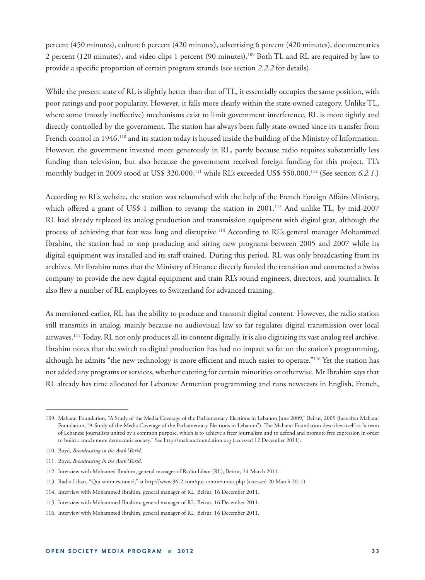percent (450 minutes), culture 6 percent (420 minutes), advertising 6 percent (420 minutes), documentaries 2 percent (120 minutes), and video clips 1 percent (90 minutes).109 Both TL and RL are required by law to provide a specific proportion of certain program strands (see section 2.2.2 for details).

While the present state of RL is slightly better than that of TL, it essentially occupies the same position, with poor ratings and poor popularity. However, it falls more clearly within the state-owned category. Unlike TL, where some (mostly ineffective) mechanisms exist to limit government interference, RL is more tightly and directly controlled by the government. The station has always been fully state-owned since its transfer from French control in 1946,<sup>110</sup> and its station today is housed inside the building of the Ministry of Information. However, the government invested more generously in RL, partly because radio requires substantially less funding than television, but also because the government received foreign funding for this project. TL's monthly budget in 2009 stood at US\$ 320,000,<sup>111</sup> while RL's exceeded US\$ 550,000.<sup>112</sup> (See section 6.2.1.)

According to RL's website, the station was relaunched with the help of the French Foreign Affairs Ministry, which offered a grant of US\$ 1 million to revamp the station in 2001.<sup>113</sup> And unlike TL, by mid-2007 RL had already replaced its analog production and transmission equipment with digital gear, although the process of achieving that feat was long and disruptive.<sup>114</sup> According to RL's general manager Mohammed Ibrahim, the station had to stop producing and airing new programs between 2005 and 2007 while its digital equipment was installed and its staff trained. During this period, RL was only broadcasting from its archives. Mr Ibrahim notes that the Ministry of Finance directly funded the transition and contracted a Swiss company to provide the new digital equipment and train RL's sound engineers, directors, and journalists. It also flew a number of RL employees to Switzerland for advanced training.

As mentioned earlier, RL has the ability to produce and transmit digital content. However, the radio station still transmits in analog, mainly because no audiovisual law so far regulates digital transmission over local airwaves.115 Today, RL not only produces all its content digitally, it is also digitizing its vast analog reel archive. Ibrahim notes that the switch to digital production has had no impact so far on the station's programming, although he admits "the new technology is more efficient and much easier to operate."<sup>116</sup> Yet the station has not added any programs or services, whether catering for certain minorities or otherwise. Mr Ibrahim says that RL already has time allocated for Lebanese Armenian programming and runs newscasts in English, French,

114. Interview with Mohammed Ibrahim, general manager of RL, Beirut, 16 December 2011.

<sup>109.</sup> Maharat Foundation, "A Study of the Media Coverage of the Parliamentary Elections in Lebanon June 2009," Beirut, 2009 (hereafter Maharat Foundation, "A Study of the Media Coverage of the Parliamentary Elections in Lebanon"). The Maharat Foundation describes itself as "a team of Lebanese journalists united by a common purpose, which is to achieve a freer journalism and to defend and promote free expression in order to build a much more democratic society." See http://maharatfoundation.org (accessed 12 December 2011).

<sup>110.</sup> Boyd, *Broadcasting in the Arab World*.

<sup>111.</sup> Boyd, *Broadcasting in the Arab World*.

<sup>112.</sup> Interview with Mohamed Ibrahim, general manager of Radio Liban (RL), Beirut, 24 March 2011.

<sup>113.</sup> Radio Liban, "Qui sommes-nous?," at http://www.96-2.com/qui-somme-nous.php (accessed 20 March 2011).

<sup>115.</sup> Interview with Mohammed Ibrahim, general manager of RL, Beirut, 16 December 2011.

<sup>116.</sup> Interview with Mohammed Ibrahim, general manager of RL, Beirut, 16 December 2011.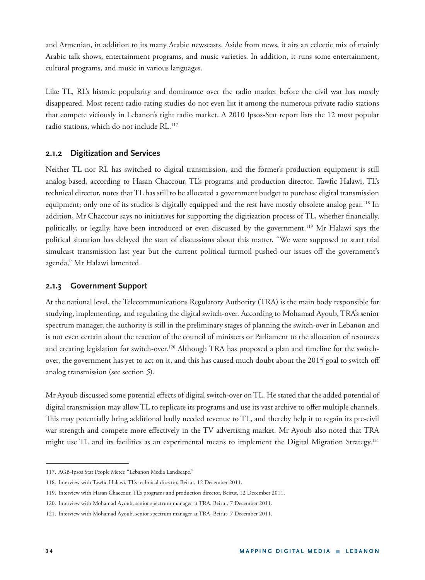and Armenian, in addition to its many Arabic newscasts. Aside from news, it airs an eclectic mix of mainly Arabic talk shows, entertainment programs, and music varieties. In addition, it runs some entertainment, cultural programs, and music in various languages.

Like TL, RL's historic popularity and dominance over the radio market before the civil war has mostly disappeared. Most recent radio rating studies do not even list it among the numerous private radio stations that compete viciously in Lebanon's tight radio market. A 2010 Ipsos-Stat report lists the 12 most popular radio stations, which do not include RL.<sup>117</sup>

### **2.1.2 Digitization and Services**

Neither TL nor RL has switched to digital transmission, and the former's production equipment is still analog-based, according to Hasan Chaccour, TL's programs and production director. Tawfic Halawi, TL's technical director, notes that TL has still to be allocated a government budget to purchase digital transmission equipment; only one of its studios is digitally equipped and the rest have mostly obsolete analog gear.<sup>118</sup> In addition, Mr Chaccour says no initiatives for supporting the digitization process of TL, whether financially, politically, or legally, have been introduced or even discussed by the government.119 Mr Halawi says the political situation has delayed the start of discussions about this matter. "We were supposed to start trial simulcast transmission last year but the current political turmoil pushed our issues off the government's agenda," Mr Halawi lamented.

### **2.1.3 Government Support**

At the national level, the Telecommunications Regulatory Authority (TRA) is the main body responsible for studying, implementing, and regulating the digital switch-over. According to Mohamad Ayoub, TRA's senior spectrum manager, the authority is still in the preliminary stages of planning the switch-over in Lebanon and is not even certain about the reaction of the council of ministers or Parliament to the allocation of resources and creating legislation for switch-over.<sup>120</sup> Although TRA has proposed a plan and timeline for the switchover, the government has yet to act on it, and this has caused much doubt about the 2015 goal to switch off analog transmission (see section *5*).

Mr Ayoub discussed some potential effects of digital switch-over on TL. He stated that the added potential of digital transmission may allow TL to replicate its programs and use its vast archive to offer multiple channels. This may potentially bring additional badly needed revenue to TL, and thereby help it to regain its pre-civil war strength and compete more effectively in the TV advertising market. Mr Ayoub also noted that TRA might use TL and its facilities as an experimental means to implement the Digital Migration Strategy.<sup>121</sup>

<sup>117.</sup> AGB-Ipsos Stat People Meter, "Lebanon Media Landscape."

<sup>118.</sup> Interview with Tawfic Halawi, TL's technical director, Beirut, 12 December 2011.

<sup>119.</sup> Interview with Hasan Chaccour, TL's programs and production director, Beirut, 12 December 2011.

<sup>120.</sup> Interview with Mohamad Ayoub, senior spectrum manager at TRA, Beirut, 7 December 2011.

<sup>121.</sup> Interview with Mohamad Ayoub, senior spectrum manager at TRA, Beirut, 7 December 2011.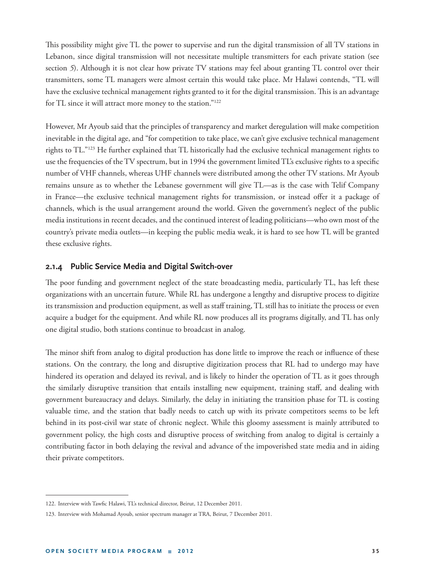This possibility might give TL the power to supervise and run the digital transmission of all TV stations in Lebanon, since digital transmission will not necessitate multiple transmitters for each private station (see section *5*). Although it is not clear how private TV stations may feel about granting TL control over their transmitters, some TL managers were almost certain this would take place. Mr Halawi contends, "TL will have the exclusive technical management rights granted to it for the digital transmission. This is an advantage for TL since it will attract more money to the station."122

However, Mr Ayoub said that the principles of transparency and market deregulation will make competition inevitable in the digital age, and "for competition to take place, we can't give exclusive technical management rights to TL."123 He further explained that TL historically had the exclusive technical management rights to use the frequencies of the TV spectrum, but in 1994 the government limited TL's exclusive rights to a specific number of VHF channels, whereas UHF channels were distributed among the other TV stations. Mr Ayoub remains unsure as to whether the Lebanese government will give TL—as is the case with Telif Company in France—the exclusive technical management rights for transmission, or instead offer it a package of channels, which is the usual arrangement around the world. Given the government's neglect of the public media institutions in recent decades, and the continued interest of leading politicians—who own most of the country's private media outlets—in keeping the public media weak, it is hard to see how TL will be granted these exclusive rights.

#### **2.1.4 Public Service Media and Digital Switch-over**

The poor funding and government neglect of the state broadcasting media, particularly TL, has left these organizations with an uncertain future. While RL has undergone a lengthy and disruptive process to digitize its transmission and production equipment, as well as staff training, TL still has to initiate the process or even acquire a budget for the equipment. And while RL now produces all its programs digitally, and TL has only one digital studio, both stations continue to broadcast in analog.

The minor shift from analog to digital production has done little to improve the reach or influence of these stations. On the contrary, the long and disruptive digitization process that RL had to undergo may have hindered its operation and delayed its revival, and is likely to hinder the operation of TL as it goes through the similarly disruptive transition that entails installing new equipment, training staff, and dealing with government bureaucracy and delays. Similarly, the delay in initiating the transition phase for TL is costing valuable time, and the station that badly needs to catch up with its private competitors seems to be left behind in its post-civil war state of chronic neglect. While this gloomy assessment is mainly attributed to government policy, the high costs and disruptive process of switching from analog to digital is certainly a contributing factor in both delaying the revival and advance of the impoverished state media and in aiding their private competitors.

<sup>122.</sup> Interview with Tawfic Halawi, TL's technical director, Beirut, 12 December 2011.

<sup>123.</sup> Interview with Mohamad Ayoub, senior spectrum manager at TRA, Beirut, 7 December 2011.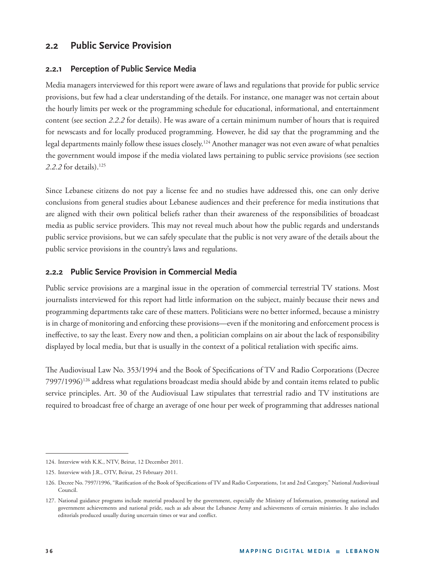# **2.2 Public Service Provision**

#### **2.2.1 Perception of Public Service Media**

Media managers interviewed for this report were aware of laws and regulations that provide for public service provisions, but few had a clear understanding of the details. For instance, one manager was not certain about the hourly limits per week or the programming schedule for educational, informational, and entertainment content (see section *2.2.2* for details). He was aware of a certain minimum number of hours that is required for newscasts and for locally produced programming. However, he did say that the programming and the legal departments mainly follow these issues closely.<sup>124</sup> Another manager was not even aware of what penalties the government would impose if the media violated laws pertaining to public service provisions (see section *2.2.2* for details).125

Since Lebanese citizens do not pay a license fee and no studies have addressed this, one can only derive conclusions from general studies about Lebanese audiences and their preference for media institutions that are aligned with their own political beliefs rather than their awareness of the responsibilities of broadcast media as public service providers. This may not reveal much about how the public regards and understands public service provisions, but we can safely speculate that the public is not very aware of the details about the public service provisions in the country's laws and regulations.

#### **2.2.2 Public Service Provision in Commercial Media**

Public service provisions are a marginal issue in the operation of commercial terrestrial TV stations. Most journalists interviewed for this report had little information on the subject, mainly because their news and programming departments take care of these matters. Politicians were no better informed, because a ministry is in charge of monitoring and enforcing these provisions—even if the monitoring and enforcement process is ineffective, to say the least. Every now and then, a politician complains on air about the lack of responsibility displayed by local media, but that is usually in the context of a political retaliation with specific aims.

The Audiovisual Law No. 353/1994 and the Book of Specifications of TV and Radio Corporations (Decree 7997/1996)126 address what regulations broadcast media should abide by and contain items related to public service principles. Art. 30 of the Audiovisual Law stipulates that terrestrial radio and TV institutions are required to broadcast free of charge an average of one hour per week of programming that addresses national

<sup>124.</sup> Interview with K.K., NTV, Beirut, 12 December 2011.

<sup>125.</sup> Interview with J.R., OTV, Beirut, 25 February 2011.

<sup>126.</sup> Decree No. 7997/1996, "Ratification of the Book of Specifications of TV and Radio Corporations, 1st and 2nd Category," National Audiovisual Council.

<sup>127.</sup> National guidance programs include material produced by the government, especially the Ministry of Information, promoting national and government achievements and national pride, such as ads about the Lebanese Army and achievements of certain ministries. It also includes editorials produced usually during uncertain times or war and conflict.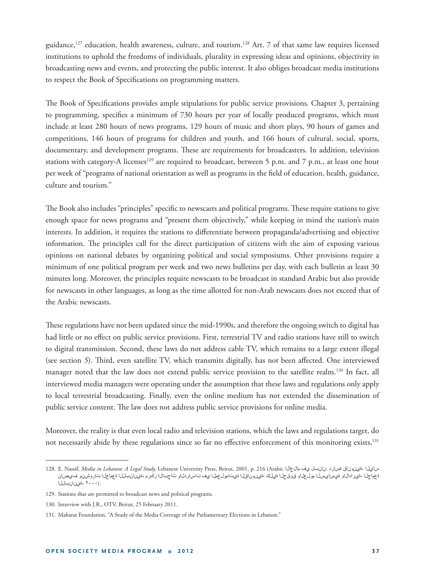guidance,127 education, health awareness, culture, and tourism.128 Art. 7 of that same law requires licensed institutions to uphold the freedoms of individuals, plurality in expressing ideas and opinions, objectivity in broadcasting news and events, and protecting the public interest. It also obliges broadcast media institutions to respect the Book of Specifications on programming matters.

The Book of Specifications provides ample stipulations for public service provisions. Chapter 3, pertaining to programming, specifies a minimum of 730 hours per year of locally produced programs, which must include at least 280 hours of news programs, 129 hours of music and short plays, 90 hours of games and competitions, 146 hours of programs for children and youth, and 166 hours of cultural, social, sports, documentary, and development programs. These are requirements for broadcasters. In addition, television stations with category-A licenses<sup>129</sup> are required to broadcast, between 5 p.m. and 7 p.m., at least one hour per week of "programs of national orientation as well as programs in the field of education, health, guidance, culture and tourism."

The Book also includes "principles" specific to newscasts and political programs. These require stations to give enough space for news programs and "present them objectively," while keeping in mind the nation's main interests. In addition, it requires the stations to differentiate between propaganda/advertising and objective information. The principles call for the direct participation of citizens with the aim of exposing various opinions on national debates by organizing political and social symposiums. Other provisions require a minimum of one political program per week and two news bulletins per day, with each bulletin at least 30 minutes long. Moreover, the principles require newscasts to be broadcast in standard Arabic but also provide for newscasts in other languages, as long as the time allotted for non-Arab newscasts does not exceed that of the Arabic newscasts.

These regulations have not been updated since the mid-1990s, and therefore the ongoing switch to digital has had little or no effect on public service provisions. First, terrestrial TV and radio stations have still to switch to digital transmission. Second, these laws do not address cable TV, which remains to a large extent illegal (see section 5). Third, even satellite TV, which transmits digitally, has not been affected. One interviewed manager noted that the law does not extend public service provision to the satellite realm.<sup>130</sup> In fact, all interviewed media managers were operating under the assumption that these laws and regulations only apply to local terrestrial broadcasting. Finally, even the online medium has not extended the dissemination of public service content. The law does not address public service provisions for online media.

Moreover, the reality is that even local radio and television stations, which the laws and regulations target, do not necessarily abide by these regulations since so far no effective enforcement of this monitoring exists,<sup>131</sup>

<sup>128.</sup> E. Nassif, *Media in Lebanon: A Legal Study,* Lebanese University Press, Beirut, 2001, p. 216 (Arabic مالعالا يف نانبل: ةسارد ةينوناق، سايلا ةعماجلا ،ةيرادالاو ةيسايسلا مولعلاو قوقحلا ةيلك ،ةينوناقلا ةيتامولعملا يف تاساردلاو شاحبال زكرم ،ةينانبللا ةعماجل تاروشنم فيصان .(۲۰۰۰ ،ةينانبللا

<sup>129.</sup> Stations that are permitted to broadcast news and political programs.

<sup>130.</sup> Interview with J.R., OTV, Beirut, 25 February 2011.

<sup>131.</sup> Maharat Foundation, "A Study of the Media Coverage of the Parliamentary Elections in Lebanon."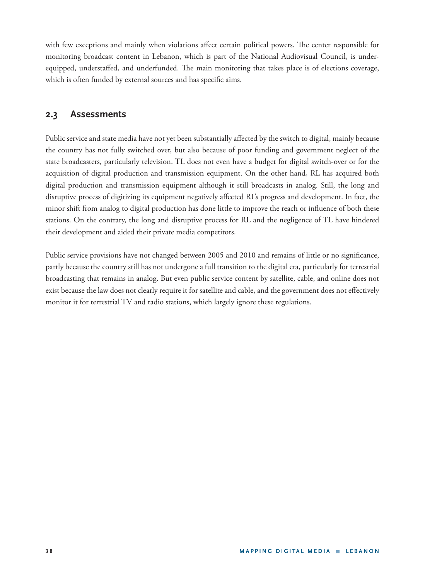with few exceptions and mainly when violations affect certain political powers. The center responsible for monitoring broadcast content in Lebanon, which is part of the National Audiovisual Council, is underequipped, understaffed, and underfunded. The main monitoring that takes place is of elections coverage, which is often funded by external sources and has specific aims.

# **2.3 Assessments**

Public service and state media have not yet been substantially affected by the switch to digital, mainly because the country has not fully switched over, but also because of poor funding and government neglect of the state broadcasters, particularly television. TL does not even have a budget for digital switch-over or for the acquisition of digital production and transmission equipment. On the other hand, RL has acquired both digital production and transmission equipment although it still broadcasts in analog. Still, the long and disruptive process of digitizing its equipment negatively affected RL's progress and development. In fact, the minor shift from analog to digital production has done little to improve the reach or influence of both these stations. On the contrary, the long and disruptive process for RL and the negligence of TL have hindered their development and aided their private media competitors.

Public service provisions have not changed between 2005 and 2010 and remains of little or no significance, partly because the country still has not undergone a full transition to the digital era, particularly for terrestrial broadcasting that remains in analog. But even public service content by satellite, cable, and online does not exist because the law does not clearly require it for satellite and cable, and the government does not effectively monitor it for terrestrial TV and radio stations, which largely ignore these regulations.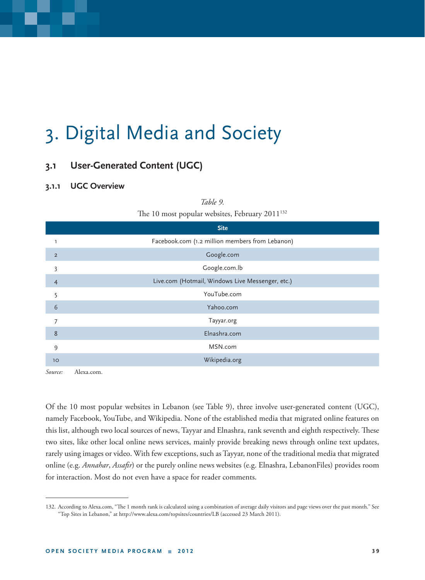# 3. Digital Media and Society

# **3.1 User-Generated Content (UGC)**

## **3.1.1 UGC Overview**

|                | The 10 most popular websites, February 2011 <sup>132</sup> |
|----------------|------------------------------------------------------------|
|                | <b>Site</b>                                                |
|                | Facebook.com (1.2 million members from Lebanon)            |
| $\overline{2}$ | Google.com                                                 |
| 3              | Google.com.lb                                              |
| $\overline{4}$ | Live.com (Hotmail, Windows Live Messenger, etc.)           |
| 5              | YouTube.com                                                |
| 6              | Yahoo.com                                                  |
| 7              | Tayyar.org                                                 |
| 8              | Elnashra.com                                               |
| 9              | MSN.com                                                    |
| 10             | Wikipedia.org                                              |

*Table 9.* 

*Source:* Alexa.com.

Of the 10 most popular websites in Lebanon (see Table 9), three involve user-generated content (UGC), namely Facebook, YouTube, and Wikipedia. None of the established media that migrated online features on this list, although two local sources of news, Tayyar and Elnashra, rank seventh and eighth respectively. These two sites, like other local online news services, mainly provide breaking news through online text updates, rarely using images or video. With few exceptions, such as Tayyar, none of the traditional media that migrated online (e.g. *Annahar, Assafir*) or the purely online news websites (e.g. Elnashra, LebanonFiles) provides room for interaction. Most do not even have a space for reader comments.

<sup>132.</sup> According to Alexa.com, "The 1 month rank is calculated using a combination of average daily visitors and page views over the past month." See "Top Sites in Lebanon," at http://www.alexa.com/topsites/countries/LB (accessed 23 March 2011).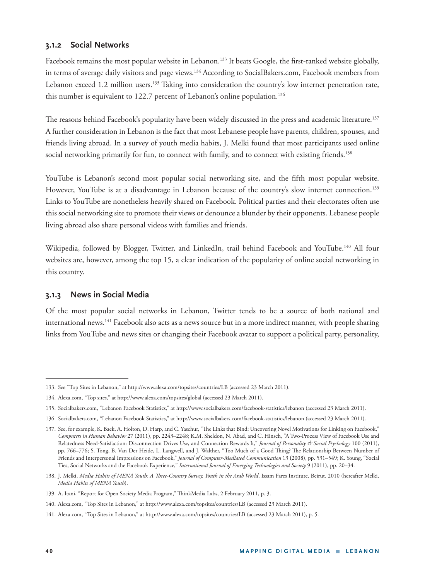## **3.1.2 Social Networks**

Facebook remains the most popular website in Lebanon.<sup>133</sup> It beats Google, the first-ranked website globally, in terms of average daily visitors and page views.134 According to SocialBakers.com, Facebook members from Lebanon exceed 1.2 million users.<sup>135</sup> Taking into consideration the country's low internet penetration rate, this number is equivalent to 122.7 percent of Lebanon's online population.<sup>136</sup>

The reasons behind Facebook's popularity have been widely discussed in the press and academic literature.<sup>137</sup> A further consideration in Lebanon is the fact that most Lebanese people have parents, children, spouses, and friends living abroad. In a survey of youth media habits, J. Melki found that most participants used online social networking primarily for fun, to connect with family, and to connect with existing friends.<sup>138</sup>

YouTube is Lebanon's second most popular social networking site, and the fifth most popular website. However, YouTube is at a disadvantage in Lebanon because of the country's slow internet connection.139 Links to YouTube are nonetheless heavily shared on Facebook. Political parties and their electorates often use this social networking site to promote their views or denounce a blunder by their opponents. Lebanese people living abroad also share personal videos with families and friends.

Wikipedia, followed by Blogger, Twitter, and LinkedIn, trail behind Facebook and YouTube.<sup>140</sup> All four websites are, however, among the top 15, a clear indication of the popularity of online social networking in this country.

## **3.1.3 News in Social Media**

Of the most popular social networks in Lebanon, Twitter tends to be a source of both national and international news.<sup>141</sup> Facebook also acts as a news source but in a more indirect manner, with people sharing links from YouTube and news sites or changing their Facebook avatar to support a political party, personality,

<sup>133.</sup> See "Top Sites in Lebanon," at http://www.alexa.com/topsites/countries/LB (accessed 23 March 2011).

<sup>134.</sup> Alexa.com, "Top sites," at http://www.alexa.com/topsites/global (accessed 23 March 2011).

<sup>135.</sup> Socialbakers.com, "Lebanon Facebook Statistics," at http://www.socialbakers.com/facebook-statistics/lebanon (accessed 23 March 2011).

<sup>136.</sup> Socialbakers.com, "Lebanon Facebook Statistics," at http://www.socialbakers.com/facebook-statistics/lebanon (accessed 23 March 2011).

<sup>137.</sup> See, for example, K. Baek, A. Holton, D. Harp, and C. Yaschur, "The Links that Bind: Uncovering Novel Motivations for Linking on Facebook," *Computers in Human Behavior* 27 (2011), pp. 2243–2248; K.M. Sheldon, N. Abad, and C. Hinsch, "A Two-Process View of Facebook Use and Relatedness Need-Satisfaction: Disconnection Drives Use, and Connection Rewards It," *Journal of Personality & Social Psychology* 100 (2011), pp. 766–776; S. Tong, B. Van Der Heide, L. Langwell, and J. Walther, "Too Much of a Good Thing? The Relationship Between Number of Friends and Interpersonal Impressions on Facebook," *Journal of Computer-Mediated Communication* 13 **(**2008), pp. 531–549; K. Young, "Social Ties, Social Networks and the Facebook Experience," *International Journal of Emerging Technologies and Society* 9 (2011), pp. 20–34.

<sup>138.</sup> J. Melki, *Media Habits of MENA Youth: A Three-Country Survey. Youth in the Arab World*, Issam Fares Institute, Beirut, 2010 (hereafter Melki, *Media Habits of MENA Youth*).

<sup>139.</sup> A. Itani, "Report for Open Society Media Program," ThinkMedia Labs, 2 February 2011, p. 3.

<sup>140.</sup> Alexa.com, "Top Sites in Lebanon," at http://www.alexa.com/topsites/countries/LB (accessed 23 March 2011).

<sup>141.</sup> Alexa.com, "Top Sites in Lebanon," at http://www.alexa.com/topsites/countries/LB (accessed 23 March 2011), p. 5.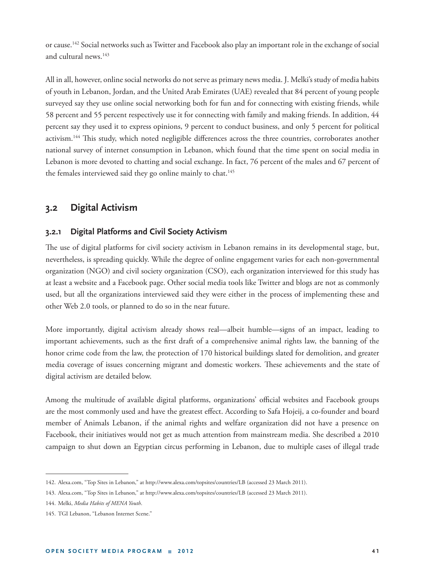or cause.142 Social networks such as Twitter and Facebook also play an important role in the exchange of social and cultural news.<sup>143</sup>

All in all, however, online social networks do not serve as primary news media. J. Melki's study of media habits of youth in Lebanon, Jordan, and the United Arab Emirates (UAE) revealed that 84 percent of young people surveyed say they use online social networking both for fun and for connecting with existing friends, while 58 percent and 55 percent respectively use it for connecting with family and making friends. In addition, 44 percent say they used it to express opinions, 9 percent to conduct business, and only 5 percent for political activism.<sup>144</sup> This study, which noted negligible differences across the three countries, corroborates another national survey of internet consumption in Lebanon, which found that the time spent on social media in Lebanon is more devoted to chatting and social exchange. In fact, 76 percent of the males and 67 percent of the females interviewed said they go online mainly to chat.<sup>145</sup>

# **3.2 Digital Activism**

## **3.2.1 Digital Platforms and Civil Society Activism**

The use of digital platforms for civil society activism in Lebanon remains in its developmental stage, but, nevertheless, is spreading quickly. While the degree of online engagement varies for each non-governmental organization (NGO) and civil society organization (CSO), each organization interviewed for this study has at least a website and a Facebook page. Other social media tools like Twitter and blogs are not as commonly used, but all the organizations interviewed said they were either in the process of implementing these and other Web 2.0 tools, or planned to do so in the near future.

More importantly, digital activism already shows real—albeit humble—signs of an impact, leading to important achievements, such as the first draft of a comprehensive animal rights law, the banning of the honor crime code from the law, the protection of 170 historical buildings slated for demolition, and greater media coverage of issues concerning migrant and domestic workers. These achievements and the state of digital activism are detailed below.

Among the multitude of available digital platforms, organizations' official websites and Facebook groups are the most commonly used and have the greatest effect. According to Safa Hojeij, a co-founder and board member of Animals Lebanon, if the animal rights and welfare organization did not have a presence on Facebook, their initiatives would not get as much attention from mainstream media. She described a 2010 campaign to shut down an Egyptian circus performing in Lebanon, due to multiple cases of illegal trade

<sup>142.</sup> Alexa.com, "Top Sites in Lebanon," at http://www.alexa.com/topsites/countries/LB (accessed 23 March 2011).

<sup>143.</sup> Alexa.com, "Top Sites in Lebanon," at http://www.alexa.com/topsites/countries/LB (accessed 23 March 2011).

<sup>144.</sup> Melki, *Media Habits of MENA Youth*.

<sup>145.</sup> TGI Lebanon, "Lebanon Internet Scene."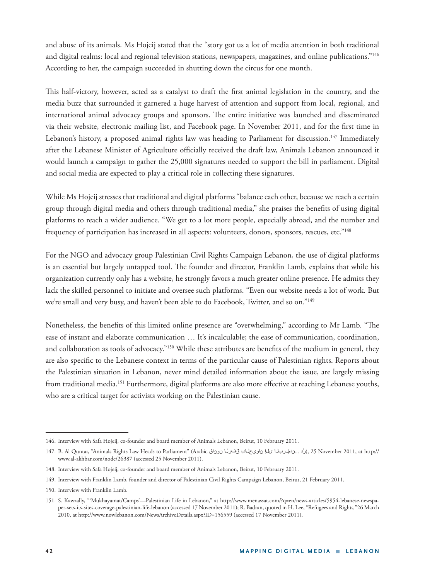and abuse of its animals. Ms Hojeij stated that the "story got us a lot of media attention in both traditional and digital realms: local and regional television stations, newspapers, magazines, and online publications."146 According to her, the campaign succeeded in shutting down the circus for one month.

This half-victory, however, acted as a catalyst to draft the first animal legislation in the country, and the media buzz that surrounded it garnered a huge harvest of attention and support from local, regional, and international animal advocacy groups and sponsors. The entire initiative was launched and disseminated via their website, electronic mailing list, and Facebook page. In November 2011, and for the first time in Lebanon's history, a proposed animal rights law was heading to Parliament for discussion.<sup>147</sup> Immediately after the Lebanese Minister of Agriculture officially received the draft law, Animals Lebanon announced it would launch a campaign to gather the 25,000 signatures needed to support the bill in parliament. Digital and social media are expected to play a critical role in collecting these signatures.

While Ms Hojeij stresses that traditional and digital platforms "balance each other, because we reach a certain group through digital media and others through traditional media," she praises the benefits of using digital platforms to reach a wider audience. "We get to a lot more people, especially abroad, and the number and frequency of participation has increased in all aspects: volunteers, donors, sponsors, rescues, etc."148

For the NGO and advocacy group Palestinian Civil Rights Campaign Lebanon, the use of digital platforms is an essential but largely untapped tool. The founder and director, Franklin Lamb, explains that while his organization currently only has a website, he strongly favors a much greater online presence. He admits they lack the skilled personnel to initiate and oversee such platforms. "Even our website needs a lot of work. But we're small and very busy, and haven't been able to do Facebook, Twitter, and so on."<sup>149</sup>

Nonetheless, the benefits of this limited online presence are "overwhelming," according to Mr Lamb. "The ease of instant and elaborate communication … It's incalculable; the ease of communication, coordination, and collaboration as tools of advocacy."<sup>150</sup> While these attributes are benefits of the medium in general, they are also specific to the Lebanese context in terms of the particular cause of Palestinian rights. Reports about the Palestinian situation in Lebanon, never mind detailed information about the issue, are largely missing from traditional media.<sup>151</sup> Furthermore, digital platforms are also more effective at reaching Lebanese youths, who are a critical target for activists working on the Palestinian cause.

<sup>146.</sup> Interview with Safa Hojeij, co-founder and board member of Animals Lebanon, Beirut, 10 February 2011.

<sup>147.</sup> B. Al Quntar, "Animals Rights Law Heads to Parliament" (Arabic نرزد ...ناملربانا ى لا ناويحاباب قفرل نوناق), 25 November 2011, at http:// www.al-akhbar.com/node/26387 (accessed 25 November 2011).

<sup>148.</sup> Interview with Safa Hojeij, co-founder and board member of Animals Lebanon, Beirut, 10 February 2011.

<sup>149.</sup> Interview with Franklin Lamb, founder and director of Palestinian Civil Rights Campaign Lebanon, Beirut, 21 February 2011.

<sup>150.</sup> Interview with Franklin Lamb.

<sup>151.</sup> S. Kawzally, "'Mukhayamat/Camps'—Palestinian Life in Lebanon," at http://www.menassat.com/?q=en/news-articles/5954-lebanese-newspaper-sets-its-sites-coverage-palestinian-life-lebanon (accessed 17 November 2011); R. Badran, quoted in H. Lee, "Refugees and Rights*,*"26 March 2010, at http://www.nowlebanon.com/NewsArchiveDetails.aspx?ID=156559 (accessed 17 November 2011).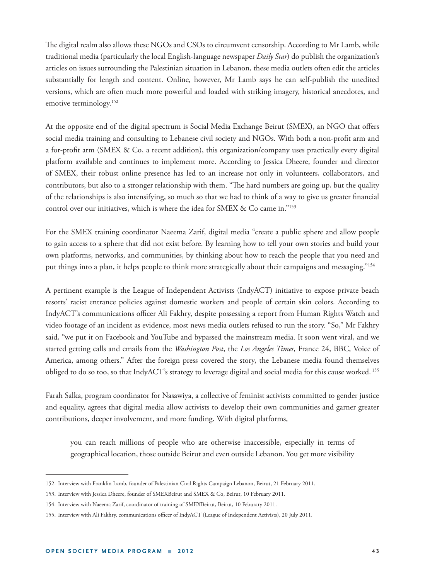The digital realm also allows these NGOs and CSOs to circumvent censorship. According to Mr Lamb, while traditional media (particularly the local English-language newspaper *Daily Star*) do publish the organization's articles on issues surrounding the Palestinian situation in Lebanon, these media outlets often edit the articles substantially for length and content. Online, however, Mr Lamb says he can self-publish the unedited versions, which are often much more powerful and loaded with striking imagery, historical anecdotes, and emotive terminology.<sup>152</sup>

At the opposite end of the digital spectrum is Social Media Exchange Beirut (SMEX), an NGO that offers social media training and consulting to Lebanese civil society and NGOs. With both a non-profit arm and a for-profit arm (SMEX & Co, a recent addition), this organization/company uses practically every digital platform available and continues to implement more. According to Jessica Dheere, founder and director of SMEX, their robust online presence has led to an increase not only in volunteers, collaborators, and contributors, but also to a stronger relationship with them. "The hard numbers are going up, but the quality of the relationships is also intensifying, so much so that we had to think of a way to give us greater financial control over our initiatives, which is where the idea for SMEX & Co came in."<sup>153</sup>

For the SMEX training coordinator Naeema Zarif, digital media "create a public sphere and allow people to gain access to a sphere that did not exist before. By learning how to tell your own stories and build your own platforms, networks, and communities, by thinking about how to reach the people that you need and put things into a plan, it helps people to think more strategically about their campaigns and messaging."154

A pertinent example is the League of Independent Activists (IndyACT) initiative to expose private beach resorts' racist entrance policies against domestic workers and people of certain skin colors. According to IndyACT's communications officer Ali Fakhry, despite possessing a report from Human Rights Watch and video footage of an incident as evidence, most news media outlets refused to run the story. "So," Mr Fakhry said, "we put it on Facebook and YouTube and bypassed the mainstream media. It soon went viral, and we started getting calls and emails from the *Washington Post*, the *Los Angeles Times*, France 24, BBC, Voice of America, among others." After the foreign press covered the story, the Lebanese media found themselves obliged to do so too, so that IndyACT's strategy to leverage digital and social media for this cause worked. 155

Farah Salka, program coordinator for Nasawiya, a collective of feminist activists committed to gender justice and equality, agrees that digital media allow activists to develop their own communities and garner greater contributions, deeper involvement, and more funding. With digital platforms,

you can reach millions of people who are otherwise inaccessible, especially in terms of geographical location, those outside Beirut and even outside Lebanon. You get more visibility

<sup>152.</sup> Interview with Franklin Lamb, founder of Palestinian Civil Rights Campaign Lebanon, Beirut, 21 February 2011.

<sup>153.</sup> Interview with Jessica Dheere, founder of SMEXBeirut and SMEX & Co, Beirut, 10 February 2011.

<sup>154.</sup> Interview with Naeema Zarif, coordinator of training of SMEXBeirut, Beirut, 10 Feburary 2011.

<sup>155.</sup> Interview with Ali Fakhry, communications officer of IndyACT (League of Independent Activists), 20 July 2011.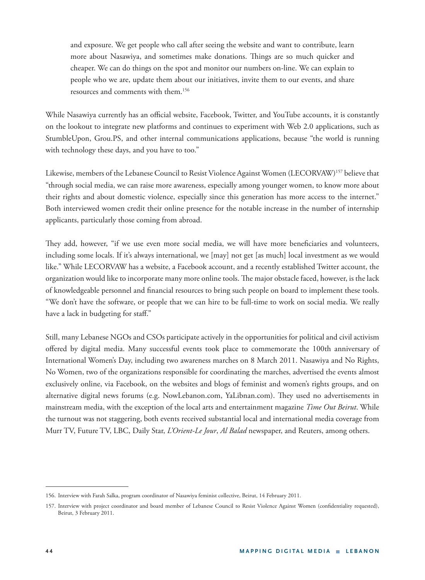and exposure. We get people who call after seeing the website and want to contribute, learn more about Nasawiya, and sometimes make donations. Things are so much quicker and cheaper. We can do things on the spot and monitor our numbers on-line. We can explain to people who we are, update them about our initiatives, invite them to our events, and share resources and comments with them.156

While Nasawiya currently has an official website, Facebook, Twitter, and YouTube accounts, it is constantly on the lookout to integrate new platforms and continues to experiment with Web 2.0 applications, such as StumbleUpon, Grou.PS, and other internal communications applications, because "the world is running with technology these days, and you have to too."

Likewise, members of the Lebanese Council to Resist Violence Against Women (LECORVAW)157 believe that "through social media, we can raise more awareness, especially among younger women, to know more about their rights and about domestic violence, especially since this generation has more access to the internet." Both interviewed women credit their online presence for the notable increase in the number of internship applicants, particularly those coming from abroad.

They add, however, "if we use even more social media, we will have more beneficiaries and volunteers, including some locals. If it's always international, we [may] not get [as much] local investment as we would like." While LECORVAW has a website, a Facebook account, and a recently established Twitter account, the organization would like to incorporate many more online tools. The major obstacle faced, however, is the lack of knowledgeable personnel and financial resources to bring such people on board to implement these tools. "We don't have the software, or people that we can hire to be full-time to work on social media. We really have a lack in budgeting for staff."

Still, many Lebanese NGOs and CSOs participate actively in the opportunities for political and civil activism offered by digital media. Many successful events took place to commemorate the 100th anniversary of International Women's Day, including two awareness marches on 8 March 2011. Nasawiya and No Rights, No Women, two of the organizations responsible for coordinating the marches, advertised the events almost exclusively online, via Facebook, on the websites and blogs of feminist and women's rights groups, and on alternative digital news forums (e.g. NowLebanon.com, YaLibnan.com). They used no advertisements in mainstream media, with the exception of the local arts and entertainment magazine *Time Out Beirut*. While the turnout was not staggering, both events received substantial local and international media coverage from Murr TV, Future TV, LBC, Daily Star, *L'Orient-Le Jour*, *Al Balad* newspaper, and Reuters, among others.

<sup>156.</sup> Interview with Farah Salka, program coordinator of Nasawiya feminist collective, Beirut, 14 February 2011.

<sup>157.</sup> Interview with project coordinator and board member of Lebanese Council to Resist Violence Against Women (confidentiality requested), Beirut, 3 February 2011.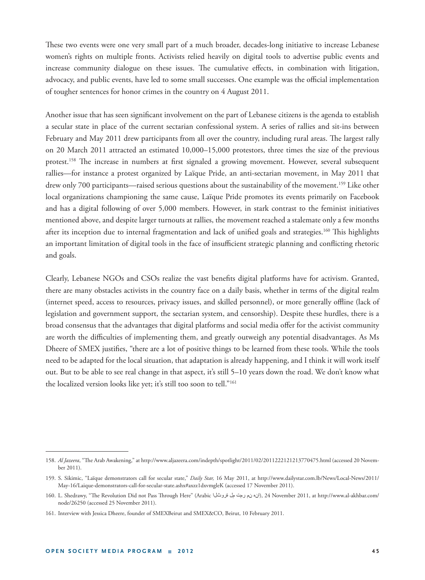These two events were one very small part of a much broader, decades-long initiative to increase Lebanese women's rights on multiple fronts. Activists relied heavily on digital tools to advertise public events and increase community dialogue on these issues. The cumulative effects, in combination with litigation, advocacy, and public events, have led to some small successes. One example was the official implementation of tougher sentences for honor crimes in the country on 4 August 2011.

Another issue that has seen significant involvement on the part of Lebanese citizens is the agenda to establish a secular state in place of the current sectarian confessional system. A series of rallies and sit-ins between February and May 2011 drew participants from all over the country, including rural areas. The largest rally on 20 March 2011 attracted an estimated 10,000–15,000 protestors, three times the size of the previous protest.<sup>158</sup> The increase in numbers at first signaled a growing movement. However, several subsequent rallies—for instance a protest organized by Laïque Pride, an anti-sectarian movement, in May 2011 that drew only 700 participants—raised serious questions about the sustainability of the movement.<sup>159</sup> Like other local organizations championing the same cause, Laïque Pride promotes its events primarily on Facebook and has a digital following of over 5,000 members. However, in stark contrast to the feminist initiatives mentioned above, and despite larger turnouts at rallies, the movement reached a stalemate only a few months after its inception due to internal fragmentation and lack of unified goals and strategies.<sup>160</sup> This highlights an important limitation of digital tools in the face of insufficient strategic planning and conflicting rhetoric and goals.

Clearly, Lebanese NGOs and CSOs realize the vast benefits digital platforms have for activism. Granted, there are many obstacles activists in the country face on a daily basis, whether in terms of the digital realm (internet speed, access to resources, privacy issues, and skilled personnel), or more generally offline (lack of legislation and government support, the sectarian system, and censorship). Despite these hurdles, there is a broad consensus that the advantages that digital platforms and social media offer for the activist community are worth the difficulties of implementing them, and greatly outweigh any potential disadvantages. As Ms Dheere of SMEX justifies, "there are a lot of positive things to be learned from these tools. While the tools need to be adapted for the local situation, that adaptation is already happening, and I think it will work itself out. But to be able to see real change in that aspect, it's still 5–10 years down the road. We don't know what the localized version looks like yet; it's still too soon to tell."161

<sup>158.</sup> Al Jazeera, "The Arab Awakening," at http://www.aljazeera.com/indepth/spotlight/2011/02/2011222121213770475.html (accessed 20 November 2011).

<sup>159.</sup> S. Sikimic, "Laïque demonstrators call for secular state," *Daily Star,* 16 May 2011, at http://www.dailystar.com.lb/News/Local-News/2011/ May-16/Laique-demonstrators-call-for-secular-state.ashx#axzz1dxvmgleK (accessed 17 November 2011).

<sup>160.</sup> L. Shedrawy, "The Revolution Did not Pass Through Here" (Arabic أن نم رمت مل نقروشلا), 24 November 2011, at http://www.al-akhbar.com/ node/26250 (accessed 25 November 2011).

<sup>161.</sup> Interview with Jessica Dheere, founder of SMEXBeirut and SMEX&CO, Beirut, 10 February 2011.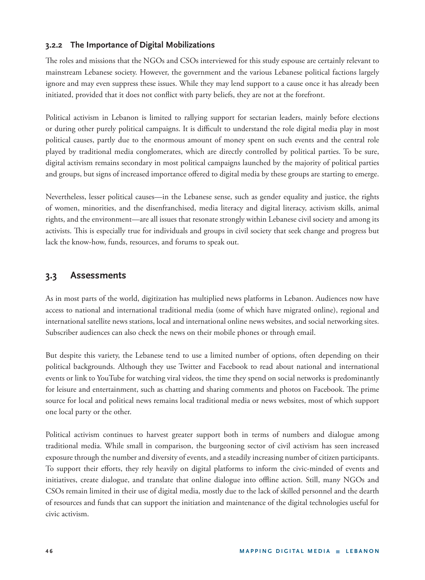## **3.2.2 The Importance of Digital Mobilizations**

The roles and missions that the NGOs and CSOs interviewed for this study espouse are certainly relevant to mainstream Lebanese society. However, the government and the various Lebanese political factions largely ignore and may even suppress these issues. While they may lend support to a cause once it has already been initiated, provided that it does not conflict with party beliefs, they are not at the forefront.

Political activism in Lebanon is limited to rallying support for sectarian leaders, mainly before elections or during other purely political campaigns. It is difficult to understand the role digital media play in most political causes, partly due to the enormous amount of money spent on such events and the central role played by traditional media conglomerates, which are directly controlled by political parties. To be sure, digital activism remains secondary in most political campaigns launched by the majority of political parties and groups, but signs of increased importance offered to digital media by these groups are starting to emerge.

Nevertheless, lesser political causes—in the Lebanese sense, such as gender equality and justice, the rights of women, minorities, and the disenfranchised, media literacy and digital literacy, activism skills, animal rights, and the environment—are all issues that resonate strongly within Lebanese civil society and among its activists. This is especially true for individuals and groups in civil society that seek change and progress but lack the know-how, funds, resources, and forums to speak out.

# **3.3 Assessments**

As in most parts of the world, digitization has multiplied news platforms in Lebanon. Audiences now have access to national and international traditional media (some of which have migrated online), regional and international satellite news stations, local and international online news websites, and social networking sites. Subscriber audiences can also check the news on their mobile phones or through email.

But despite this variety, the Lebanese tend to use a limited number of options, often depending on their political backgrounds. Although they use Twitter and Facebook to read about national and international events or link to YouTube for watching viral videos, the time they spend on social networks is predominantly for leisure and entertainment, such as chatting and sharing comments and photos on Facebook. The prime source for local and political news remains local traditional media or news websites, most of which support one local party or the other.

Political activism continues to harvest greater support both in terms of numbers and dialogue among traditional media. While small in comparison, the burgeoning sector of civil activism has seen increased exposure through the number and diversity of events, and a steadily increasing number of citizen participants. To support their efforts, they rely heavily on digital platforms to inform the civic-minded of events and initiatives, create dialogue, and translate that online dialogue into offline action. Still, many NGOs and CSOs remain limited in their use of digital media, mostly due to the lack of skilled personnel and the dearth of resources and funds that can support the initiation and maintenance of the digital technologies useful for civic activism.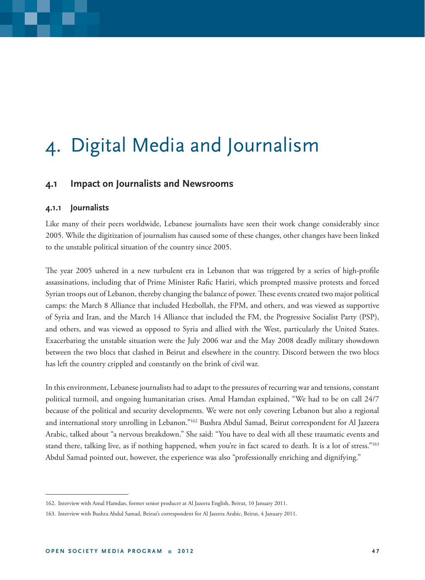# 4. Digital Media and Journalism

## **4.1 Impact on Journalists and Newsrooms**

### **4.1.1 Journalists**

Like many of their peers worldwide, Lebanese journalists have seen their work change considerably since 2005. While the digitization of journalism has caused some of these changes, other changes have been linked to the unstable political situation of the country since 2005.

The year 2005 ushered in a new turbulent era in Lebanon that was triggered by a series of high-profile assassinations, including that of Prime Minister Rafic Hariri, which prompted massive protests and forced Syrian troops out of Lebanon, thereby changing the balance of power. These events created two major political camps: the March 8 Alliance that included Hezbollah, the FPM, and others, and was viewed as supportive of Syria and Iran, and the March 14 Alliance that included the FM, the Progressive Socialist Party (PSP), and others, and was viewed as opposed to Syria and allied with the West, particularly the United States. Exacerbating the unstable situation were the July 2006 war and the May 2008 deadly military showdown between the two blocs that clashed in Beirut and elsewhere in the country. Discord between the two blocs has left the country crippled and constantly on the brink of civil war.

In this environment, Lebanese journalists had to adapt to the pressures of recurring war and tensions, constant political turmoil, and ongoing humanitarian crises. Amal Hamdan explained, "We had to be on call 24/7 because of the political and security developments. We were not only covering Lebanon but also a regional and international story unrolling in Lebanon."162 Bushra Abdul Samad, Beirut correspondent for Al Jazeera Arabic, talked about "a nervous breakdown." She said: "You have to deal with all these traumatic events and stand there, talking live, as if nothing happened, when you're in fact scared to death. It is a lot of stress."<sup>163</sup> Abdul Samad pointed out, however, the experience was also "professionally enriching and dignifying."

<sup>162.</sup> Interview with Amal Hamdan, former senior producer at Al Jazeera English, Beirut, 10 January 2011.

<sup>163.</sup> Interview with Bushra Abdul Samad, Beirut's correspondent for Al Jazeera Arabic, Beirut, 4 January 2011.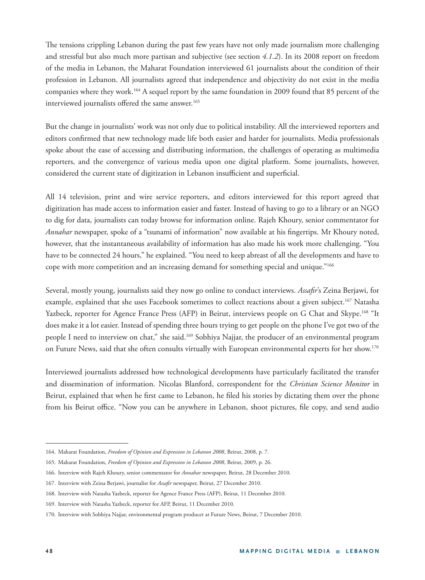The tensions crippling Lebanon during the past few years have not only made journalism more challenging and stressful but also much more partisan and subjective (see section *4.1.2*). In its 2008 report on freedom of the media in Lebanon, the Maharat Foundation interviewed 61 journalists about the condition of their profession in Lebanon. All journalists agreed that independence and objectivity do not exist in the media companies where they work.<sup>164</sup> A sequel report by the same foundation in 2009 found that 85 percent of the interviewed journalists offered the same answer.<sup>165</sup>

But the change in journalists' work was not only due to political instability. All the interviewed reporters and editors confirmed that new technology made life both easier and harder for journalists. Media professionals spoke about the ease of accessing and distributing information, the challenges of operating as multimedia reporters, and the convergence of various media upon one digital platform. Some journalists, however, considered the current state of digitization in Lebanon insufficient and superficial.

All 14 television, print and wire service reporters, and editors interviewed for this report agreed that digitization has made access to information easier and faster. Instead of having to go to a library or an NGO to dig for data, journalists can today browse for information online. Rajeh Khoury, senior commentator for *Annahar* newspaper, spoke of a "tsunami of information" now available at his fingertips. Mr Khoury noted, however, that the instantaneous availability of information has also made his work more challenging. "You have to be connected 24 hours," he explained. "You need to keep abreast of all the developments and have to cope with more competition and an increasing demand for something special and unique."166

Several, mostly young, journalists said they now go online to conduct interviews. *Assafir's* Zeina Berjawi, for example, explained that she uses Facebook sometimes to collect reactions about a given subject.<sup>167</sup> Natasha Yazbeck, reporter for Agence France Press (AFP) in Beirut, interviews people on G Chat and Skype.<sup>168</sup> "It does make it a lot easier. Instead of spending three hours trying to get people on the phone I've got two of the people I need to interview on chat," she said.<sup>169</sup> Sobhiya Najjar, the producer of an environmental program on Future News, said that she often consults virtually with European environmental experts for her show.170

Interviewed journalists addressed how technological developments have particularly facilitated the transfer and dissemination of information. Nicolas Blanford, correspondent for the *Christian Science Monitor* in Beirut, explained that when he first came to Lebanon, he filed his stories by dictating them over the phone from his Beirut office. "Now you can be anywhere in Lebanon, shoot pictures, file copy, and send audio

<sup>164.</sup> Maharat Foundation, *Freedom of Opinion and Expression in Lebanon 2008*, Beirut, 2008, p. 7.

<sup>165.</sup> Maharat Foundation, *Freedom of Opinion and Expression in Lebanon 2008*, Beirut, 2009, p. 26.

<sup>166.</sup> Interview with Rajeh Khoury, senior commentator for *Annahar* newspaper, Beirut, 28 December 2010.

<sup>167.</sup> Interview with Zeina Berjawi, journalist for *Assafi r* newspaper, Beirut, 27 December 2010.

<sup>168.</sup> Interview with Natasha Yazbeck, reporter for Agence France Press (AFP), Beirut, 11 December 2010.

<sup>169.</sup> Interview with Natasha Yazbeck, reporter for AFP, Beirut, 11 December 2010.

<sup>170.</sup> Interview with Sobhiya Najjar, environmental program producer at Future News, Beirut, 7 December 2010.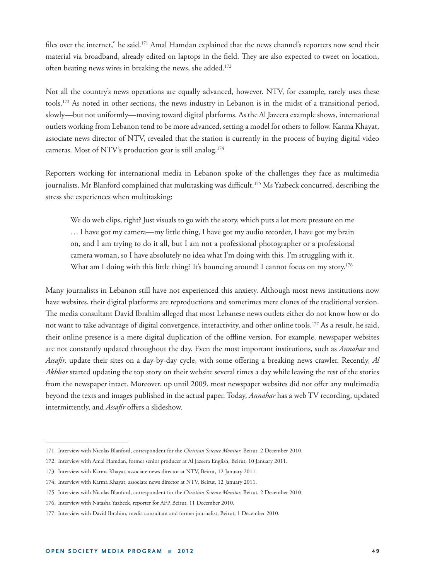files over the internet," he said.<sup>171</sup> Amal Hamdan explained that the news channel's reporters now send their material via broadband, already edited on laptops in the field. They are also expected to tweet on location, often beating news wires in breaking the news, she added.<sup>172</sup>

Not all the country's news operations are equally advanced, however. NTV, for example, rarely uses these tools.173 As noted in other sections, the news industry in Lebanon is in the midst of a transitional period, slowly—but not uniformly—moving toward digital platforms. As the Al Jazeera example shows, international outlets working from Lebanon tend to be more advanced, setting a model for others to follow. Karma Khayat, associate news director of NTV, revealed that the station is currently in the process of buying digital video cameras. Most of NTV's production gear is still analog.174

Reporters working for international media in Lebanon spoke of the challenges they face as multimedia journalists. Mr Blanford complained that multitasking was difficult.<sup>175</sup> Ms Yazbeck concurred, describing the stress she experiences when multitasking:

We do web clips, right? Just visuals to go with the story, which puts a lot more pressure on me … I have got my camera—my little thing, I have got my audio recorder, I have got my brain on, and I am trying to do it all, but I am not a professional photographer or a professional camera woman, so I have absolutely no idea what I'm doing with this. I'm struggling with it. What am I doing with this little thing? It's bouncing around! I cannot focus on my story.<sup>176</sup>

Many journalists in Lebanon still have not experienced this anxiety. Although most news institutions now have websites, their digital platforms are reproductions and sometimes mere clones of the traditional version. The media consultant David Ibrahim alleged that most Lebanese news outlets either do not know how or do not want to take advantage of digital convergence, interactivity, and other online tools.177 As a result, he said, their online presence is a mere digital duplication of the offline version. For example, newspaper websites are not constantly updated throughout the day. Even the most important institutions, such as *Annahar* and Assafir, update their sites on a day-by-day cycle, with some offering a breaking news crawler. Recently, *Al Akhbar* started updating the top story on their website several times a day while leaving the rest of the stories from the newspaper intact. Moreover, up until 2009, most newspaper websites did not offer any multimedia beyond the texts and images published in the actual paper. Today, *Annahar* has a web TV recording, updated intermittently, and *Assafir* offers a slideshow.

<sup>171.</sup> Interview with Nicolas Blanford, correspondent for the *Christian Science Monitor*, Beirut, 2 December 2010.

<sup>172.</sup> Interview with Amal Hamdan, former senior producer at Al Jazeera English, Beirut, 10 January 2011.

<sup>173.</sup> Interview with Karma Khayat, associate news director at NTV, Beirut, 12 January 2011.

<sup>174.</sup> Interview with Karma Khayat, associate news director at NTV, Beirut, 12 January 2011.

<sup>175.</sup> Interview with Nicolas Blanford, correspondent for the *Christian Science Monitor*, Beirut, 2 December 2010.

<sup>176.</sup> Interview with Natasha Yazbeck, reporter for AFP, Beirut, 11 December 2010.

<sup>177.</sup> Interview with David Ibrahim, media consultant and former journalist, Beirut, 1 December 2010.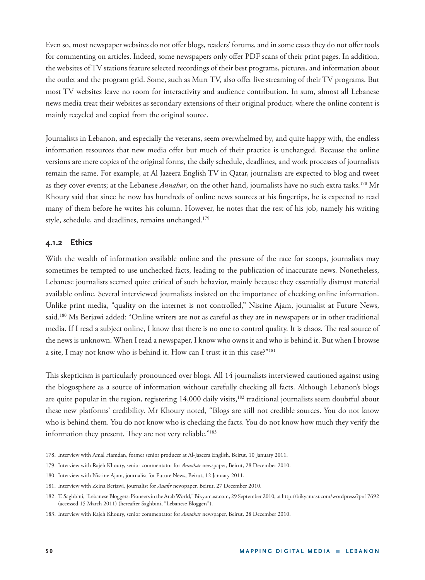Even so, most newspaper websites do not offer blogs, readers' forums, and in some cases they do not offer tools for commenting on articles. Indeed, some newspapers only offer PDF scans of their print pages. In addition, the websites of TV stations feature selected recordings of their best programs, pictures, and information about the outlet and the program grid. Some, such as Murr TV, also offer live streaming of their TV programs. But most TV websites leave no room for interactivity and audience contribution. In sum, almost all Lebanese news media treat their websites as secondary extensions of their original product, where the online content is mainly recycled and copied from the original source.

Journalists in Lebanon, and especially the veterans, seem overwhelmed by, and quite happy with, the endless information resources that new media offer but much of their practice is unchanged. Because the online versions are mere copies of the original forms, the daily schedule, deadlines, and work processes of journalists remain the same. For example, at Al Jazeera English TV in Qatar, journalists are expected to blog and tweet as they cover events; at the Lebanese *Annahar*, on the other hand, journalists have no such extra tasks.178 Mr Khoury said that since he now has hundreds of online news sources at his fingertips, he is expected to read many of them before he writes his column. However, he notes that the rest of his job, namely his writing style, schedule, and deadlines, remains unchanged.<sup>179</sup>

## **4.1.2 Ethics**

With the wealth of information available online and the pressure of the race for scoops, journalists may sometimes be tempted to use unchecked facts, leading to the publication of inaccurate news. Nonetheless, Lebanese journalists seemed quite critical of such behavior, mainly because they essentially distrust material available online. Several interviewed journalists insisted on the importance of checking online information. Unlike print media, "quality on the internet is not controlled," Nisrine Ajam, journalist at Future News, said.180 Ms Berjawi added: "Online writers are not as careful as they are in newspapers or in other traditional media. If I read a subject online, I know that there is no one to control quality. It is chaos. The real source of the news is unknown. When I read a newspaper, I know who owns it and who is behind it. But when I browse a site, I may not know who is behind it. How can I trust it in this case?"181

This skepticism is particularly pronounced over blogs. All 14 journalists interviewed cautioned against using the blogosphere as a source of information without carefully checking all facts. Although Lebanon's blogs are quite popular in the region, registering 14,000 daily visits,<sup>182</sup> traditional journalists seem doubtful about these new platforms' credibility. Mr Khoury noted, "Blogs are still not credible sources. You do not know who is behind them. You do not know who is checking the facts. You do not know how much they verify the information they present. They are not very reliable."<sup>183</sup>

<sup>178.</sup> Interview with Amal Hamdan, former senior producer at Al-Jazeera English, Beirut, 10 January 2011.

<sup>179.</sup> Interview with Rajeh Khoury, senior commentator for *Annahar* newspaper, Beirut, 28 December 2010.

<sup>180.</sup> Interview with Nisrine Ajam, journalist for Future News, Beirut, 12 January 2011.

<sup>181.</sup> Interview with Zeina Berjawi, journalist for *Assafir* newspaper, Beirut, 27 December 2010.

<sup>182.</sup> T. Saghbini, "Lebanese Bloggers: Pioneers in the Arab World,"Bikyamasr.com, 29 September 2010, at http://bikyamasr.com/wordpress/?p=17692 (accessed 15 March 2011) (hereafter Saghbini, "Lebanese Bloggers").

<sup>183.</sup> Interview with Rajeh Khoury, senior commentator for *Annahar* newspaper, Beirut, 28 December 2010.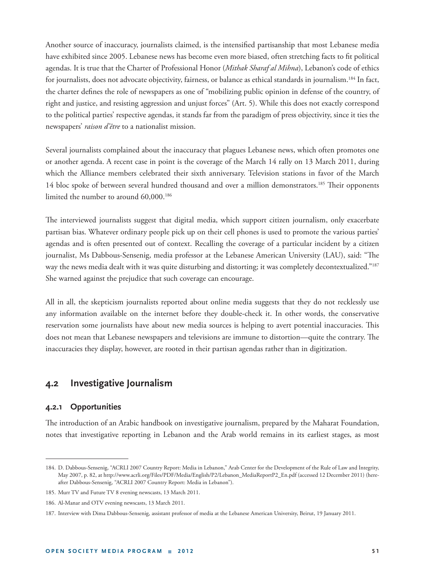Another source of inaccuracy, journalists claimed, is the intensified partisanship that most Lebanese media have exhibited since 2005. Lebanese news has become even more biased, often stretching facts to fit political agendas. It is true that the Charter of Professional Honor (*Mithak Sharaf al Mihna*), Lebanon's code of ethics for journalists, does not advocate objectivity, fairness, or balance as ethical standards in journalism.184 In fact, the charter defines the role of newspapers as one of "mobilizing public opinion in defense of the country, of right and justice, and resisting aggression and unjust forces" (Art. 5). While this does not exactly correspond to the political parties' respective agendas, it stands far from the paradigm of press objectivity, since it ties the newspapers' *raison d'être* to a nationalist mission.

Several journalists complained about the inaccuracy that plagues Lebanese news, which often promotes one or another agenda. A recent case in point is the coverage of the March 14 rally on 13 March 2011, during which the Alliance members celebrated their sixth anniversary. Television stations in favor of the March 14 bloc spoke of between several hundred thousand and over a million demonstrators.<sup>185</sup> Their opponents limited the number to around 60,000.<sup>186</sup>

The interviewed journalists suggest that digital media, which support citizen journalism, only exacerbate partisan bias. Whatever ordinary people pick up on their cell phones is used to promote the various parties' agendas and is often presented out of context. Recalling the coverage of a particular incident by a citizen journalist, Ms Dabbous-Sensenig, media professor at the Lebanese American University (LAU), said: "The way the news media dealt with it was quite disturbing and distorting; it was completely decontextualized."187 She warned against the prejudice that such coverage can encourage.

All in all, the skepticism journalists reported about online media suggests that they do not recklessly use any information available on the internet before they double-check it. In other words, the conservative reservation some journalists have about new media sources is helping to avert potential inaccuracies. This does not mean that Lebanese newspapers and televisions are immune to distortion—quite the contrary. The inaccuracies they display, however, are rooted in their partisan agendas rather than in digitization.

## **4.2 Investigative Journalism**

### **4.2.1 Opportunities**

The introduction of an Arabic handbook on investigative journalism, prepared by the Maharat Foundation, notes that investigative reporting in Lebanon and the Arab world remains in its earliest stages, as most

<sup>184.</sup> D. Dabbous-Sensenig, "ACRLI 2007 Country Report: Media in Lebanon," Arab Center for the Development of the Rule of Law and Integrity, May 2007, p. 82, at http://www.acrli.org/Files/PDF/Media/English/P2/Lebanon\_MediaReportP2\_En.pdf (accessed 12 December 2011) (hereafter Dabbous-Sensenig, "ACRLI 2007 Country Report: Media in Lebanon").

<sup>185.</sup> Murr TV and Future TV 8 evening newscasts, 13 March 2011.

<sup>186.</sup> Al-Manar and OTV evening newscasts, 13 March 2011.

<sup>187.</sup> Interview with Dima Dabbous-Sensenig, assistant professor of media at the Lebanese American University, Beirut, 19 January 2011.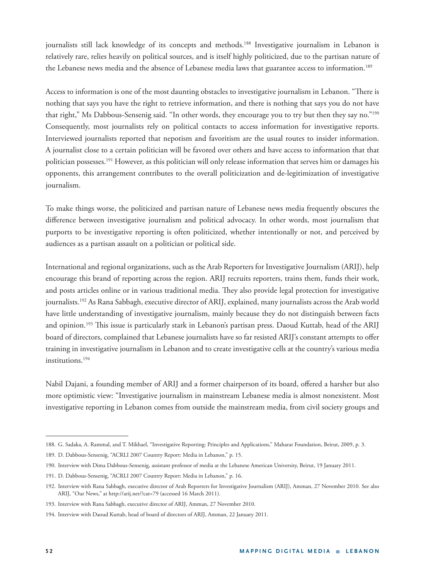journalists still lack knowledge of its concepts and methods.188 Investigative journalism in Lebanon is relatively rare, relies heavily on political sources, and is itself highly politicized, due to the partisan nature of the Lebanese news media and the absence of Lebanese media laws that guarantee access to information.189

Access to information is one of the most daunting obstacles to investigative journalism in Lebanon. "There is nothing that says you have the right to retrieve information, and there is nothing that says you do not have that right," Ms Dabbous-Sensenig said. "In other words, they encourage you to try but then they say no."<sup>190</sup> Consequently, most journalists rely on political contacts to access information for investigative reports. Interviewed journalists reported that nepotism and favoritism are the usual routes to insider information. A journalist close to a certain politician will be favored over others and have access to information that that politician possesses.191 However, as this politician will only release information that serves him or damages his opponents, this arrangement contributes to the overall politicization and de-legitimization of investigative journalism.

To make things worse, the politicized and partisan nature of Lebanese news media frequently obscures the difference between investigative journalism and political advocacy. In other words, most journalism that purports to be investigative reporting is often politicized, whether intentionally or not, and perceived by audiences as a partisan assault on a politician or political side.

International and regional organizations, such as the Arab Reporters for Investigative Journalism (ARIJ), help encourage this brand of reporting across the region. ARIJ recruits reporters, trains them, funds their work, and posts articles online or in various traditional media. They also provide legal protection for investigative journalists.192 As Rana Sabbagh, executive director of ARIJ, explained, many journalists across the Arab world have little understanding of investigative journalism, mainly because they do not distinguish between facts and opinion.<sup>193</sup> This issue is particularly stark in Lebanon's partisan press. Daoud Kuttab, head of the ARIJ board of directors, complained that Lebanese journalists have so far resisted ARIJ's constant attempts to offer training in investigative journalism in Lebanon and to create investigative cells at the country's various media institutions.194

Nabil Dajani, a founding member of ARIJ and a former chairperson of its board, offered a harsher but also more optimistic view: "Investigative journalism in mainstream Lebanese media is almost nonexistent. Most investigative reporting in Lebanon comes from outside the mainstream media, from civil society groups and

<sup>188.</sup> G. Sadaka, A. Rammal, and T. Mikhael, "Investigative Reporting: Principles and Applications," Maharat Foundation, Beirut, 2009, p. 3.

<sup>189.</sup> D. Dabbous-Sensenig, "ACRLI 2007 Country Report: Media in Lebanon," p. 15.

<sup>190.</sup> Interview with Dima Dabbous-Sensenig, assistant professor of media at the Lebanese American University, Beirut, 19 January 2011.

<sup>191.</sup> D. Dabbous-Sensenig, "ACRLI 2007 Country Report: Media in Lebanon," p. 16.

<sup>192.</sup> Interview with Rana Sabbagh, executive director of Arab Reporters for Investigative Journalism (ARIJ), Amman, 27 November 2010. See also ARIJ, "Our News," at http://arij.net/?cat=79 (accessed 16 March 2011).

<sup>193.</sup> Interview with Rana Sabbagh, executive director of ARIJ, Amman, 27 November 2010.

<sup>194.</sup> Interview with Daoud Kuttab, head of board of directors of ARIJ, Amman, 22 January 2011.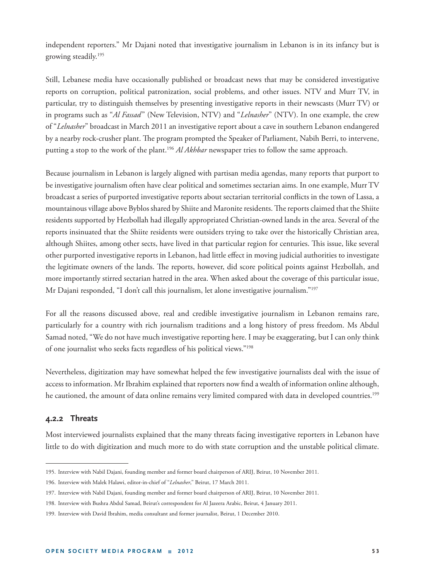independent reporters." Mr Dajani noted that investigative journalism in Lebanon is in its infancy but is growing steadily.195

Still, Lebanese media have occasionally published or broadcast news that may be considered investigative reports on corruption, political patronization, social problems, and other issues. NTV and Murr TV, in particular, try to distinguish themselves by presenting investigative reports in their newscasts (Murr TV) or in programs such as "*Al Fassad*" (New Television, NTV) and "*Lelnasher*" (NTV). In one example, the crew of "*Lelnasher*" broadcast in March 2011 an investigative report about a cave in southern Lebanon endangered by a nearby rock-crusher plant. The program prompted the Speaker of Parliament, Nabih Berri, to intervene, putting a stop to the work of the plant.196 *Al Akhbar* newspaper tries to follow the same approach.

Because journalism in Lebanon is largely aligned with partisan media agendas, many reports that purport to be investigative journalism often have clear political and sometimes sectarian aims. In one example, Murr TV broadcast a series of purported investigative reports about sectarian territorial conflicts in the town of Lassa, a mountainous village above Byblos shared by Shiite and Maronite residents. The reports claimed that the Shiite residents supported by Hezbollah had illegally appropriated Christian-owned lands in the area. Several of the reports insinuated that the Shiite residents were outsiders trying to take over the historically Christian area, although Shiites, among other sects, have lived in that particular region for centuries. This issue, like several other purported investigative reports in Lebanon, had little effect in moving judicial authorities to investigate the legitimate owners of the lands. The reports, however, did score political points against Hezbollah, and more importantly stirred sectarian hatred in the area. When asked about the coverage of this particular issue, Mr Dajani responded, "I don't call this journalism, let alone investigative journalism."<sup>197</sup>

For all the reasons discussed above, real and credible investigative journalism in Lebanon remains rare, particularly for a country with rich journalism traditions and a long history of press freedom. Ms Abdul Samad noted, "We do not have much investigative reporting here. I may be exaggerating, but I can only think of one journalist who seeks facts regardless of his political views."198

Nevertheless, digitization may have somewhat helped the few investigative journalists deal with the issue of access to information. Mr Ibrahim explained that reporters now find a wealth of information online although, he cautioned, the amount of data online remains very limited compared with data in developed countries.<sup>199</sup>

### **4.2.2 Threats**

Most interviewed journalists explained that the many threats facing investigative reporters in Lebanon have little to do with digitization and much more to do with state corruption and the unstable political climate.

<sup>195.</sup> Interview with Nabil Dajani, founding member and former board chairperson of ARIJ, Beirut, 10 November 2011.

<sup>196.</sup> Interview with Malek Halawi, editor-in-chief of "*Lelnasher*," Beirut, 17 March 2011.

<sup>197.</sup> Interview with Nabil Dajani, founding member and former board chairperson of ARIJ, Beirut, 10 November 2011.

<sup>198.</sup> Interview with Bushra Abdul Samad, Beirut's correspondent for Al Jazeera Arabic, Beirut, 4 January 2011.

<sup>199.</sup> Interview with David Ibrahim, media consultant and former journalist, Beirut, 1 December 2010.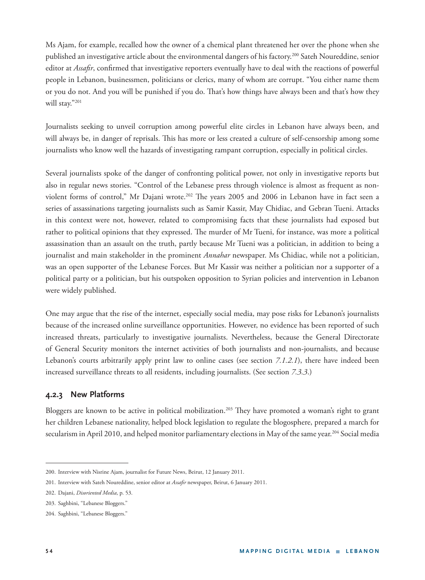Ms Ajam, for example, recalled how the owner of a chemical plant threatened her over the phone when she published an investigative article about the environmental dangers of his factory.200 Sateh Noureddine, senior editor at *Assafir*, confirmed that investigative reporters eventually have to deal with the reactions of powerful people in Lebanon, businessmen, politicians or clerics, many of whom are corrupt. "You either name them or you do not. And you will be punished if you do. That's how things have always been and that's how they will stay."201

Journalists seeking to unveil corruption among powerful elite circles in Lebanon have always been, and will always be, in danger of reprisals. This has more or less created a culture of self-censorship among some journalists who know well the hazards of investigating rampant corruption, especially in political circles.

Several journalists spoke of the danger of confronting political power, not only in investigative reports but also in regular news stories. "Control of the Lebanese press through violence is almost as frequent as nonviolent forms of control," Mr Dajani wrote.<sup>202</sup> The years 2005 and 2006 in Lebanon have in fact seen a series of assassinations targeting journalists such as Samir Kassir, May Chidiac, and Gebran Tueni. Attacks in this context were not, however, related to compromising facts that these journalists had exposed but rather to political opinions that they expressed. The murder of Mr Tueni, for instance, was more a political assassination than an assault on the truth, partly because Mr Tueni was a politician, in addition to being a journalist and main stakeholder in the prominent *Annahar* newspaper. Ms Chidiac, while not a politician, was an open supporter of the Lebanese Forces. But Mr Kassir was neither a politician nor a supporter of a political party or a politician, but his outspoken opposition to Syrian policies and intervention in Lebanon were widely published.

One may argue that the rise of the internet, especially social media, may pose risks for Lebanon's journalists because of the increased online surveillance opportunities. However, no evidence has been reported of such increased threats, particularly to investigative journalists. Nevertheless, because the General Directorate of General Security monitors the internet activities of both journalists and non-journalists, and because Lebanon's courts arbitrarily apply print law to online cases (see section *7.1.2.1*), there have indeed been increased surveillance threats to all residents, including journalists. (See section *7.3.3*.)

## **4.2.3 New Platforms**

Bloggers are known to be active in political mobilization.<sup>203</sup> They have promoted a woman's right to grant her children Lebanese nationality, helped block legislation to regulate the blogosphere, prepared a march for secularism in April 2010, and helped monitor parliamentary elections in May of the same year.<sup>204</sup> Social media

<sup>200.</sup> Interview with Nisrine Ajam, journalist for Future News, Beirut, 12 January 2011.

<sup>201.</sup> Interview with Sateh Noureddine, senior editor at *Assafir* newspaper, Beirut, 6 January 2011.

<sup>202.</sup> Dajani, *Disoriented Media*, p. 53.

<sup>203.</sup> Saghbini, "Lebanese Bloggers."

<sup>204.</sup> Saghbini, "Lebanese Bloggers."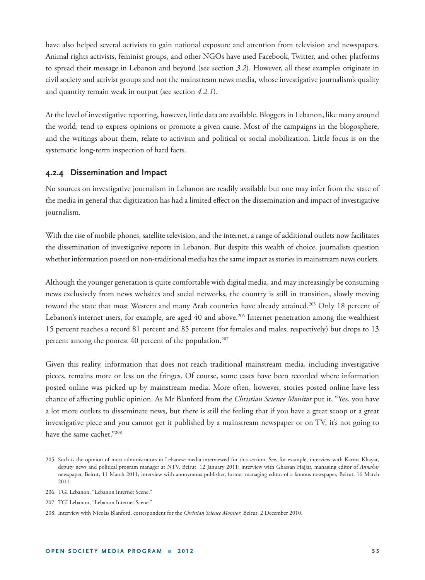have also helped several activists to gain national exposure and attention from television and newspapers. Animal rights activists, feminist groups, and other NGOs have used Facebook, Twitter, and other platforms to spread their message in Lebanon and beyond (see section *3.2*). However, all these examples originate in civil society and activist groups and not the mainstream news media, whose investigative journalism's quality and quantity remain weak in output (see section *4.2.1*).

At the level of investigative reporting, however, little data are available. Bloggers in Lebanon, like many around the world, tend to express opinions or promote a given cause. Most of the campaigns in the blogosphere, and the writings about them, relate to activism and political or social mobilization. Little focus is on the systematic long-term inspection of hard facts.

#### **4.2.4 Dissemination and Impact**

No sources on investigative journalism in Lebanon are readily available but one may infer from the state of the media in general that digitization has had a limited effect on the dissemination and impact of investigative journalism.

With the rise of mobile phones, satellite television, and the internet, a range of additional outlets now facilitates the dissemination of investigative reports in Lebanon. But despite this wealth of choice, journalists question whether information posted on non-traditional media has the same impact as stories in mainstream news outlets.

Although the younger generation is quite comfortable with digital media, and may increasingly be consuming news exclusively from news websites and social networks, the country is still in transition, slowly moving toward the state that most Western and many Arab countries have already attained.<sup>205</sup> Only 18 percent of Lebanon's internet users, for example, are aged 40 and above.<sup>206</sup> Internet penetration among the wealthiest 15 percent reaches a record 81 percent and 85 percent (for females and males, respectively) but drops to 13 percent among the poorest 40 percent of the population.<sup>207</sup>

Given this reality, information that does not reach traditional mainstream media, including investigative pieces, remains more or less on the fringes. Of course, some cases have been recorded where information posted online was picked up by mainstream media. More often, however, stories posted online have less chance of affecting public opinion. As Mr Blanford from the *Christian Science Monitor* put it, "Yes, you have a lot more outlets to disseminate news, but there is still the feeling that if you have a great scoop or a great investigative piece and you cannot get it published by a mainstream newspaper or on TV, it's not going to have the same cachet."208

<sup>205.</sup> Such is the opinion of most administrators in Lebanese media interviewed for this section. See, for example, interview with Karma Khayat, deputy news and political program manager at NTV, Beirut, 12 January 2011; interview with Ghassan Hajjar, managing editor of *Annahar* newspaper, Beirut, 11 March 2011; interview with anonymous publisher, former managing editor of a famous newspaper, Beirut, 16 March 2011.

<sup>206.</sup> TGI Lebanon, "Lebanon Internet Scene."

<sup>207.</sup> TGI Lebanon, "Lebanon Internet Scene."

<sup>208.</sup> Interview with Nicolas Blanford, correspondent for the *Christian Science Monitor*, Beirut, 2 December 2010.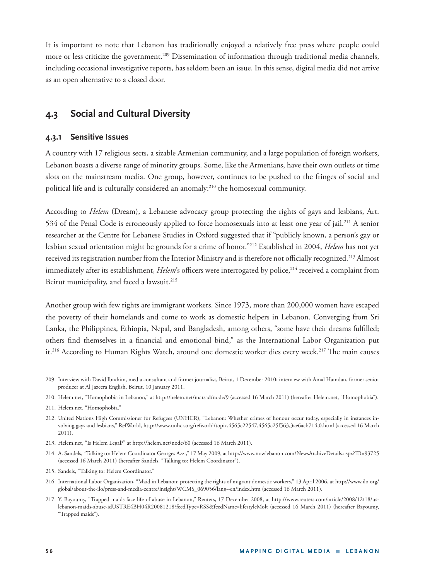It is important to note that Lebanon has traditionally enjoyed a relatively free press where people could more or less criticize the government.<sup>209</sup> Dissemination of information through traditional media channels, including occasional investigative reports, has seldom been an issue. In this sense, digital media did not arrive as an open alternative to a closed door.

# **4.3 Social and Cultural Diversity**

## **4.3.1 Sensitive Issues**

A country with 17 religious sects, a sizable Armenian community, and a large population of foreign workers, Lebanon boasts a diverse range of minority groups. Some, like the Armenians, have their own outlets or time slots on the mainstream media. One group, however, continues to be pushed to the fringes of social and political life and is culturally considered an anomaly:210 the homosexual community.

According to *Helem* (Dream), a Lebanese advocacy group protecting the rights of gays and lesbians, Art. 534 of the Penal Code is erroneously applied to force homosexuals into at least one year of jail.211 A senior researcher at the Centre for Lebanese Studies in Oxford suggested that if "publicly known, a person's gay or lesbian sexual orientation might be grounds for a crime of honor."212 Established in 2004, *Helem* has not yet received its registration number from the Interior Ministry and is therefore not officially recognized.<sup>213</sup> Almost immediately after its establishment, *Helem*'s officers were interrogated by police,<sup>214</sup> received a complaint from Beirut municipality, and faced a lawsuit.<sup>215</sup>

Another group with few rights are immigrant workers. Since 1973, more than 200,000 women have escaped the poverty of their homelands and come to work as domestic helpers in Lebanon. Converging from Sri Lanka, the Philippines, Ethiopia, Nepal, and Bangladesh, among others, "some have their dreams fulfilled; others find themselves in a financial and emotional bind," as the International Labor Organization put it.<sup>216</sup> According to Human Rights Watch, around one domestic worker dies every week.<sup>217</sup> The main causes

<sup>209.</sup> Interview with David Ibrahim, media consultant and former journalist, Beirut, 1 December 2010; interview with Amal Hamdan, former senior producer at Al Jazeera English, Beirut, 10 January 2011.

<sup>210.</sup> Helem.net, "Homophobia in Lebanon," at http://helem.net/marsad/node/9 (accessed 16 March 2011) (hereafter Helem.net, "Homophobia").

<sup>211.</sup> Helem.net, "Homophobia."

<sup>212.</sup> United Nations High Commissioner for Refugees (UNHCR), "Lebanon: Whether crimes of honour occur today, especially in instances involving gays and lesbians," RefWorld, http://www.unhcr.org/refworld/topic,4565c22547,4565c25f563,3ae6acb714,0.html (accessed 16 March 2011).

<sup>213.</sup> Helem.net, "Is Helem Legal?" at http://helem.net/node/60 (accessed 16 March 2011).

<sup>214.</sup> A. Sandels, "Talking to: Helem Coordinator Georges Azzi," 17 May 2009, at http://www.nowlebanon.com/NewsArchiveDetails.aspx?ID=93725 (accessed 16 March 2011) (hereafter Sandels, "Talking to: Helem Coordinator").

<sup>215.</sup> Sandels, "Talking to: Helem Coordinator."

<sup>216.</sup> International Labor Organization, "Maid in Lebanon: protecting the rights of migrant domestic workers," 13 April 2006, at http://www.ilo.org/ global/about-the-ilo/press-and-media-centre/insight/WCMS\_069056/lang--en/index.htm (accessed 16 March 2011).

<sup>217.</sup> Y. Bayoumy, "Trapped maids face life of abuse in Lebanon," Reuters, 17 December 2008, at http://www.reuters.com/article/2008/12/18/uslebanon-maids-abuse-idUSTRE4BH04R20081218?feedType=RSS&feedName=lifestyleMolt (accessed 16 March 2011) (hereafter Bayoumy, "Trapped maids").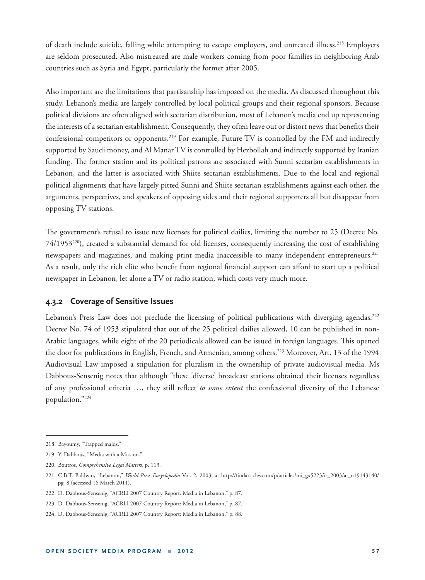of death include suicide, falling while attempting to escape employers, and untreated illness.218 Employers are seldom prosecuted. Also mistreated are male workers coming from poor families in neighboring Arab countries such as Syria and Egypt, particularly the former after 2005.

Also important are the limitations that partisanship has imposed on the media. As discussed throughout this study, Lebanon's media are largely controlled by local political groups and their regional sponsors. Because political divisions are often aligned with sectarian distribution, most of Lebanon's media end up representing the interests of a sectarian establishment. Consequently, they often leave out or distort news that benefits their confessional competitors or opponents.<sup>219</sup> For example, Future TV is controlled by the FM and indirectly supported by Saudi money, and Al Manar TV is controlled by Hezbollah and indirectly supported by Iranian funding. The former station and its political patrons are associated with Sunni sectarian establishments in Lebanon, and the latter is associated with Shiite sectarian establishments. Due to the local and regional political alignments that have largely pitted Sunni and Shiite sectarian establishments against each other, the arguments, perspectives, and speakers of opposing sides and their regional supporters all but disappear from opposing TV stations.

The government's refusal to issue new licenses for political dailies, limiting the number to 25 (Decree No.  $74/1953^{220}$ ), created a substantial demand for old licenses, consequently increasing the cost of establishing newspapers and magazines, and making print media inaccessible to many independent entrepreneurs.<sup>221</sup> As a result, only the rich elite who benefit from regional financial support can afford to start up a political newspaper in Lebanon, let alone a TV or radio station, which costs very much more.

### **4.3.2 Coverage of Sensitive Issues**

Lebanon's Press Law does not preclude the licensing of political publications with diverging agendas.<sup>222</sup> Decree No. 74 of 1953 stipulated that out of the 25 political dailies allowed, 10 can be published in non-Arabic languages, while eight of the 20 periodicals allowed can be issued in foreign languages. This opened the door for publications in English, French, and Armenian, among others.<sup>223</sup> Moreover, Art. 13 of the 1994 Audiovisual Law imposed a stipulation for pluralism in the ownership of private audiovisual media. Ms Dabbous-Sensenig notes that although "these 'diverse' broadcast stations obtained their licenses regardless of any professional criteria ..., they still reflect *to some extent* the confessional diversity of the Lebanese population."224

<sup>218.</sup> Bayoumy, "Trapped maids."

<sup>219.</sup> Y. Dabbous, "Media with a Mission."

<sup>220.</sup> Boutros, *Comprehensive Legal Matters*, p. 113*.*

<sup>221.</sup> C.B.T. Baldwin, "Lebanon," *World Press Encyclopedia* Vol. 2, 2003, at http://findarticles.com/p/articles/mi\_gx5223/is\_2003/ai\_n19143140/ pg\_8 (accessed 16 March 2011).

<sup>222.</sup> D. Dabbous-Sensenig, "ACRLI 2007 Country Report: Media in Lebanon," p. 87.

<sup>223.</sup> D. Dabbous-Sensenig, "ACRLI 2007 Country Report: Media in Lebanon," p. 87.

<sup>224.</sup> D. Dabbous-Sensenig, "ACRLI 2007 Country Report: Media in Lebanon," p. 88.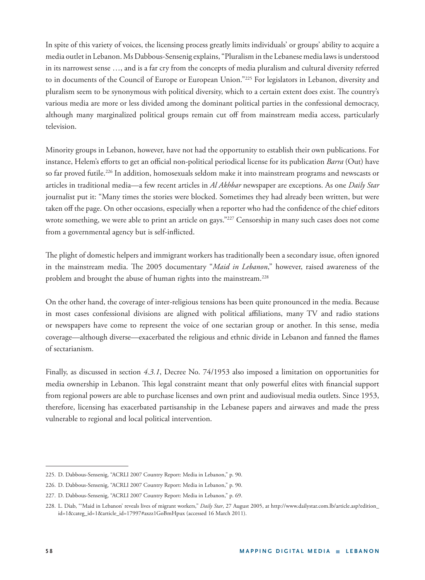In spite of this variety of voices, the licensing process greatly limits individuals' or groups' ability to acquire a media outlet in Lebanon. Ms Dabbous-Sensenig explains, "Pluralism in the Lebanese media laws is understood in its narrowest sense …, and is a far cry from the concepts of media pluralism and cultural diversity referred to in documents of the Council of Europe or European Union."225 For legislators in Lebanon, diversity and pluralism seem to be synonymous with political diversity, which to a certain extent does exist. The country's various media are more or less divided among the dominant political parties in the confessional democracy, although many marginalized political groups remain cut off from mainstream media access, particularly television.

Minority groups in Lebanon, however, have not had the opportunity to establish their own publications. For instance, Helem's efforts to get an official non-political periodical license for its publication *Barra* (Out) have so far proved futile.226 In addition, homosexuals seldom make it into mainstream programs and newscasts or articles in traditional media—a few recent articles in *Al Akhbar* newspaper are exceptions. As one *Daily Star* journalist put it: "Many times the stories were blocked. Sometimes they had already been written, but were taken off the page. On other occasions, especially when a reporter who had the confidence of the chief editors wrote something, we were able to print an article on gays."<sup>227</sup> Censorship in many such cases does not come from a governmental agency but is self-inflicted.

The plight of domestic helpers and immigrant workers has traditionally been a secondary issue, often ignored in the mainstream media. The 2005 documentary "Maid in Lebanon," however, raised awareness of the problem and brought the abuse of human rights into the mainstream.<sup>228</sup>

On the other hand, the coverage of inter-religious tensions has been quite pronounced in the media. Because in most cases confessional divisions are aligned with political affiliations, many TV and radio stations or newspapers have come to represent the voice of one sectarian group or another. In this sense, media coverage—although diverse—exacerbated the religious and ethnic divide in Lebanon and fanned the flames of sectarianism.

Finally, as discussed in section *4.3.1*, Decree No. 74/1953 also imposed a limitation on opportunities for media ownership in Lebanon. This legal constraint meant that only powerful elites with financial support from regional powers are able to purchase licenses and own print and audiovisual media outlets. Since 1953, therefore, licensing has exacerbated partisanship in the Lebanese papers and airwaves and made the press vulnerable to regional and local political intervention.

<sup>225.</sup> D. Dabbous-Sensenig, "ACRLI 2007 Country Report: Media in Lebanon," p. 90.

<sup>226.</sup> D. Dabbous-Sensenig, "ACRLI 2007 Country Report: Media in Lebanon," p. 90.

<sup>227.</sup> D. Dabbous-Sensenig, "ACRLI 2007 Country Report: Media in Lebanon," p. 69.

<sup>228.</sup> L. Diab, "'Maid in Lebanon' reveals lives of migrant workers," *Daily Star*, 27 August 2005, at http://www.dailystar.com.lb/article.asp?edition\_ id=1&categ\_id=1&article\_id=17997#axzz1GoBmHpux (accessed 16 March 2011).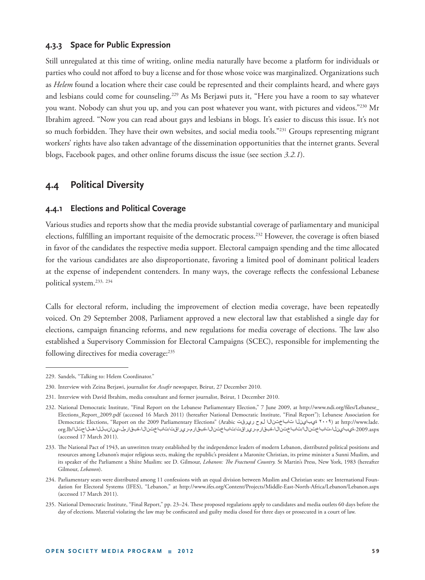### **4.3.3 Space for Public Expression**

Still unregulated at this time of writing, online media naturally have become a platform for individuals or parties who could not afford to buy a license and for those whose voice was marginalized. Organizations such as *Helem* found a location where their case could be represented and their complaints heard, and where gays and lesbians could come for counseling.<sup>229</sup> As Ms Berjawi puts it, "Here you have a room to say whatever you want. Nobody can shut you up, and you can post whatever you want, with pictures and videos."<sup>230</sup> Mr Ibrahim agreed. "Now you can read about gays and lesbians in blogs. It's easier to discuss this issue. It's not so much forbidden. They have their own websites, and social media tools."<sup>231</sup> Groups representing migrant workers' rights have also taken advantage of the dissemination opportunities that the internet grants. Several blogs, Facebook pages, and other online forums discuss the issue (see section *3.2.1*).

# **4.4 Political Diversity**

#### **4.4.1 Elections and Political Coverage**

Various studies and reports show that the media provide substantial coverage of parliamentary and municipal elections, fulfilling an important requisite of the democratic process.<sup>232</sup> However, the coverage is often biased in favor of the candidates the respective media support. Electoral campaign spending and the time allocated for the various candidates are also disproportionate, favoring a limited pool of dominant political leaders at the expense of independent contenders. In many ways, the coverage reflects the confessional Lebanese political system.233, <sup>234</sup>

Calls for electoral reform, including the improvement of election media coverage, have been repeatedly voiced. On 29 September 2008, Parliament approved a new electoral law that established a single day for elections, campaign financing reforms, and new regulations for media coverage of elections. The law also established a Supervisory Commission for Electoral Campaigns (SCEC), responsible for implementing the following directives for media coverage:<sup>235</sup>

<sup>229.</sup> Sandels, "Talking to: Helem Coordinator."

<sup>230.</sup> Interview with Zeina Berjawi, journalist for Assafir newspaper, Beirut, 27 December 2010.

<sup>231.</sup> Interview with David Ibrahim, media consultant and former journalist, Beirut, 1 December 2010.

<sup>232.</sup> National Democratic Institute, "Final Report on the Lebanese Parliamentary Election," 7 June 2009, at http://www.ndi.org/files/Lebanese\_ Elections\_Report\_2009.pdf (accessed 16 March 2011) (hereafter National Democratic Institute, "Final Report"); Lebanese Association for Democratic Elections, "Report on the 2009 Parliamentary Elections" (Arabic ريرقت لوح تاباختنالا ةيباينلا ۲۰۰۹ (at http://www.lade. aspx-2009.ةيباينلا-تاباختنالا/تاباختنالا-ةبقارم-ريراقت/تاباختنالا-ةبقارم-ريراقت/تاباختنالا-ةبقارمل-ينانبللا-فلاحتلا/lb.org (accessed 17 March 2011).

<sup>233.</sup> The National Pact of 1943, an unwritten treaty established by the independence leaders of modern Lebanon, distributed political positions and resources among Lebanon's major religious sects, making the republic's president a Maronite Christian, its prime minister a Sunni Muslim, and its speaker of the Parliament a Shiite Muslim: see D. Gilmour, *Lebanon: The Fractured Country*. St Martin's Press, New York, 1983 (hereafter Gilmour, *Lebanon*).

<sup>234.</sup> Parliamentary seats were distributed among 11 confessions with an equal division between Muslim and Christian seats: see International Foundation for Electoral Systems (IFES), "Lebanon," at http://www.ifes.org/Content/Projects/Middle-East-North-Africa/Lebanon/Lebanon.aspx (accessed 17 March 2011).

<sup>235.</sup> National Democratic Institute, "Final Report," pp. 23-24. These proposed regulations apply to candidates and media outlets 60 days before the day of elections. Material violating the law may be confiscated and guilty media closed for three days or prosecuted in a court of law.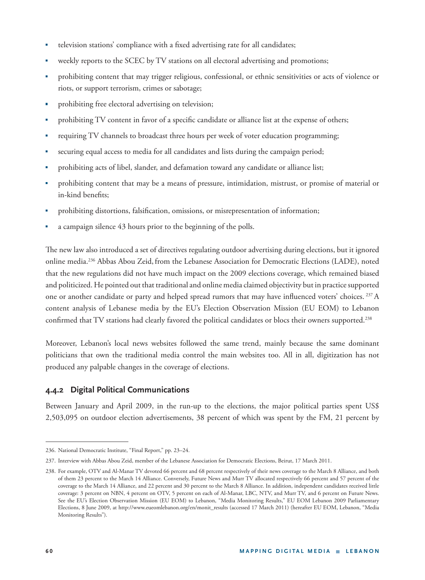- television stations' compliance with a fixed advertising rate for all candidates;
- weekly reports to the SCEC by TV stations on all electoral advertising and promotions;
- prohibiting content that may trigger religious, confessional, or ethnic sensitivities or acts of violence or riots, or support terrorism, crimes or sabotage;
- prohibiting free electoral advertising on television;
- prohibiting TV content in favor of a specific candidate or alliance list at the expense of others;
- requiring TV channels to broadcast three hours per week of voter education programming;
- securing equal access to media for all candidates and lists during the campaign period;
- prohibiting acts of libel, slander, and defamation toward any candidate or alliance list;
- prohibiting content that may be a means of pressure, intimidation, mistrust, or promise of material or in-kind benefits:
- prohibiting distortions, falsification, omissions, or misrepresentation of information;
- a campaign silence 43 hours prior to the beginning of the polls.

The new law also introduced a set of directives regulating outdoor advertising during elections, but it ignored online media.236 Abbas Abou Zeid, from the Lebanese Association for Democratic Elections (LADE), noted that the new regulations did not have much impact on the 2009 elections coverage, which remained biased and politicized. He pointed out that traditional and online media claimed objectivity but in practice supported one or another candidate or party and helped spread rumors that may have influenced voters' choices. <sup>237</sup> A content analysis of Lebanese media by the EU's Election Observation Mission (EU EOM) to Lebanon confirmed that TV stations had clearly favored the political candidates or blocs their owners supported.<sup>238</sup>

Moreover, Lebanon's local news websites followed the same trend, mainly because the same dominant politicians that own the traditional media control the main websites too. All in all, digitization has not produced any palpable changes in the coverage of elections.

## **4.4.2 Digital Political Communications**

Between January and April 2009, in the run-up to the elections, the major political parties spent US\$ 2,503,095 on outdoor election advertisements, 38 percent of which was spent by the FM, 21 percent by

<sup>236.</sup> National Democratic Institute, "Final Report," pp. 23–24.

<sup>237.</sup> Interview with Abbas Abou Zeid, member of the Lebanese Association for Democratic Elections, Beirut, 17 March 2011.

<sup>238.</sup> For example, OTV and Al-Manar TV devoted 66 percent and 68 percent respectively of their news coverage to the March 8 Alliance, and both of them 23 percent to the March 14 Alliance. Conversely, Future News and Murr TV allocated respectively 66 percent and 57 percent of the coverage to the March 14 Alliance, and 22 percent and 30 percent to the March 8 Alliance. In addition, independent candidates received little coverage: 3 percent on NBN, 4 percent on OTV, 5 percent on each of Al-Manar, LBC, NTV, and Murr TV, and 6 percent on Future News. See the EU's Election Observation Mission (EU EOM) to Lebanon, "Media Monitoring Results," EU EOM Lebanon 2009 Parliamentary Elections, 8 June 2009, at http://www.eueomlebanon.org/en/monit\_results (accessed 17 March 2011) (hereafter EU EOM, Lebanon, "Media Monitoring Results").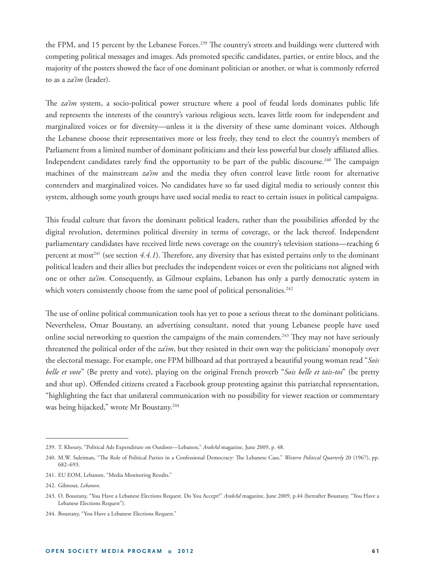the FPM, and 15 percent by the Lebanese Forces.<sup>239</sup> The country's streets and buildings were cluttered with competing political messages and images. Ads promoted specific candidates, parties, or entire blocs, and the majority of the posters showed the face of one dominant politician or another, or what is commonly referred to as a *za'im* (leader).

The *za'im* system, a socio-political power structure where a pool of feudal lords dominates public life and represents the interests of the country's various religious sects, leaves little room for independent and marginalized voices or for diversity—unless it is the diversity of these same dominant voices. Although the Lebanese choose their representatives more or less freely, they tend to elect the country's members of Parliament from a limited number of dominant politicians and their less powerful but closely affiliated allies. Independent candidates rarely find the opportunity to be part of the public discourse.<sup>240</sup> The campaign machines of the mainstream *za'im* and the media they often control leave little room for alternative contenders and marginalized voices. No candidates have so far used digital media to seriously contest this system, although some youth groups have used social media to react to certain issues in political campaigns.

This feudal culture that favors the dominant political leaders, rather than the possibilities afforded by the digital revolution, determines political diversity in terms of coverage, or the lack thereof. Independent parliamentary candidates have received little news coverage on the country's television stations—reaching 6 percent at most<sup>241</sup> (see section 4.4.1). Therefore, any diversity that has existed pertains only to the dominant political leaders and their allies but precludes the independent voices or even the politicians not aligned with one or other *za'im*. Consequently, as Gilmour explains, Lebanon has only a partly democratic system in which voters consistently choose from the same pool of political personalities.<sup>242</sup>

The use of online political communication tools has yet to pose a serious threat to the dominant politicians. Nevertheless, Omar Boustany, an advertising consultant, noted that young Lebanese people have used online social networking to question the campaigns of the main contenders.<sup>243</sup> They may not have seriously threatened the political order of the *za'im*, but they resisted in their own way the politicians' monopoly over the electoral message. For example, one FPM billboard ad that portrayed a beautiful young woman read "*Sois belle et vote*" (Be pretty and vote), playing on the original French proverb "*Sois belle et tais-toi*" (be pretty and shut up). Offended citizens created a Facebook group protesting against this patriarchal representation, "highlighting the fact that unilateral communication with no possibility for viewer reaction or commentary was being hijacked," wrote Mr Boustany.<sup>244</sup>

<sup>239.</sup> T. Khoury, "Political Ads Expenditure on Outdoor—Lebanon," *ArabAd* magazine, June 2009, p. 48.

<sup>240.</sup> M.W. Suleiman, "The Role of Political Parties in a Confessional Democracy: The Lebanese Case," Western Political Quarterly 20 (1967), pp. 682–693.

<sup>241.</sup> EU EOM, Lebanon, "Media Monitoring Results."

<sup>242.</sup> Gilmour, *Lebanon.*

<sup>243.</sup> O. Boustany, "You Have a Lebanese Elections Request. Do You Accept?" *ArabAd* magazine, June 2009, p.44 (hereafter Boustany, "You Have a Lebanese Elections Request").

<sup>244.</sup> Boustany, "You Have a Lebanese Elections Request."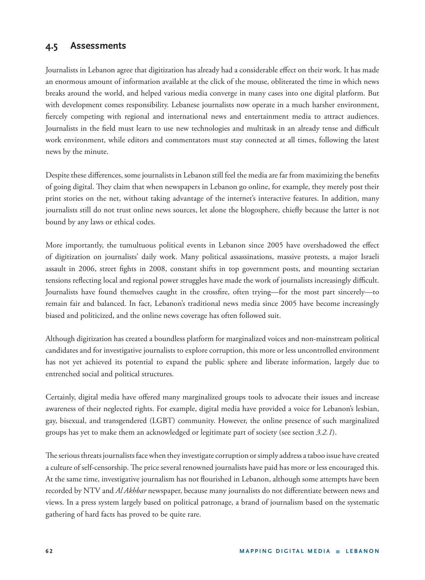# **4.5 Assessments**

Journalists in Lebanon agree that digitization has already had a considerable effect on their work. It has made an enormous amount of information available at the click of the mouse, obliterated the time in which news breaks around the world, and helped various media converge in many cases into one digital platform. But with development comes responsibility. Lebanese journalists now operate in a much harsher environment, fiercely competing with regional and international news and entertainment media to attract audiences. Journalists in the field must learn to use new technologies and multitask in an already tense and difficult work environment, while editors and commentators must stay connected at all times, following the latest news by the minute.

Despite these differences, some journalists in Lebanon still feel the media are far from maximizing the benefits of going digital. They claim that when newspapers in Lebanon go online, for example, they merely post their print stories on the net, without taking advantage of the internet's interactive features. In addition, many journalists still do not trust online news sources, let alone the blogosphere, chiefly because the latter is not bound by any laws or ethical codes.

More importantly, the tumultuous political events in Lebanon since 2005 have overshadowed the effect of digitization on journalists' daily work. Many political assassinations, massive protests, a major Israeli assault in 2006, street fights in 2008, constant shifts in top government posts, and mounting sectarian tensions reflecting local and regional power struggles have made the work of journalists increasingly difficult. Journalists have found themselves caught in the crossfire, often trying—for the most part sincerely—to remain fair and balanced. In fact, Lebanon's traditional news media since 2005 have become increasingly biased and politicized, and the online news coverage has often followed suit.

Although digitization has created a boundless platform for marginalized voices and non-mainstream political candidates and for investigative journalists to explore corruption, this more or less uncontrolled environment has not yet achieved its potential to expand the public sphere and liberate information, largely due to entrenched social and political structures.

Certainly, digital media have offered many marginalized groups tools to advocate their issues and increase awareness of their neglected rights. For example, digital media have provided a voice for Lebanon's lesbian, gay, bisexual, and transgendered (LGBT) community. However, the online presence of such marginalized groups has yet to make them an acknowledged or legitimate part of society (see section *3.2.1*).

The serious threats journalists face when they investigate corruption or simply address a taboo issue have created a culture of self-censorship. The price several renowned journalists have paid has more or less encouraged this. At the same time, investigative journalism has not flourished in Lebanon, although some attempts have been recorded by NTV and *Al Akhbar* newspaper, because many journalists do not differentiate between news and views. In a press system largely based on political patronage, a brand of journalism based on the systematic gathering of hard facts has proved to be quite rare.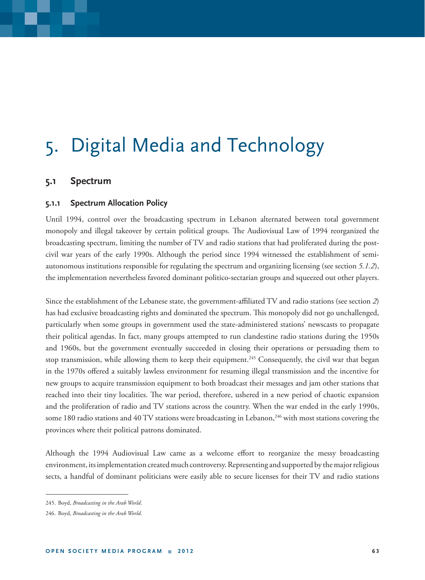# 5. Digital Media and Technology

## **5.1 Spectrum**

### **5.1.1 Spectrum Allocation Policy**

Until 1994, control over the broadcasting spectrum in Lebanon alternated between total government monopoly and illegal takeover by certain political groups. The Audiovisual Law of 1994 reorganized the broadcasting spectrum, limiting the number of TV and radio stations that had proliferated during the postcivil war years of the early 1990s. Although the period since 1994 witnessed the establishment of semiautonomous institutions responsible for regulating the spectrum and organizing licensing (see section *5.1.2*), the implementation nevertheless favored dominant politico-sectarian groups and squeezed out other players.

Since the establishment of the Lebanese state, the government-affiliated TV and radio stations (see section 2) has had exclusive broadcasting rights and dominated the spectrum. This monopoly did not go unchallenged, particularly when some groups in government used the state-administered stations' newscasts to propagate their political agendas. In fact, many groups attempted to run clandestine radio stations during the 1950s and 1960s, but the government eventually succeeded in closing their operations or persuading them to stop transmission, while allowing them to keep their equipment.<sup>245</sup> Consequently, the civil war that began in the 1970s offered a suitably lawless environment for resuming illegal transmission and the incentive for new groups to acquire transmission equipment to both broadcast their messages and jam other stations that reached into their tiny localities. The war period, therefore, ushered in a new period of chaotic expansion and the proliferation of radio and TV stations across the country. When the war ended in the early 1990s, some 180 radio stations and 40 TV stations were broadcasting in Lebanon,<sup>246</sup> with most stations covering the provinces where their political patrons dominated.

Although the 1994 Audiovisual Law came as a welcome effort to reorganize the messy broadcasting environment, its implementation created much controversy. Representing and supported by the major religious sects, a handful of dominant politicians were easily able to secure licenses for their TV and radio stations

<sup>245.</sup> Boyd, *Broadcasting in the Arab World*.

<sup>246.</sup> Boyd, *Broadcasting in the Arab World*.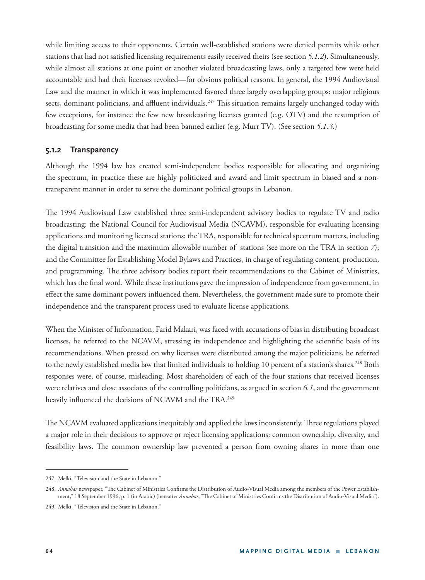while limiting access to their opponents. Certain well-established stations were denied permits while other stations that had not satisfied licensing requirements easily received theirs (see section 5.1.2). Simultaneously, while almost all stations at one point or another violated broadcasting laws, only a targeted few were held accountable and had their licenses revoked—for obvious political reasons. In general, the 1994 Audiovisual Law and the manner in which it was implemented favored three largely overlapping groups: major religious sects, dominant politicians, and affluent individuals.<sup>247</sup> This situation remains largely unchanged today with few exceptions, for instance the few new broadcasting licenses granted (e.g. OTV) and the resumption of broadcasting for some media that had been banned earlier (e.g. Murr TV). (See section *5.1.3*.)

## **5.1.2 Transparency**

Although the 1994 law has created semi-independent bodies responsible for allocating and organizing the spectrum, in practice these are highly politicized and award and limit spectrum in biased and a nontransparent manner in order to serve the dominant political groups in Lebanon.

The 1994 Audiovisual Law established three semi-independent advisory bodies to regulate TV and radio broadcasting: the National Council for Audiovisual Media (NCAVM), responsible for evaluating licensing applications and monitoring licensed stations; the TRA, responsible for technical spectrum matters, including the digital transition and the maximum allowable number of stations (see more on the TRA in section *7*); and the Committee for Establishing Model Bylaws and Practices, in charge of regulating content, production, and programming. The three advisory bodies report their recommendations to the Cabinet of Ministries, which has the final word. While these institutions gave the impression of independence from government, in effect the same dominant powers influenced them. Nevertheless, the government made sure to promote their independence and the transparent process used to evaluate license applications.

When the Minister of Information, Farid Makari, was faced with accusations of bias in distributing broadcast licenses, he referred to the NCAVM, stressing its independence and highlighting the scientific basis of its recommendations. When pressed on why licenses were distributed among the major politicians, he referred to the newly established media law that limited individuals to holding 10 percent of a station's shares.<sup>248</sup> Both responses were, of course, misleading. Most shareholders of each of the four stations that received licenses were relatives and close associates of the controlling politicians, as argued in section *6.1*, and the government heavily influenced the decisions of NCAVM and the TRA.<sup>249</sup>

The NCAVM evaluated applications inequitably and applied the laws inconsistently. Three regulations played a major role in their decisions to approve or reject licensing applications: common ownership, diversity, and feasibility laws. The common ownership law prevented a person from owning shares in more than one

<sup>247.</sup> Melki, "Television and the State in Lebanon."

<sup>248.</sup> Annahar newspaper, "The Cabinet of Ministries Confirms the Distribution of Audio-Visual Media among the members of the Power Establishment," 18 September 1996, p. 1 (in Arabic) (hereafter *Annahar*, "The Cabinet of Ministries Confirms the Distribution of Audio-Visual Media").

<sup>249.</sup> Melki, "Television and the State in Lebanon."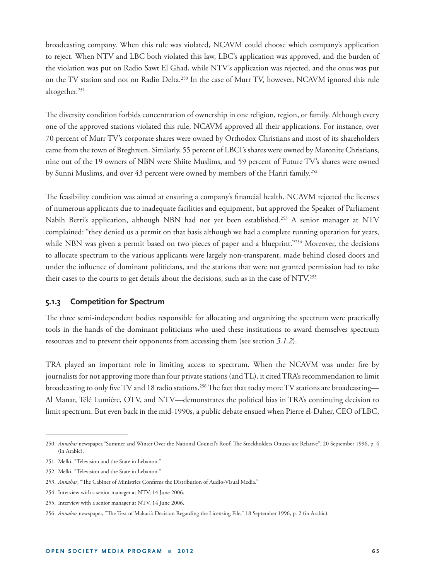broadcasting company. When this rule was violated, NCAVM could choose which company's application to reject. When NTV and LBC both violated this law, LBC's application was approved, and the burden of the violation was put on Radio Sawt El Ghad, while NTV's application was rejected, and the onus was put on the TV station and not on Radio Delta.250 In the case of Murr TV, however, NCAVM ignored this rule altogether.251

The diversity condition forbids concentration of ownership in one religion, region, or family. Although every one of the approved stations violated this rule, NCAVM approved all their applications. For instance, over 70 percent of Murr TV's corporate shares were owned by Orthodox Christians and most of its shareholders came from the town of Bteghreen. Similarly, 55 percent of LBCI's shares were owned by Maronite Christians, nine out of the 19 owners of NBN were Shiite Muslims, and 59 percent of Future TV's shares were owned by Sunni Muslims, and over 43 percent were owned by members of the Hariri family.<sup>252</sup>

The feasibility condition was aimed at ensuring a company's financial health. NCAVM rejected the licenses of numerous applicants due to inadequate facilities and equipment, but approved the Speaker of Parliament Nabih Berri's application, although NBN had not yet been established.<sup>253</sup> A senior manager at NTV complained: "they denied us a permit on that basis although we had a complete running operation for years, while NBN was given a permit based on two pieces of paper and a blueprint."<sup>254</sup> Moreover, the decisions to allocate spectrum to the various applicants were largely non-transparent, made behind closed doors and under the influence of dominant politicians, and the stations that were not granted permission had to take their cases to the courts to get details about the decisions, such as in the case of NTV.255

#### **5.1.3 Competition for Spectrum**

The three semi-independent bodies responsible for allocating and organizing the spectrum were practically tools in the hands of the dominant politicians who used these institutions to award themselves spectrum resources and to prevent their opponents from accessing them (see section *5.1.2*).

TRA played an important role in limiting access to spectrum. When the NCAVM was under fire by journalists for not approving more than four private stations (and TL), it cited TRA's recommendation to limit broadcasting to only five TV and 18 radio stations.<sup>256</sup> The fact that today more TV stations are broadcasting— Al Manar, Télé Lumière, OTV, and NTV—demonstrates the political bias in TRA's continuing decision to limit spectrum. But even back in the mid-1990s, a public debate ensued when Pierre el-Daher, CEO of LBC,

<sup>250.</sup> Annahar newspaper, "Summer and Winter Over the National Council's Roof: The Stockholders Onuses are Relative", 20 September 1996, p. 4 (in Arabic).

<sup>251.</sup> Melki, "Television and the State in Lebanon."

<sup>252.</sup> Melki, "Television and the State in Lebanon."

<sup>253.</sup> Annahar, "The Cabinet of Ministries Confirms the Distribution of Audio-Visual Media."

<sup>254.</sup> Interview with a senior manager at NTV, 14 June 2006.

<sup>255.</sup> Interview with a senior manager at NTV, 14 June 2006.

<sup>256.</sup> *Annahar* newspaper, "The Text of Makari's Decision Regarding the Licensing File," 18 September 1996, p. 2 (in Arabic).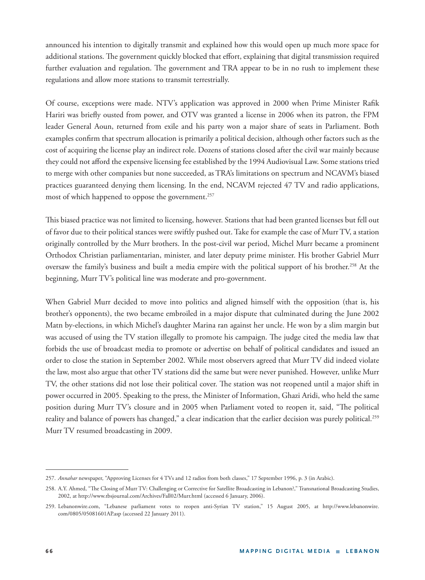announced his intention to digitally transmit and explained how this would open up much more space for additional stations. The government quickly blocked that effort, explaining that digital transmission required further evaluation and regulation. The government and TRA appear to be in no rush to implement these regulations and allow more stations to transmit terrestrially.

Of course, exceptions were made. NTV's application was approved in 2000 when Prime Minister Rafik Hariri was briefly ousted from power, and OTV was granted a license in 2006 when its patron, the FPM leader General Aoun, returned from exile and his party won a major share of seats in Parliament. Both examples confirm that spectrum allocation is primarily a political decision, although other factors such as the cost of acquiring the license play an indirect role. Dozens of stations closed after the civil war mainly because they could not afford the expensive licensing fee established by the 1994 Audiovisual Law. Some stations tried to merge with other companies but none succeeded, as TRA's limitations on spectrum and NCAVM's biased practices guaranteed denying them licensing. In the end, NCAVM rejected 47 TV and radio applications, most of which happened to oppose the government.<sup>257</sup>

This biased practice was not limited to licensing, however. Stations that had been granted licenses but fell out of favor due to their political stances were swiftly pushed out. Take for example the case of Murr TV, a station originally controlled by the Murr brothers. In the post-civil war period, Michel Murr became a prominent Orthodox Christian parliamentarian, minister, and later deputy prime minister. His brother Gabriel Murr oversaw the family's business and built a media empire with the political support of his brother.258 At the beginning, Murr TV's political line was moderate and pro-government.

When Gabriel Murr decided to move into politics and aligned himself with the opposition (that is, his brother's opponents), the two became embroiled in a major dispute that culminated during the June 2002 Matn by-elections, in which Michel's daughter Marina ran against her uncle. He won by a slim margin but was accused of using the TV station illegally to promote his campaign. The judge cited the media law that forbids the use of broadcast media to promote or advertise on behalf of political candidates and issued an order to close the station in September 2002. While most observers agreed that Murr TV did indeed violate the law, most also argue that other TV stations did the same but were never punished. However, unlike Murr TV, the other stations did not lose their political cover. The station was not reopened until a major shift in power occurred in 2005. Speaking to the press, the Minister of Information, Ghazi Aridi, who held the same position during Murr TV's closure and in 2005 when Parliament voted to reopen it, said, "The political reality and balance of powers has changed," a clear indication that the earlier decision was purely political.<sup>259</sup> Murr TV resumed broadcasting in 2009.

<sup>257.</sup> *Annahar* newspaper, "Approving Licenses for 4 TVs and 12 radios from both classes," 17 September 1996, p. 3 (in Arabic).

<sup>258.</sup> A.Y. Ahmed, "The Closing of Murr TV: Challenging or Corrective for Satellite Broadcasting in Lebanon?," Transnational Broadcasting Studies, 2002, at http://www.tbsjournal.com/Archives/Fall02/Murr.html (accessed 6 January, 2006).

<sup>259.</sup> Lebanonwire.com, "Lebanese parliament votes to reopen anti-Syrian TV station," 15 August 2005, at http://www.lebanonwire. com/0805/05081601AP.asp (accessed 22 January 2011).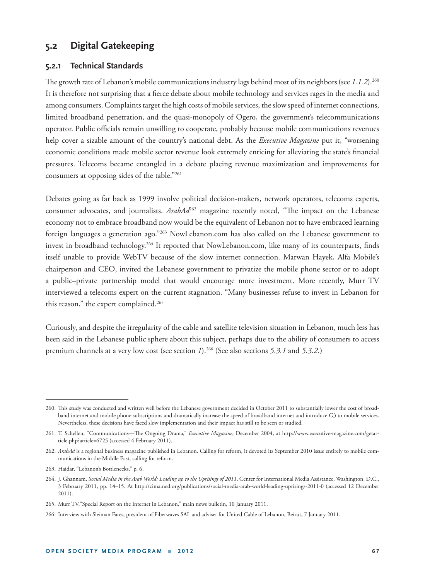# **5.2 Digital Gatekeeping**

#### **5.2.1 Technical Standards**

The growth rate of Lebanon's mobile communications industry lags behind most of its neighbors (see 1.1.2).<sup>260</sup> It is therefore not surprising that a fierce debate about mobile technology and services rages in the media and among consumers. Complaints target the high costs of mobile services, the slow speed of internet connections, limited broadband penetration, and the quasi-monopoly of Ogero, the government's telecommunications operator. Public officials remain unwilling to cooperate, probably because mobile communications revenues help cover a sizable amount of the country's national debt. As the *Executive Magazine* put it, "worsening economic conditions made mobile sector revenue look extremely enticing for alleviating the state's financial pressures. Telecoms became entangled in a debate placing revenue maximization and improvements for consumers at opposing sides of the table."261

Debates going as far back as 1999 involve political decision-makers, network operators, telecoms experts, consumer advocates, and journalists. *ArabAd<sup>262</sup>* magazine recently noted, "The impact on the Lebanese economy not to embrace broadband now would be the equivalent of Lebanon not to have embraced learning foreign languages a generation ago."<sup>263</sup> NowLebanon.com has also called on the Lebanese government to invest in broadband technology.<sup>264</sup> It reported that NowLebanon.com, like many of its counterparts, finds itself unable to provide WebTV because of the slow internet connection. Marwan Hayek, Alfa Mobile's chairperson and CEO, invited the Lebanese government to privatize the mobile phone sector or to adopt a public–private partnership model that would encourage more investment. More recently, Murr TV interviewed a telecoms expert on the current stagnation. "Many businesses refuse to invest in Lebanon for this reason," the expert complained.<sup>265</sup>

Curiously, and despite the irregularity of the cable and satellite television situation in Lebanon, much less has been said in the Lebanese public sphere about this subject, perhaps due to the ability of consumers to access premium channels at a very low cost (see section *1*).266 (See also sections *5.3.1* and *5.3.2*.)

<sup>260.</sup> This study was conducted and written well before the Lebanese government decided in October 2011 to substantially lower the cost of broadband internet and mobile phone subscriptions and dramatically increase the speed of broadband internet and introduce G3 to mobile services. Nevertheless, these decisions have faced slow implementation and their impact has still to be seen or studied.

<sup>261.</sup> T. Schellen, "Communications-The Ongoing Drama," *Executive Magazine*, December 2004, at http://www.executive-magazine.com/getarticle.php?article=6725 (accessed 4 February 2011).

<sup>262.</sup> ArabAd is a regional business magazine published in Lebanon. Calling for reform, it devoted its September 2010 issue entirely to mobile communications in the Middle East, calling for reform.

<sup>263.</sup> Haidar, "Lebanon's Bottlenecks," p. 6.

<sup>264.</sup> J. Ghannam, *Social Media in the Arab World: Leading up to the Uprisings of 2011*, Center for International Media Assistance, Washington, D.C., 3 February 2011, pp. 14–15. At http://cima.ned.org/publications/social-media-arab-world-leading-uprisings-2011-0 (accessed 12 December 2011).

<sup>265.</sup> Murr TV,"Special Report on the Internet in Lebanon," main news bulletin, 10 January 2011.

<sup>266.</sup> Interview with Sleiman Fares, president of Fiberwaves SAL and adviser for United Cable of Lebanon, Beirut, 7 January 2011.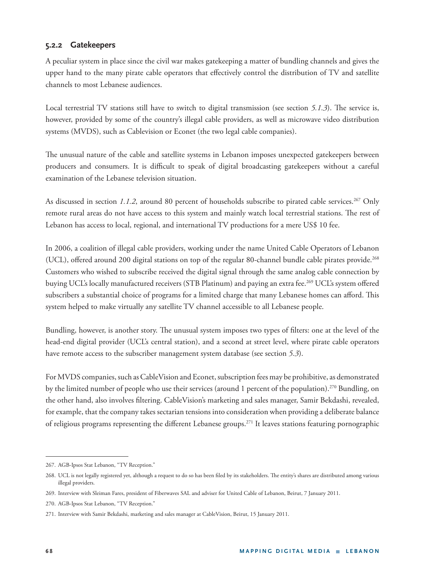## **5.2.2 Gatekeepers**

A peculiar system in place since the civil war makes gatekeeping a matter of bundling channels and gives the upper hand to the many pirate cable operators that effectively control the distribution of TV and satellite channels to most Lebanese audiences.

Local terrestrial TV stations still have to switch to digital transmission (see section 5.1.3). The service is, however, provided by some of the country's illegal cable providers, as well as microwave video distribution systems (MVDS), such as Cablevision or Econet (the two legal cable companies).

The unusual nature of the cable and satellite systems in Lebanon imposes unexpected gatekeepers between producers and consumers. It is difficult to speak of digital broadcasting gatekeepers without a careful examination of the Lebanese television situation.

As discussed in section 1.1.2, around 80 percent of households subscribe to pirated cable services.<sup>267</sup> Only remote rural areas do not have access to this system and mainly watch local terrestrial stations. The rest of Lebanon has access to local, regional, and international TV productions for a mere US\$ 10 fee.

In 2006, a coalition of illegal cable providers, working under the name United Cable Operators of Lebanon (UCL), offered around 200 digital stations on top of the regular 80-channel bundle cable pirates provide.<sup>268</sup> Customers who wished to subscribe received the digital signal through the same analog cable connection by buying UCL's locally manufactured receivers (STB Platinum) and paying an extra fee.<sup>269</sup> UCL's system offered subscribers a substantial choice of programs for a limited charge that many Lebanese homes can afford. This system helped to make virtually any satellite TV channel accessible to all Lebanese people.

Bundling, however, is another story. The unusual system imposes two types of filters: one at the level of the head-end digital provider (UCL's central station), and a second at street level, where pirate cable operators have remote access to the subscriber management system database (see section *5.3*).

For MVDS companies, such as CableVision and Econet, subscription fees may be prohibitive, as demonstrated by the limited number of people who use their services (around 1 percent of the population).<sup>270</sup> Bundling, on the other hand, also involves filtering. CableVision's marketing and sales manager, Samir Bekdashi, revealed, for example, that the company takes sectarian tensions into consideration when providing a deliberate balance of religious programs representing the different Lebanese groups.<sup>271</sup> It leaves stations featuring pornographic

<sup>267.</sup> AGB-Ipsos Stat Lebanon, "TV Reception."

<sup>268.</sup> UCL is not legally registered yet, although a request to do so has been filed by its stakeholders. The entity's shares are distributed among various illegal providers.

<sup>269.</sup> Interview with Sleiman Fares, president of Fiberwaves SAL and adviser for United Cable of Lebanon, Beirut, 7 January 2011.

<sup>270.</sup> AGB-Ipsos Stat Lebanon, "TV Reception."

<sup>271.</sup> Interview with Samir Bekdashi, marketing and sales manager at CableVision, Beirut, 15 January 2011.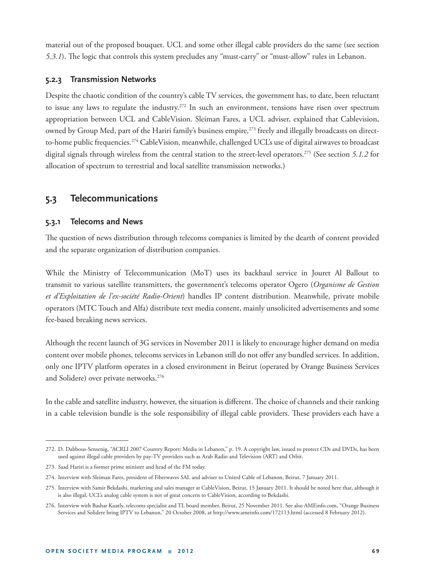material out of the proposed bouquet. UCL and some other illegal cable providers do the same (see section *5.3.1*). The logic that controls this system precludes any "must-carry" or "must-allow" rules in Lebanon.

### **5.2.3 Transmission Networks**

Despite the chaotic condition of the country's cable TV services, the government has, to date, been reluctant to issue any laws to regulate the industry.<sup>272</sup> In such an environment, tensions have risen over spectrum appropriation between UCL and CableVision. Sleiman Fares, a UCL adviser, explained that Cablevision, owned by Group Med, part of the Hariri family's business empire,<sup>273</sup> freely and illegally broadcasts on directto-home public frequencies.<sup>274</sup> CableVision, meanwhile, challenged UCL's use of digital airwaves to broadcast digital signals through wireless from the central station to the street-level operators.275 (See section *5.1.2* for allocation of spectrum to terrestrial and local satellite transmission networks.)

# **5.3 Telecommunications**

## **5.3.1 Telecoms and News**

The question of news distribution through telecoms companies is limited by the dearth of content provided and the separate organization of distribution companies.

While the Ministry of Telecommunication (MoT) uses its backhaul service in Jouret Al Ballout to transmit to various satellite transmitters, the government's telecoms operator Ogero (*Organisme de Gestion et d'Exploitation de l'ex-société Radio-Orient*) handles IP content distribution. Meanwhile, private mobile operators (MTC Touch and Alfa) distribute text media content, mainly unsolicited advertisements and some fee-based breaking news services.

Although the recent launch of 3G services in November 2011 is likely to encourage higher demand on media content over mobile phones, telecoms services in Lebanon still do not offer any bundled services. In addition, only one IPTV platform operates in a closed environment in Beirut (operated by Orange Business Services and Solidere) over private networks.<sup>276</sup>

In the cable and satellite industry, however, the situation is different. The choice of channels and their ranking in a cable television bundle is the sole responsibility of illegal cable providers. These providers each have a

<sup>272.</sup> D. Dabbous-Sensenig, "ACRLI 2007 Country Report: Media in Lebanon," p. 19. A copyright law, issued to protect CDs and DVDs, has been used against illegal cable providers by pay-TV providers such as Arab Radio and Television (ART) and Orbit.

<sup>273.</sup> Saad Hariri is a former prime minister and head of the FM today.

<sup>274.</sup> Interview with Sleiman Fares, president of Fiberwaves SAL and adviser to United Cable of Lebanon, Beirut, 7 January 2011.

<sup>275.</sup> Interview with Samir Bekdashi, marketing and sales manager at CableVision, Beirut, 15 January 2011. It should be noted here that, although it is also illegal, UCL's analog cable system is not of great concern to CableVision, according to Bekdashi.

<sup>276.</sup> Interview with Bashar Kuatly, telecoms specialist and TL board member, Beirut, 25 November 2011. See also AMEinfo.com, "Orange Business Services and Solidere bring IPTV to Lebanon," 20 October 2008, at http://www.ameinfo.com/172113.html (accessed 8 February 2012).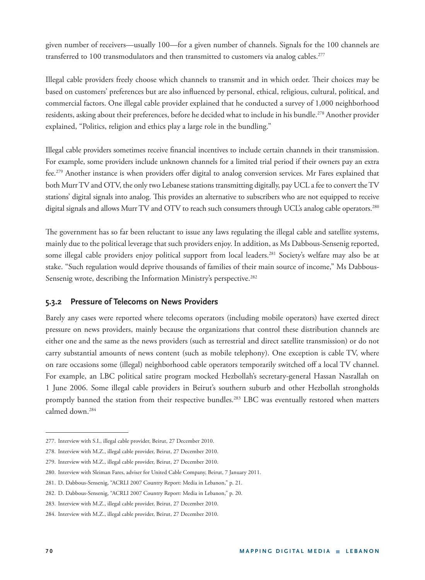given number of receivers—usually 100—for a given number of channels. Signals for the 100 channels are transferred to 100 transmodulators and then transmitted to customers via analog cables.<sup>277</sup>

Illegal cable providers freely choose which channels to transmit and in which order. Their choices may be based on customers' preferences but are also influenced by personal, ethical, religious, cultural, political, and commercial factors. One illegal cable provider explained that he conducted a survey of 1,000 neighborhood residents, asking about their preferences, before he decided what to include in his bundle.<sup>278</sup> Another provider explained, "Politics, religion and ethics play a large role in the bundling."

Illegal cable providers sometimes receive financial incentives to include certain channels in their transmission. For example, some providers include unknown channels for a limited trial period if their owners pay an extra fee.<sup>279</sup> Another instance is when providers offer digital to analog conversion services. Mr Fares explained that both Murr TV and OTV, the only two Lebanese stations transmitting digitally, pay UCL a fee to convert the TV stations' digital signals into analog. This provides an alternative to subscribers who are not equipped to receive digital signals and allows Murr TV and OTV to reach such consumers through UCL's analog cable operators.<sup>280</sup>

The government has so far been reluctant to issue any laws regulating the illegal cable and satellite systems, mainly due to the political leverage that such providers enjoy. In addition, as Ms Dabbous-Sensenig reported, some illegal cable providers enjoy political support from local leaders.<sup>281</sup> Society's welfare may also be at stake. "Such regulation would deprive thousands of families of their main source of income," Ms Dabbous-Sensenig wrote, describing the Information Ministry's perspective.<sup>282</sup>

## **5.3.2 Pressure of Telecoms on News Providers**

Barely any cases were reported where telecoms operators (including mobile operators) have exerted direct pressure on news providers, mainly because the organizations that control these distribution channels are either one and the same as the news providers (such as terrestrial and direct satellite transmission) or do not carry substantial amounts of news content (such as mobile telephony). One exception is cable TV, where on rare occasions some (illegal) neighborhood cable operators temporarily switched off a local TV channel. For example, an LBC political satire program mocked Hezbollah's secretary-general Hassan Nasrallah on 1 June 2006. Some illegal cable providers in Beirut's southern suburb and other Hezbollah strongholds promptly banned the station from their respective bundles.<sup>283</sup> LBC was eventually restored when matters calmed down.284

<sup>277.</sup> Interview with S.I., illegal cable provider, Beirut, 27 December 2010.

<sup>278.</sup> Interview with M.Z., illegal cable provider, Beirut, 27 December 2010.

<sup>279.</sup> Interview with M.Z., illegal cable provider, Beirut, 27 December 2010.

<sup>280.</sup> Interview with Sleiman Fares, adviser for United Cable Company, Beirut, 7 January 2011.

<sup>281.</sup> D. Dabbous-Sensenig, "ACRLI 2007 Country Report: Media in Lebanon," p. 21.

<sup>282.</sup> D. Dabbous-Sensenig, "ACRLI 2007 Country Report: Media in Lebanon," p. 20.

<sup>283.</sup> Interview with M.Z., illegal cable provider, Beirut, 27 December 2010.

<sup>284.</sup> Interview with M.Z., illegal cable provider, Beirut, 27 December 2010.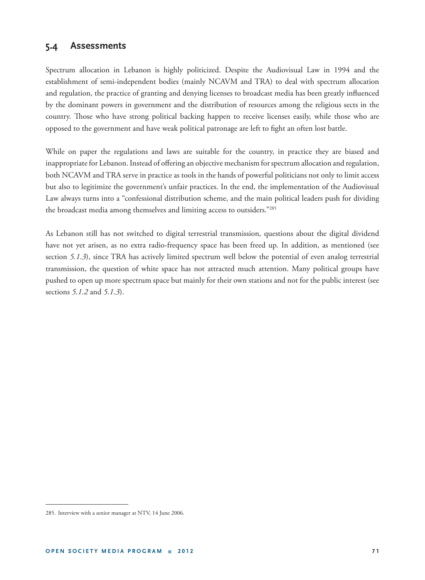# **5.4 Assessments**

Spectrum allocation in Lebanon is highly politicized. Despite the Audiovisual Law in 1994 and the establishment of semi-independent bodies (mainly NCAVM and TRA) to deal with spectrum allocation and regulation, the practice of granting and denying licenses to broadcast media has been greatly influenced by the dominant powers in government and the distribution of resources among the religious sects in the country. Those who have strong political backing happen to receive licenses easily, while those who are opposed to the government and have weak political patronage are left to fight an often lost battle.

While on paper the regulations and laws are suitable for the country, in practice they are biased and inappropriate for Lebanon. Instead of offering an objective mechanism for spectrum allocation and regulation, both NCAVM and TRA serve in practice as tools in the hands of powerful politicians not only to limit access but also to legitimize the government's unfair practices. In the end, the implementation of the Audiovisual Law always turns into a "confessional distribution scheme, and the main political leaders push for dividing the broadcast media among themselves and limiting access to outsiders."285

As Lebanon still has not switched to digital terrestrial transmission, questions about the digital dividend have not yet arisen, as no extra radio-frequency space has been freed up. In addition, as mentioned (see section *5.1.3*), since TRA has actively limited spectrum well below the potential of even analog terrestrial transmission, the question of white space has not attracted much attention. Many political groups have pushed to open up more spectrum space but mainly for their own stations and not for the public interest (see sections *5.1.2* and *5.1.3*).

<sup>285.</sup> Interview with a senior manager at NTV, 14 June 2006.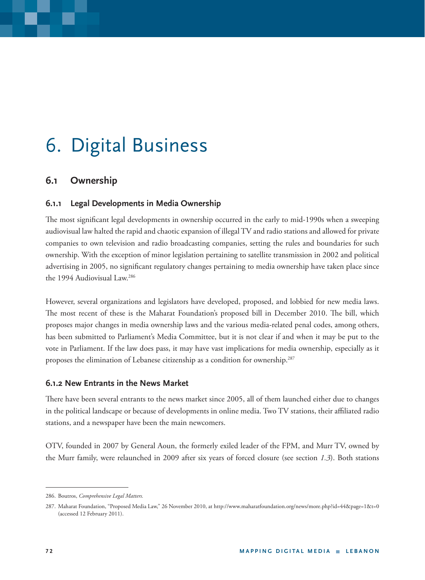# 6. Digital Business

# **6.1 Ownership**

#### **6.1.1 Legal Developments in Media Ownership**

The most significant legal developments in ownership occurred in the early to mid-1990s when a sweeping audiovisual law halted the rapid and chaotic expansion of illegal TV and radio stations and allowed for private companies to own television and radio broadcasting companies, setting the rules and boundaries for such ownership. With the exception of minor legislation pertaining to satellite transmission in 2002 and political advertising in 2005, no significant regulatory changes pertaining to media ownership have taken place since the 1994 Audiovisual Law.286

However, several organizations and legislators have developed, proposed, and lobbied for new media laws. The most recent of these is the Maharat Foundation's proposed bill in December 2010. The bill, which proposes major changes in media ownership laws and the various media-related penal codes, among others, has been submitted to Parliament's Media Committee, but it is not clear if and when it may be put to the vote in Parliament. If the law does pass, it may have vast implications for media ownership, especially as it proposes the elimination of Lebanese citizenship as a condition for ownership.<sup>287</sup>

#### **6.1.2 New Entrants in the News Market**

There have been several entrants to the news market since 2005, all of them launched either due to changes in the political landscape or because of developments in online media. Two TV stations, their affiliated radio stations, and a newspaper have been the main newcomers.

OTV, founded in 2007 by General Aoun, the formerly exiled leader of the FPM, and Murr TV, owned by the Murr family, were relaunched in 2009 after six years of forced closure (see section *1.3*). Both stations

<sup>286.</sup> Boutros, *Comprehensive Legal Matters.*

<sup>287.</sup> Maharat Foundation, "Proposed Media Law," 26 November 2010, at http://www.maharatfoundation.org/news/more.php?id=44&page=1&t=0 (accessed 12 February 2011).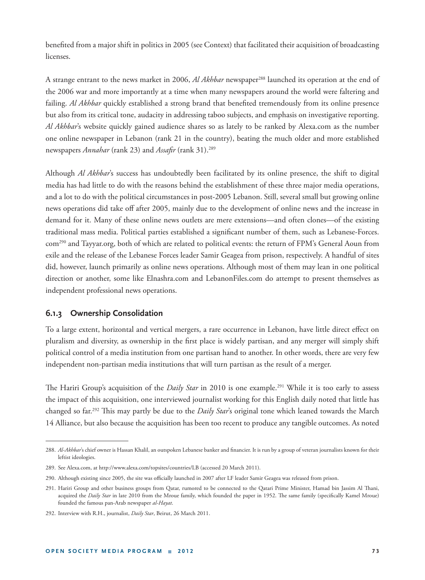benefited from a major shift in politics in 2005 (see Context) that facilitated their acquisition of broadcasting licenses.

A strange entrant to the news market in 2006, *Al Akhbar* newspaper288 launched its operation at the end of the 2006 war and more importantly at a time when many newspapers around the world were faltering and failing. *Al Akhbar* quickly established a strong brand that benefited tremendously from its online presence but also from its critical tone, audacity in addressing taboo subjects, and emphasis on investigative reporting. *Al Akhbar*'s website quickly gained audience shares so as lately to be ranked by Alexa.com as the number one online newspaper in Lebanon (rank 21 in the country), beating the much older and more established newspapers *Annahar* (rank 23) and *Assafir* (rank 31).<sup>289</sup>

Although *Al Akhbar*'s success has undoubtedly been facilitated by its online presence, the shift to digital media has had little to do with the reasons behind the establishment of these three major media operations, and a lot to do with the political circumstances in post-2005 Lebanon. Still, several small but growing online news operations did take off after 2005, mainly due to the development of online news and the increase in demand for it. Many of these online news outlets are mere extensions—and often clones—of the existing traditional mass media. Political parties established a significant number of them, such as Lebanese-Forces. com290 and Tayyar.org, both of which are related to political events: the return of FPM's General Aoun from exile and the release of the Lebanese Forces leader Samir Geagea from prison, respectively. A handful of sites did, however, launch primarily as online news operations. Although most of them may lean in one political direction or another, some like Elnashra.com and LebanonFiles.com do attempt to present themselves as independent professional news operations.

#### **6.1.3 Ownership Consolidation**

To a large extent, horizontal and vertical mergers, a rare occurrence in Lebanon, have little direct effect on pluralism and diversity, as ownership in the first place is widely partisan, and any merger will simply shift political control of a media institution from one partisan hand to another. In other words, there are very few independent non-partisan media institutions that will turn partisan as the result of a merger.

The Hariri Group's acquisition of the *Daily Star* in 2010 is one example.<sup>291</sup> While it is too early to assess the impact of this acquisition, one interviewed journalist working for this English daily noted that little has changed so far.<sup>292</sup> This may partly be due to the *Daily Star's* original tone which leaned towards the March 14 Alliance, but also because the acquisition has been too recent to produce any tangible outcomes. As noted

<sup>288.</sup> Al-Akhbar's chief owner is Hassan Khalil, an outspoken Lebanese banker and financier. It is run by a group of veteran journalists known for their leftist ideologies.

<sup>289.</sup> See Alexa.com, at http://www.alexa.com/topsites/countries/LB (accessed 20 March 2011).

<sup>290.</sup> Although existing since 2005, the site was officially launched in 2007 after LF leader Samir Geagea was released from prison.

<sup>291.</sup> Hariri Group and other business groups from Qatar, rumored to be connected to the Qatari Prime Minister, Hamad bin Jassim Al Thani, acquired the *Daily Star* in late 2010 from the Mroue family, which founded the paper in 1952. The same family (specifically Kamel Mroue) founded the famous pan-Arab newspaper *al-Hayat*.

<sup>292.</sup> Interview with R.H., journalist, *Daily Star*, Beirut, 26 March 2011.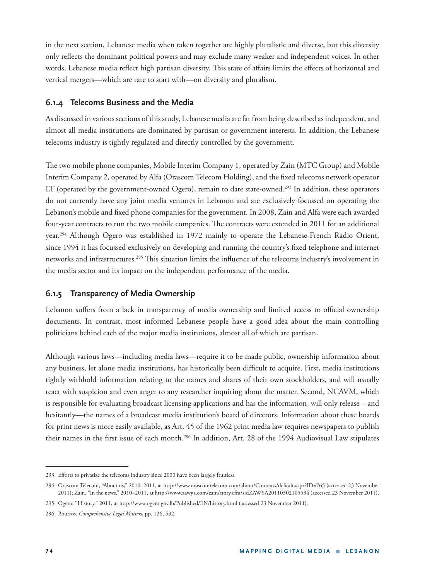in the next section, Lebanese media when taken together are highly pluralistic and diverse, but this diversity only refl ects the dominant political powers and may exclude many weaker and independent voices. In other words, Lebanese media reflect high partisan diversity. This state of affairs limits the effects of horizontal and vertical mergers—which are rare to start with—on diversity and pluralism.

#### **6.1.4 Telecoms Business and the Media**

As discussed in various sections of this study, Lebanese media are far from being described as independent, and almost all media institutions are dominated by partisan or government interests. In addition, the Lebanese telecoms industry is tightly regulated and directly controlled by the government.

The two mobile phone companies, Mobile Interim Company 1, operated by Zain (MTC Group) and Mobile Interim Company 2, operated by Alfa (Orascom Telecom Holding), and the fixed telecoms network operator LT (operated by the government-owned Ogero), remain to date state-owned.<sup>293</sup> In addition, these operators do not currently have any joint media ventures in Lebanon and are exclusively focussed on operating the Lebanon's mobile and fixed phone companies for the government. In 2008, Zain and Alfa were each awarded four-year contracts to run the two mobile companies. The contracts were extended in 2011 for an additional year.294 Although Ogero was established in 1972 mainly to operate the Lebanese-French Radio Orient, since 1994 it has focussed exclusively on developing and running the country's fixed telephone and internet networks and infrastructures.<sup>295</sup> This situation limits the influence of the telecoms industry's involvement in the media sector and its impact on the independent performance of the media.

## **6.1.5 Transparency of Media Ownership**

Lebanon suffers from a lack in transparency of media ownership and limited access to official ownership documents. In contrast, most informed Lebanese people have a good idea about the main controlling politicians behind each of the major media institutions, almost all of which are partisan.

Although various laws—including media laws—require it to be made public, ownership information about any business, let alone media institutions, has historically been difficult to acquire. First, media institutions tightly withhold information relating to the names and shares of their own stockholders, and will usually react with suspicion and even anger to any researcher inquiring about the matter. Second, NCAVM, which is responsible for evaluating broadcast licensing applications and has the information, will only release—and hesitantly—the names of a broadcast media institution's board of directors. Information about these boards for print news is more easily available, as Art. 45 of the 1962 print media law requires newspapers to publish their names in the first issue of each month.<sup>296</sup> In addition, Art. 28 of the 1994 Audiovisual Law stipulates

<sup>293.</sup> Efforts to privatize the telecoms industry since 2000 have been largely fruitless.

<sup>294.</sup> Orascom Telecom, "About us," 2010–2011, at http://www.orascomtelecom.com/about/Contents/default.aspx?ID=765 (accessed 23 November 2011); Zain, "In the news," 2010–2011, at http://www.zawya.com/zain/story.cfm/sidZAWYA20110302105534 (accessed 23 November 2011).

<sup>295.</sup> Ogero, "History," 2011, at http://www.ogero.gov.lb/Published/EN/history.html (accessed 23 November 2011).

<sup>296.</sup> Boutros, *Comprehensive Legal Matters*, pp. 126, 532.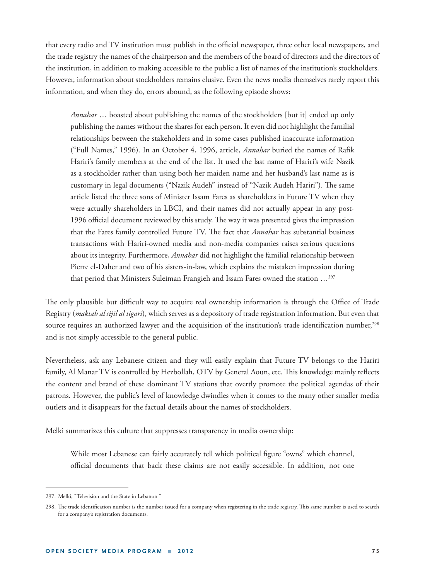that every radio and TV institution must publish in the official newspaper, three other local newspapers, and the trade registry the names of the chairperson and the members of the board of directors and the directors of the institution, in addition to making accessible to the public a list of names of the institution's stockholders. However, information about stockholders remains elusive. Even the news media themselves rarely report this information, and when they do, errors abound, as the following episode shows:

*Annahar* … boasted about publishing the names of the stockholders [but it] ended up only publishing the names without the shares for each person. It even did not highlight the familial relationships between the stakeholders and in some cases published inaccurate information <sup>("Full</sup> Names," 1996). In an October 4, 1996, article, *Annahar* buried the names of Rafik Hariri's family members at the end of the list. It used the last name of Hariri's wife Nazik as a stockholder rather than using both her maiden name and her husband's last name as is customary in legal documents ("Nazik Audeh" instead of "Nazik Audeh Hariri"). The same article listed the three sons of Minister Issam Fares as shareholders in Future TV when they were actually shareholders in LBCI, and their names did not actually appear in any post-1996 official document reviewed by this study. The way it was presented gives the impression that the Fares family controlled Future TV. The fact that *Annahar* has substantial business transactions with Hariri-owned media and non-media companies raises serious questions about its integrity. Furthermore, *Annahar* did not highlight the familial relationship between Pierre el-Daher and two of his sisters-in-law, which explains the mistaken impression during that period that Ministers Suleiman Frangieh and Issam Fares owned the station …297

The only plausible but difficult way to acquire real ownership information is through the Office of Trade Registry (*maktab al sijil al tigari*), which serves as a depository of trade registration information. But even that source requires an authorized lawyer and the acquisition of the institution's trade identification number,<sup>298</sup> and is not simply accessible to the general public.

Nevertheless, ask any Lebanese citizen and they will easily explain that Future TV belongs to the Hariri family, Al Manar TV is controlled by Hezbollah, OTV by General Aoun, etc. This knowledge mainly reflects the content and brand of these dominant TV stations that overtly promote the political agendas of their patrons. However, the public's level of knowledge dwindles when it comes to the many other smaller media outlets and it disappears for the factual details about the names of stockholders.

Melki summarizes this culture that suppresses transparency in media ownership:

While most Lebanese can fairly accurately tell which political figure "owns" which channel, official documents that back these claims are not easily accessible. In addition, not one

<sup>297.</sup> Melki, "Television and the State in Lebanon*.*"

<sup>298.</sup> The trade identification number is the number issued for a company when registering in the trade registry. This same number is used to search for a company's registration documents.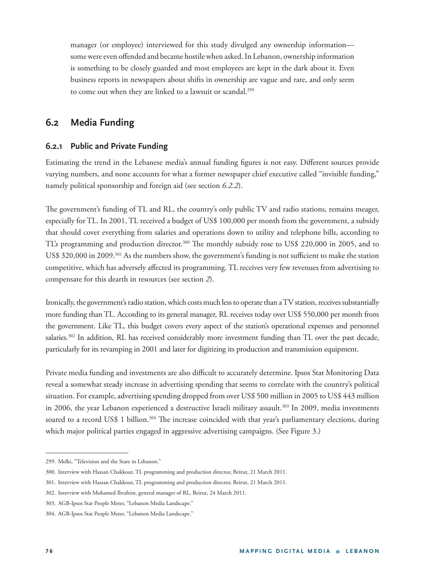manager (or employee) interviewed for this study divulged any ownership information some were even offended and became hostile when asked. In Lebanon, ownership information is something to be closely guarded and most employees are kept in the dark about it. Even business reports in newspapers about shifts in ownership are vague and rare, and only seem to come out when they are linked to a lawsuit or scandal.<sup>299</sup>

# **6.2 Media Funding**

#### **6.2.1 Public and Private Funding**

Estimating the trend in the Lebanese media's annual funding figures is not easy. Different sources provide varying numbers, and none accounts for what a former newspaper chief executive called "invisible funding," namely political sponsorship and foreign aid (see section *6.2.2*).

The government's funding of TL and RL, the country's only public TV and radio stations, remains meager, especially for TL. In 2001, TL received a budget of US\$ 100,000 per month from the government, a subsidy that should cover everything from salaries and operations down to utility and telephone bills, according to TL's programming and production director.<sup>300</sup> The monthly subsidy rose to US\$ 220,000 in 2005, and to US\$ 320,000 in 2009.<sup>301</sup> As the numbers show, the government's funding is not sufficient to make the station competitive, which has adversely affected its programming. TL receives very few revenues from advertising to compensate for this dearth in resources (see section *2*).

Ironically, the government's radio station, which costs much less to operate than a TV station, receives substantially more funding than TL. According to its general manager, RL receives today over US\$ 550,000 per month from the government. Like TL, this budget covers every aspect of the station's operational expenses and personnel salaries.<sup>302</sup> In addition, RL has received considerably more investment funding than TL over the past decade, particularly for its revamping in 2001 and later for digitizing its production and transmission equipment.

Private media funding and investments are also difficult to accurately determine. Ipsos Stat Monitoring Data reveal a somewhat steady increase in advertising spending that seems to correlate with the country's political situation. For example, advertising spending dropped from over US\$ 500 million in 2005 to US\$ 443 million in 2006, the year Lebanon experienced a destructive Israeli military assault.<sup>303</sup> In 2009, media investments soared to a record US\$ 1 billion.<sup>304</sup> The increase coincided with that year's parliamentary elections, during which major political parties engaged in aggressive advertising campaigns. (See Figure 3.)

<sup>299.</sup> Melki, "Television and the State in Lebanon."

<sup>300.</sup> Interview with Hassan Chakkour, TL programming and production director, Beirut, 21 March 2011.

<sup>301.</sup> Interview with Hassan Chakkour, TL programming and production director, Beirut, 21 March 2011.

<sup>302.</sup> Interview with Mohamed Ibrahim, general manager of RL, Beirut, 24 March 2011.

<sup>303.</sup> AGB-Ipsos Stat People Meter, "Lebanon Media Landscape."

<sup>304.</sup> AGB-Ipsos Stat People Meter, "Lebanon Media Landscape."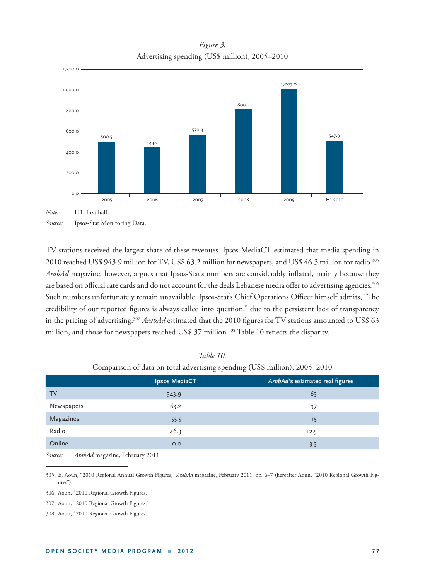*Figure 3.*  Advertising spending (US\$ million), 2005–2010



TV stations received the largest share of these revenues. Ipsos MediaCT estimated that media spending in 2010 reached US\$ 943.9 million for TV, US\$ 63.2 million for newspapers, and US\$ 46.3 million for radio.<sup>305</sup> ArabAd magazine, however, argues that Ipsos-Stat's numbers are considerably inflated, mainly because they are based on official rate cards and do not account for the deals Lebanese media offer to advertising agencies.<sup>306</sup> Such numbers unfortunately remain unavailable. Ipsos-Stat's Chief Operations Officer himself admits, "The credibility of our reported figures is always called into question," due to the persistent lack of transparency in the pricing of advertising.<sup>307</sup> ArabAd estimated that the 2010 figures for TV stations amounted to US\$ 63 million, and those for newspapers reached US\$ 37 million.<sup>308</sup> Table 10 reflects the disparity.

|            | $\sim$ 1             | $\sim$ $\sim$                   |
|------------|----------------------|---------------------------------|
|            | <b>Ipsos MediaCT</b> | ArabAd's estimated real figures |
| <b>TV</b>  | 943.9                | 63                              |
| Newspapers | 63.2                 | 37                              |
| Magazines  | 55.5                 | 15                              |
| Radio      | 46.3                 | 12.5                            |
| Online     | O.O                  | 3.3                             |
|            |                      |                                 |

*Table 10.* Comparison of data on total advertising spending (US\$ million), 2005–2010

*Source: ArabAd* magazine, February 2011

305. E. Aoun, "2010 Regional Annual Growth Figures," *ArabAd* magazine, February 2011, pp. 6–7 (hereafter Aoun, "2010 Regional Growth Figures").

306. Aoun, "2010 Regional Growth Figures."

307. Aoun, "2010 Regional Growth Figures."

308. Aoun, "2010 Regional Growth Figures."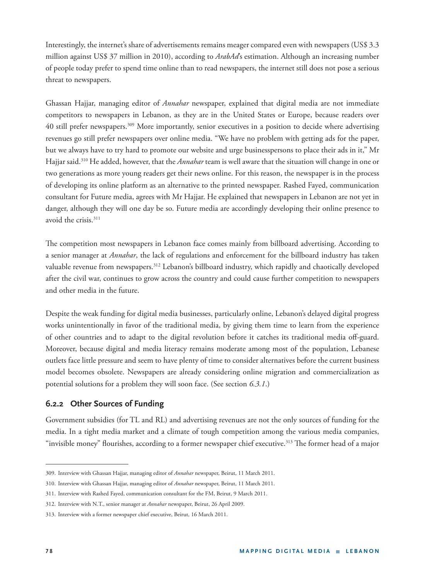Interestingly, the internet's share of advertisements remains meager compared even with newspapers (US\$ 3.3 million against US\$ 37 million in 2010), according to *ArabAd*'s estimation. Although an increasing number of people today prefer to spend time online than to read newspapers, the internet still does not pose a serious threat to newspapers.

Ghassan Hajjar, managing editor of *Annahar* newspaper, explained that digital media are not immediate competitors to newspapers in Lebanon, as they are in the United States or Europe, because readers over 40 still prefer newspapers.309 More importantly, senior executives in a position to decide where advertising revenues go still prefer newspapers over online media. "We have no problem with getting ads for the paper, but we always have to try hard to promote our website and urge businesspersons to place their ads in it," Mr Hajjar said.310 He added, however, that the *Annahar* team is well aware that the situation will change in one or two generations as more young readers get their news online. For this reason, the newspaper is in the process of developing its online platform as an alternative to the printed newspaper. Rashed Fayed, communication consultant for Future media, agrees with Mr Hajjar. He explained that newspapers in Lebanon are not yet in danger, although they will one day be so. Future media are accordingly developing their online presence to avoid the crisis.311

The competition most newspapers in Lebanon face comes mainly from billboard advertising. According to a senior manager at *Annahar*, the lack of regulations and enforcement for the billboard industry has taken valuable revenue from newspapers.<sup>312</sup> Lebanon's billboard industry, which rapidly and chaotically developed after the civil war, continues to grow across the country and could cause further competition to newspapers and other media in the future.

Despite the weak funding for digital media businesses, particularly online, Lebanon's delayed digital progress works unintentionally in favor of the traditional media, by giving them time to learn from the experience of other countries and to adapt to the digital revolution before it catches its traditional media off -guard. Moreover, because digital and media literacy remains moderate among most of the population, Lebanese outlets face little pressure and seem to have plenty of time to consider alternatives before the current business model becomes obsolete. Newspapers are already considering online migration and commercialization as potential solutions for a problem they will soon face. (See section *6.3.1*.)

## **6.2.2 Other Sources of Funding**

Government subsidies (for TL and RL) and advertising revenues are not the only sources of funding for the media. In a tight media market and a climate of tough competition among the various media companies, "invisible money" flourishes, according to a former newspaper chief executive.<sup>313</sup> The former head of a major

<sup>309.</sup> Interview with Ghassan Hajjar, managing editor of *Annahar* newspaper, Beirut, 11 March 2011.

<sup>310.</sup> Interview with Ghassan Hajjar, managing editor of *Annahar* newspaper, Beirut, 11 March 2011.

<sup>311.</sup> Interview with Rashed Fayed, communication consultant for the FM, Beirut, 9 March 2011.

<sup>312.</sup> Interview with N.T., senior manager at *Annahar* newspaper, Beirut, 26 April 2009.

<sup>313.</sup> Interview with a former newspaper chief executive, Beirut, 16 March 2011.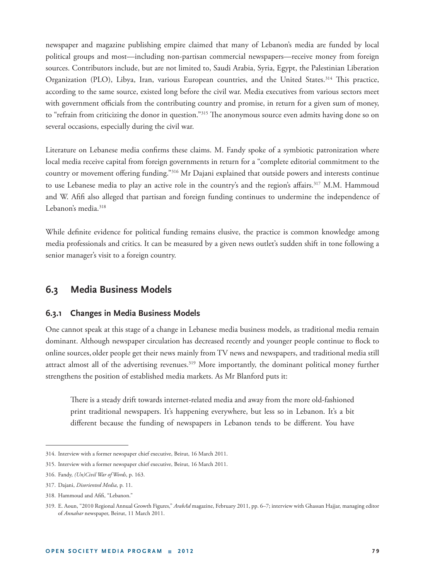newspaper and magazine publishing empire claimed that many of Lebanon's media are funded by local political groups and most—including non-partisan commercial newspapers—receive money from foreign sources. Contributors include, but are not limited to, Saudi Arabia, Syria, Egypt, the Palestinian Liberation Organization (PLO), Libya, Iran, various European countries, and the United States.<sup>314</sup> This practice, according to the same source, existed long before the civil war. Media executives from various sectors meet with government officials from the contributing country and promise, in return for a given sum of money, to "refrain from criticizing the donor in question."<sup>315</sup> The anonymous source even admits having done so on several occasions, especially during the civil war.

Literature on Lebanese media confirms these claims. M. Fandy spoke of a symbiotic patronization where local media receive capital from foreign governments in return for a "complete editorial commitment to the country or movement offering funding."<sup>316</sup> Mr Dajani explained that outside powers and interests continue to use Lebanese media to play an active role in the country's and the region's affairs.<sup>317</sup> M.M. Hammoud and W. Afifi also alleged that partisan and foreign funding continues to undermine the independence of Lebanon's media.<sup>318</sup>

While definite evidence for political funding remains elusive, the practice is common knowledge among media professionals and critics. It can be measured by a given news outlet's sudden shift in tone following a senior manager's visit to a foreign country.

# **6.3 Media Business Models**

#### **6.3.1 Changes in Media Business Models**

One cannot speak at this stage of a change in Lebanese media business models, as traditional media remain dominant. Although newspaper circulation has decreased recently and younger people continue to flock to online sources, older people get their news mainly from TV news and newspapers, and traditional media still attract almost all of the advertising revenues.<sup>319</sup> More importantly, the dominant political money further strengthens the position of established media markets. As Mr Blanford puts it:

There is a steady drift towards internet-related media and away from the more old-fashioned print traditional newspapers. It's happening everywhere, but less so in Lebanon. It's a bit different because the funding of newspapers in Lebanon tends to be different. You have

<sup>314.</sup> Interview with a former newspaper chief executive, Beirut, 16 March 2011.

<sup>315.</sup> Interview with a former newspaper chief executive, Beirut, 16 March 2011.

<sup>316.</sup> Fandy, *(Un)Civil War of Words*, p. 163.

<sup>317.</sup> Dajani, *Disoriented Media*, p. 11.

<sup>318.</sup> Hammoud and Afifi. "Lebanon."

<sup>319.</sup> E. Aoun, "2010 Regional Annual Growth Figures," *ArabAd* magazine, February 2011, pp. 6–7; interview with Ghassan Hajjar, managing editor of *Annahar* newspaper, Beirut, 11 March 2011.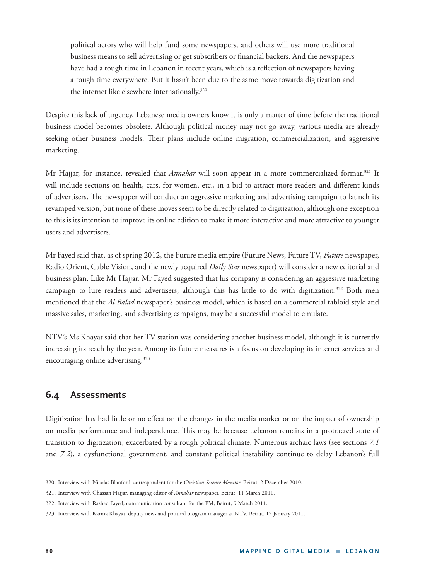political actors who will help fund some newspapers, and others will use more traditional business means to sell advertising or get subscribers or financial backers. And the newspapers have had a tough time in Lebanon in recent years, which is a reflection of newspapers having a tough time everywhere. But it hasn't been due to the same move towards digitization and the internet like elsewhere internationally.320

Despite this lack of urgency, Lebanese media owners know it is only a matter of time before the traditional business model becomes obsolete. Although political money may not go away, various media are already seeking other business models. Their plans include online migration, commercialization, and aggressive marketing.

Mr Hajjar, for instance, revealed that *Annahar* will soon appear in a more commercialized format.<sup>321</sup> It will include sections on health, cars, for women, etc., in a bid to attract more readers and different kinds of advertisers. The newspaper will conduct an aggressive marketing and advertising campaign to launch its revamped version, but none of these moves seem to be directly related to digitization, although one exception to this is its intention to improve its online edition to make it more interactive and more attractive to younger users and advertisers.

Mr Fayed said that, as of spring 2012, the Future media empire (Future News, Future TV, *Future* newspaper, Radio Orient, Cable Vision, and the newly acquired *Daily Star* newspaper) will consider a new editorial and business plan. Like Mr Hajjar, Mr Fayed suggested that his company is considering an aggressive marketing campaign to lure readers and advertisers, although this has little to do with digitization.<sup>322</sup> Both men mentioned that the *Al Balad* newspaper's business model, which is based on a commercial tabloid style and massive sales, marketing, and advertising campaigns, may be a successful model to emulate.

NTV's Ms Khayat said that her TV station was considering another business model, although it is currently increasing its reach by the year. Among its future measures is a focus on developing its internet services and encouraging online advertising.<sup>323</sup>

# **6.4 Assessments**

Digitization has had little or no effect on the changes in the media market or on the impact of ownership on media performance and independence. This may be because Lebanon remains in a protracted state of transition to digitization, exacerbated by a rough political climate. Numerous archaic laws (see sections *7.1* and *7.2*), a dysfunctional government, and constant political instability continue to delay Lebanon's full

<sup>320.</sup> Interview with Nicolas Blanford, correspondent for the *Christian Science Monitor*, Beirut, 2 December 2010.

<sup>321.</sup> Interview with Ghassan Hajjar, managing editor of *Annahar* newspaper, Beirut, 11 March 2011.

<sup>322.</sup> Interview with Rashed Fayed, communication consultant for the FM, Beirut, 9 March 2011.

<sup>323.</sup> Interview with Karma Khayat, deputy news and political program manager at NTV, Beirut, 12 January 2011.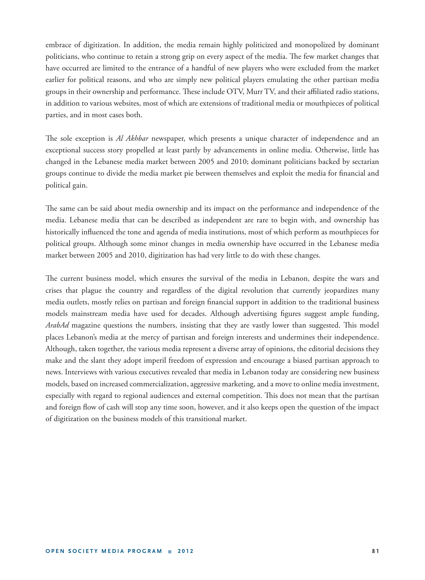embrace of digitization. In addition, the media remain highly politicized and monopolized by dominant politicians, who continue to retain a strong grip on every aspect of the media. The few market changes that have occurred are limited to the entrance of a handful of new players who were excluded from the market earlier for political reasons, and who are simply new political players emulating the other partisan media groups in their ownership and performance. These include OTV, Murr TV, and their affiliated radio stations, in addition to various websites, most of which are extensions of traditional media or mouthpieces of political parties, and in most cases both.

The sole exception is *Al Akhbar* newspaper, which presents a unique character of independence and an exceptional success story propelled at least partly by advancements in online media. Otherwise, little has changed in the Lebanese media market between 2005 and 2010; dominant politicians backed by sectarian groups continue to divide the media market pie between themselves and exploit the media for financial and political gain.

The same can be said about media ownership and its impact on the performance and independence of the media. Lebanese media that can be described as independent are rare to begin with, and ownership has historically influenced the tone and agenda of media institutions, most of which perform as mouthpieces for political groups. Although some minor changes in media ownership have occurred in the Lebanese media market between 2005 and 2010, digitization has had very little to do with these changes.

The current business model, which ensures the survival of the media in Lebanon, despite the wars and crises that plague the country and regardless of the digital revolution that currently jeopardizes many media outlets, mostly relies on partisan and foreign financial support in addition to the traditional business models mainstream media have used for decades. Although advertising figures suggest ample funding, ArabAd magazine questions the numbers, insisting that they are vastly lower than suggested. This model places Lebanon's media at the mercy of partisan and foreign interests and undermines their independence. Although, taken together, the various media represent a diverse array of opinions, the editorial decisions they make and the slant they adopt imperil freedom of expression and encourage a biased partisan approach to news. Interviews with various executives revealed that media in Lebanon today are considering new business models, based on increased commercialization, aggressive marketing, and a move to online media investment, especially with regard to regional audiences and external competition. This does not mean that the partisan and foreign flow of cash will stop any time soon, however, and it also keeps open the question of the impact of digitization on the business models of this transitional market.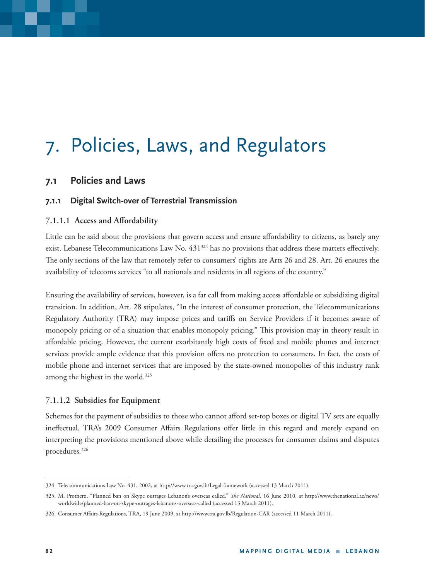# 7. Policies, Laws, and Regulators

## **7.1 Policies and Laws**

#### **7.1.1 Digital Switch-over of Terrestrial Transmission**

#### **7.1.1.1 Access and Affordability**

Little can be said about the provisions that govern access and ensure affordability to citizens, as barely any exist. Lebanese Telecommunications Law No. 431<sup>324</sup> has no provisions that address these matters effectively. The only sections of the law that remotely refer to consumers' rights are Arts 26 and 28. Art. 26 ensures the availability of telecoms services "to all nationals and residents in all regions of the country."

Ensuring the availability of services, however, is a far call from making access affordable or subsidizing digital transition. In addition, Art. 28 stipulates, "In the interest of consumer protection, the Telecommunications Regulatory Authority (TRA) may impose prices and tariffs on Service Providers if it becomes aware of monopoly pricing or of a situation that enables monopoly pricing." This provision may in theory result in affordable pricing. However, the current exorbitantly high costs of fixed and mobile phones and internet services provide ample evidence that this provision offers no protection to consumers. In fact, the costs of mobile phone and internet services that are imposed by the state-owned monopolies of this industry rank among the highest in the world.<sup>325</sup>

#### **7.1.1.2 Subsidies for Equipment**

Schemes for the payment of subsidies to those who cannot afford set-top boxes or digital TV sets are equally ineffectual. TRA's 2009 Consumer Affairs Regulations offer little in this regard and merely expand on interpreting the provisions mentioned above while detailing the processes for consumer claims and disputes procedures.326

<sup>324.</sup> Telecommunications Law No. 431, 2002, at http://www.tra.gov.lb/Legal-framework (accessed 13 March 2011).

<sup>325.</sup> M. Prothero, "Planned ban on Skype outrages Lebanon's overseas called," The National, 16 June 2010, at http://www.thenational.ae/news/ worldwide/planned-ban-on-skype-outrages-lebanons-overseas-called (accessed 13 March 2011).

<sup>326.</sup> Consumer Affairs Regulations, TRA, 19 June 2009, at http://www.tra.gov.lb/Regulation-CAR (accessed 11 March 2011).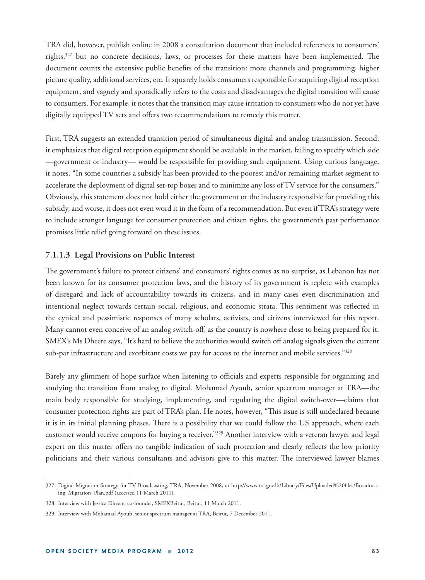TRA did, however, publish online in 2008 a consultation document that included references to consumers' rights,<sup>327</sup> but no concrete decisions, laws, or processes for these matters have been implemented. The document counts the extensive public benefits of the transition: more channels and programming, higher picture quality, additional services, etc. It squarely holds consumers responsible for acquiring digital reception equipment, and vaguely and sporadically refers to the costs and disadvantages the digital transition will cause to consumers. For example, it notes that the transition may cause irritation to consumers who do not yet have digitally equipped TV sets and offers two recommendations to remedy this matter.

First, TRA suggests an extended transition period of simultaneous digital and analog transmission. Second, it emphasizes that digital reception equipment should be available in the market, failing to specify which side ––government or industry–– would be responsible for providing such equipment. Using curious language, it notes, "In some countries a subsidy has been provided to the poorest and/or remaining market segment to accelerate the deployment of digital set-top boxes and to minimize any loss of TV service for the consumers." Obviously, this statement does not hold either the government or the industry responsible for providing this subsidy, and worse, it does not even word it in the form of a recommendation. But even if TRA's strategy were to include stronger language for consumer protection and citizen rights, the government's past performance promises little relief going forward on these issues.

#### **7.1.1.3 Legal Provisions on Public Interest**

The government's failure to protect citizens' and consumers' rights comes as no surprise, as Lebanon has not been known for its consumer protection laws, and the history of its government is replete with examples of disregard and lack of accountability towards its citizens, and in many cases even discrimination and intentional neglect towards certain social, religious, and economic strata. This sentiment was reflected in the cynical and pessimistic responses of many scholars, activists, and citizens interviewed for this report. Many cannot even conceive of an analog switch-off, as the country is nowhere close to being prepared for it. SMEX's Ms Dheere says, "It's hard to believe the authorities would switch off analog signals given the current sub-par infrastructure and exorbitant costs we pay for access to the internet and mobile services."<sup>328</sup>

Barely any glimmers of hope surface when listening to officials and experts responsible for organizing and studying the transition from analog to digital. Mohamad Ayoub, senior spectrum manager at TRA—the main body responsible for studying, implementing, and regulating the digital switch-over—claims that consumer protection rights are part of TRA's plan. He notes, however, "This issue is still undeclared because it is in its initial planning phases. There is a possibility that we could follow the US approach, where each customer would receive coupons for buying a receiver."329 Another interview with a veteran lawyer and legal expert on this matter offers no tangible indication of such protection and clearly reflects the low priority politicians and their various consultants and advisors give to this matter. The interviewed lawyer blames

<sup>327.</sup> Digital Migration Strategy for TV Broadcasting, TRA, November 2008, at http://www.tra.gov.lb/Library/Files/Uploaded%20files/Broadcasting\_Migration\_Plan.pdf (accessed 11 March 2011).

<sup>328.</sup> Interview with Jessica Dheere, co-founder, SMEXBeirut, Beirut, 11 March 2011.

<sup>329.</sup> Interview with Mohamad Ayoub, senior spectrum manager at TRA, Beirut, 7 December 2011.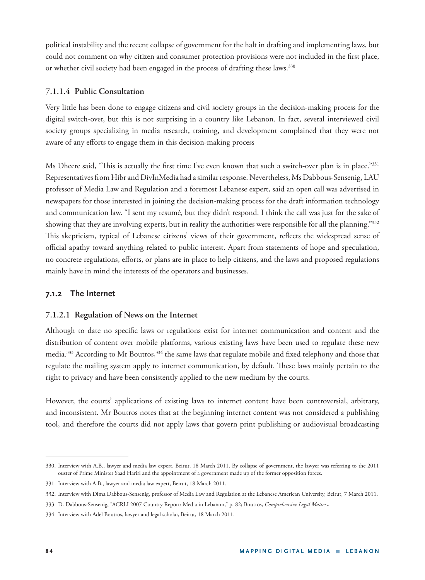political instability and the recent collapse of government for the halt in drafting and implementing laws, but could not comment on why citizen and consumer protection provisions were not included in the first place, or whether civil society had been engaged in the process of drafting these laws.<sup>330</sup>

#### **7.1.1.4 Public Consultation**

Very little has been done to engage citizens and civil society groups in the decision-making process for the digital switch-over, but this is not surprising in a country like Lebanon. In fact, several interviewed civil society groups specializing in media research, training, and development complained that they were not aware of any efforts to engage them in this decision-making process

Ms Dheere said, "This is actually the first time I've even known that such a switch-over plan is in place."<sup>331</sup> Representatives from Hibr and DivInMedia had a similar response. Nevertheless, Ms Dabbous-Sensenig, LAU professor of Media Law and Regulation and a foremost Lebanese expert, said an open call was advertised in newspapers for those interested in joining the decision-making process for the draft information technology and communication law. "I sent my resumé, but they didn't respond. I think the call was just for the sake of showing that they are involving experts, but in reality the authorities were responsible for all the planning."<sup>332</sup> This skepticism, typical of Lebanese citizens' views of their government, reflects the widespread sense of official apathy toward anything related to public interest. Apart from statements of hope and speculation, no concrete regulations, efforts, or plans are in place to help citizens, and the laws and proposed regulations mainly have in mind the interests of the operators and businesses.

### **7.1.2 The Internet**

#### **7.1.2.1 Regulation of News on the Internet**

Although to date no specific laws or regulations exist for internet communication and content and the distribution of content over mobile platforms, various existing laws have been used to regulate these new media.<sup>333</sup> According to Mr Boutros,<sup>334</sup> the same laws that regulate mobile and fixed telephony and those that regulate the mailing system apply to internet communication, by default. These laws mainly pertain to the right to privacy and have been consistently applied to the new medium by the courts.

However, the courts' applications of existing laws to internet content have been controversial, arbitrary, and inconsistent. Mr Boutros notes that at the beginning internet content was not considered a publishing tool, and therefore the courts did not apply laws that govern print publishing or audiovisual broadcasting

<sup>330.</sup> Interview with A.B., lawyer and media law expert, Beirut, 18 March 2011. By collapse of government, the lawyer was referring to the 2011 ouster of Prime Minister Saad Hariri and the appointment of a government made up of the former opposition forces.

<sup>331.</sup> Interview with A.B., lawyer and media law expert, Beirut, 18 March 2011.

<sup>332.</sup> Interview with Dima Dabbous-Sensenig, professor of Media Law and Regulation at the Lebanese American University, Beirut, 7 March 2011.

<sup>333.</sup> D. Dabbous-Sensenig, "ACRLI 2007 Country Report: Media in Lebanon," p. 82; Boutros, *Comprehensive Legal Matters*.

<sup>334.</sup> Interview with Adel Boutros, lawyer and legal scholar, Beirut, 18 March 2011.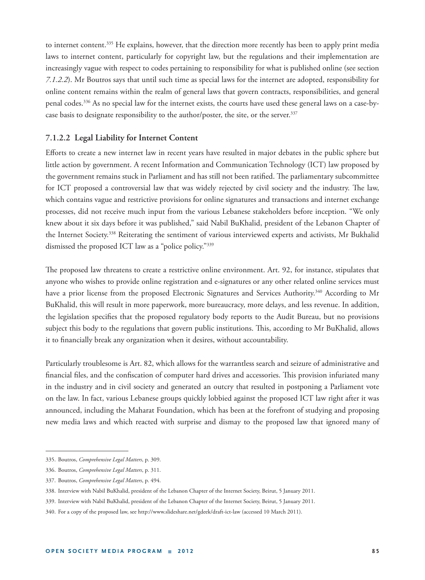to internet content.335 He explains, however, that the direction more recently has been to apply print media laws to internet content, particularly for copyright law, but the regulations and their implementation are increasingly vague with respect to codes pertaining to responsibility for what is published online (see section *7.1.2.2*). Mr Boutros says that until such time as special laws for the internet are adopted, responsibility for online content remains within the realm of general laws that govern contracts, responsibilities, and general penal codes.336 As no special law for the internet exists, the courts have used these general laws on a case-bycase basis to designate responsibility to the author/poster, the site, or the server.<sup>337</sup>

#### **7.1.2.2 Legal Liability for Internet Content**

Efforts to create a new internet law in recent years have resulted in major debates in the public sphere but little action by government. A recent Information and Communication Technology (ICT) law proposed by the government remains stuck in Parliament and has still not been ratified. The parliamentary subcommittee for ICT proposed a controversial law that was widely rejected by civil society and the industry. The law, which contains vague and restrictive provisions for online signatures and transactions and internet exchange processes, did not receive much input from the various Lebanese stakeholders before inception. "We only knew about it six days before it was published," said Nabil BuKhalid, president of the Lebanon Chapter of the Internet Society.338 Reiterating the sentiment of various interviewed experts and activists, Mr Bukhalid dismissed the proposed ICT law as a "police policy."339

The proposed law threatens to create a restrictive online environment. Art. 92, for instance, stipulates that anyone who wishes to provide online registration and e-signatures or any other related online services must have a prior license from the proposed Electronic Signatures and Services Authority.<sup>340</sup> According to Mr BuKhalid, this will result in more paperwork, more bureaucracy, more delays, and less revenue. In addition, the legislation specifies that the proposed regulatory body reports to the Audit Bureau, but no provisions subject this body to the regulations that govern public institutions. This, according to Mr BuKhalid, allows it to financially break any organization when it desires, without accountability.

Particularly troublesome is Art. 82, which allows for the warrantless search and seizure of administrative and financial files, and the confiscation of computer hard drives and accessories. This provision infuriated many in the industry and in civil society and generated an outcry that resulted in postponing a Parliament vote on the law. In fact, various Lebanese groups quickly lobbied against the proposed ICT law right after it was announced, including the Maharat Foundation, which has been at the forefront of studying and proposing new media laws and which reacted with surprise and dismay to the proposed law that ignored many of

<sup>335.</sup> Boutros, *Comprehensive Legal Matters*, p. 309.

<sup>336.</sup> Boutros, *Comprehensive Legal Matters*, p. 311.

<sup>337.</sup> Boutros, *Comprehensive Legal Matters*, p. 494.

<sup>338.</sup> Interview with Nabil BuKhalid, president of the Lebanon Chapter of the Internet Society, Beirut, 5 January 2011.

<sup>339.</sup> Interview with Nabil BuKhalid, president of the Lebanon Chapter of the Internet Society, Beirut, 5 January 2011.

<sup>340.</sup> For a copy of the proposed law, see http://www.slideshare.net/gdeek/draft-ict-law (accessed 10 March 2011).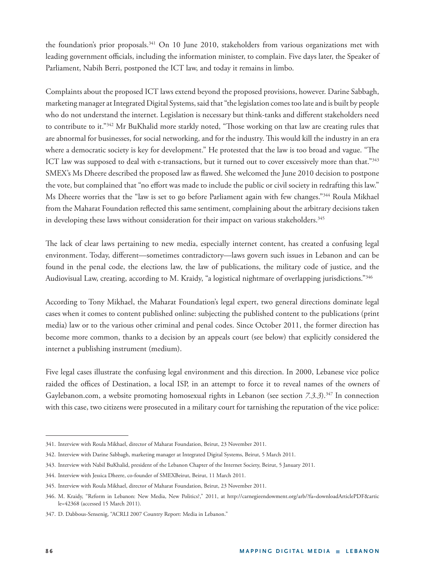the foundation's prior proposals.341 On 10 June 2010, stakeholders from various organizations met with leading government officials, including the information minister, to complain. Five days later, the Speaker of Parliament, Nabih Berri, postponed the ICT law, and today it remains in limbo.

Complaints about the proposed ICT laws extend beyond the proposed provisions, however. Darine Sabbagh, marketing manager at Integrated Digital Systems, said that "the legislation comes too late and is built by people who do not understand the internet. Legislation is necessary but think-tanks and different stakeholders need to contribute to it."<sup>342</sup> Mr BuKhalid more starkly noted, "Those working on that law are creating rules that are abnormal for businesses, for social networking, and for the industry. This would kill the industry in an era where a democratic society is key for development." He protested that the law is too broad and vague. "The ICT law was supposed to deal with e-transactions, but it turned out to cover excessively more than that."<sup>343</sup> SMEX's Ms Dheere described the proposed law as flawed. She welcomed the June 2010 decision to postpone the vote, but complained that "no effort was made to include the public or civil society in redrafting this law." Ms Dheere worries that the "law is set to go before Parliament again with few changes."344 Roula Mikhael from the Maharat Foundation reflected this same sentiment, complaining about the arbitrary decisions taken in developing these laws without consideration for their impact on various stakeholders.<sup>345</sup>

The lack of clear laws pertaining to new media, especially internet content, has created a confusing legal environment. Today, different—sometimes contradictory—laws govern such issues in Lebanon and can be found in the penal code, the elections law, the law of publications, the military code of justice, and the Audiovisual Law, creating, according to M. Kraidy, "a logistical nightmare of overlapping jurisdictions."346

According to Tony Mikhael, the Maharat Foundation's legal expert, two general directions dominate legal cases when it comes to content published online: subjecting the published content to the publications (print media) law or to the various other criminal and penal codes. Since October 2011, the former direction has become more common, thanks to a decision by an appeals court (see below) that explicitly considered the internet a publishing instrument (medium).

Five legal cases illustrate the confusing legal environment and this direction. In 2000, Lebanese vice police raided the offices of Destination, a local ISP, in an attempt to force it to reveal names of the owners of Gaylebanon.com, a website promoting homosexual rights in Lebanon (see section 7.3.3).<sup>347</sup> In connection with this case, two citizens were prosecuted in a military court for tarnishing the reputation of the vice police:

<sup>341.</sup> Interview with Roula Mikhael, director of Maharat Foundation, Beirut, 23 November 2011.

<sup>342.</sup> Interview with Darine Sabbagh, marketing manager at Integrated Digital Systems, Beirut, 5 March 2011.

<sup>343.</sup> Interview with Nabil BuKhalid, president of the Lebanon Chapter of the Internet Society, Beirut, 5 January 2011.

<sup>344.</sup> Interview with Jessica Dheere, co-founder of SMEXBeirut, Beirut, 11 March 2011.

<sup>345.</sup> Interview with Roula Mikhael, director of Maharat Foundation, Beirut, 23 November 2011.

<sup>346.</sup> M. Kraidy, "Reform in Lebanon: New Media, New Politics?," 2011, at http://carnegieendowment.org/arb/?fa=downloadArticlePDF&artic le=42368 (accessed 15 March 2011).

<sup>347.</sup> D. Dabbous-Sensenig, "ACRLI 2007 Country Report: Media in Lebanon."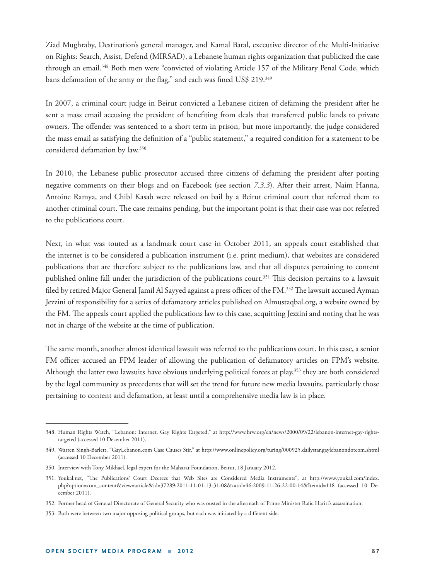Ziad Mughraby, Destination's general manager, and Kamal Batal, executive director of the Multi-Initiative on Rights: Search, Assist, Defend (MIRSAD), a Lebanese human rights organization that publicized the case through an email.348 Both men were "convicted of violating Article 157 of the Military Penal Code, which bans defamation of the army or the flag," and each was fined US\$ 219.<sup>349</sup>

In 2007, a criminal court judge in Beirut convicted a Lebanese citizen of defaming the president after he sent a mass email accusing the president of benefiting from deals that transferred public lands to private owners. The offender was sentenced to a short term in prison, but more importantly, the judge considered the mass email as satisfying the definition of a "public statement," a required condition for a statement to be considered defamation by law.350

In 2010, the Lebanese public prosecutor accused three citizens of defaming the president after posting negative comments on their blogs and on Facebook (see section *7.3.3*). After their arrest, Naim Hanna, Antoine Ramya, and Chibl Kasab were released on bail by a Beirut criminal court that referred them to another criminal court. The case remains pending, but the important point is that their case was not referred to the publications court.

Next, in what was touted as a landmark court case in October 2011, an appeals court established that the internet is to be considered a publication instrument (i.e. print medium), that websites are considered publications that are therefore subject to the publications law, and that all disputes pertaining to content published online fall under the jurisdiction of the publications court.<sup>351</sup> This decision pertains to a lawsuit filed by retired Major General Jamil Al Sayyed against a press officer of the FM.<sup>352</sup> The lawsuit accused Ayman Jezzini of responsibility for a series of defamatory articles published on Almustaqbal.org, a website owned by the FM. The appeals court applied the publications law to this case, acquitting Jezzini and noting that he was not in charge of the website at the time of publication.

The same month, another almost identical lawsuit was referred to the publications court. In this case, a senior FM officer accused an FPM leader of allowing the publication of defamatory articles on FPM's website. Although the latter two lawsuits have obvious underlying political forces at play,<sup>353</sup> they are both considered by the legal community as precedents that will set the trend for future new media lawsuits, particularly those pertaining to content and defamation, at least until a comprehensive media law is in place.

<sup>348.</sup> Human Rights Watch, "Lebanon: Internet, Gay Rights Targeted," at http://www.hrw.org/en/news/2000/09/22/lebanon-internet-gay-rightstargeted (accessed 10 December 2011).

<sup>349.</sup> Warren Singh-Barlett, "GayLebanon.com Case Causes Stir," at http://www.onlinepolicy.org/turing/000925.dailystar.gaylebanondotcom.shtml (accessed 10 December 2011).

<sup>350.</sup> Interview with Tony Mikhael, legal expert for the Maharat Foundation, Beirut, 18 January 2012.

<sup>351.</sup> Youkal.net, "The Publications' Court Decrees that Web Sites are Considered Media Instruments", at http://www.youkal.com/index. php?option=com\_content&view=article&id=37289:2011-11-01-13-31-08&catid=46:2009-11-26-22-00-14&Itemid=118 (accessed 10 December 2011).

<sup>352.</sup> Former head of General Directorate of General Security who was ousted in the aftermath of Prime Minister Rafic Hariri's assassination.

<sup>353.</sup> Both were between two major opposing political groups, but each was initiated by a different side.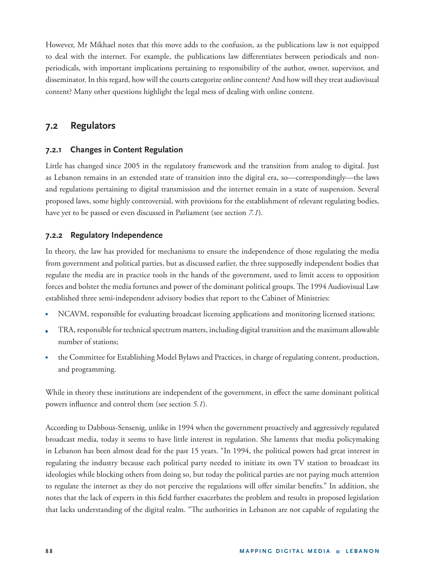However, Mr Mikhael notes that this move adds to the confusion, as the publications law is not equipped to deal with the internet. For example, the publications law differentiates between periodicals and nonperiodicals, with important implications pertaining to responsibility of the author, owner, supervisor, and disseminator. In this regard, how will the courts categorize online content? And how will they treat audiovisual content? Many other questions highlight the legal mess of dealing with online content.

## **7.2 Regulators**

#### **7.2.1 Changes in Content Regulation**

Little has changed since 2005 in the regulatory framework and the transition from analog to digital. Just as Lebanon remains in an extended state of transition into the digital era, so—correspondingly—the laws and regulations pertaining to digital transmission and the internet remain in a state of suspension. Several proposed laws, some highly controversial, with provisions for the establishment of relevant regulating bodies, have yet to be passed or even discussed in Parliament (see section *7.1*).

#### **7.2.2 Regulatory Independence**

In theory, the law has provided for mechanisms to ensure the independence of those regulating the media from government and political parties, but as discussed earlier, the three supposedly independent bodies that regulate the media are in practice tools in the hands of the government, used to limit access to opposition forces and bolster the media fortunes and power of the dominant political groups. The 1994 Audiovisual Law established three semi-independent advisory bodies that report to the Cabinet of Ministries:

- NCAVM, responsible for evaluating broadcast licensing applications and monitoring licensed stations;
- TRA, responsible for technical spectrum matters, including digital transition and the maximum allowable number of stations;
- the Committee for Establishing Model Bylaws and Practices, in charge of regulating content, production, and programming.

While in theory these institutions are independent of the government, in effect the same dominant political powers influence and control them (see section 5.1).

According to Dabbous-Sensenig, unlike in 1994 when the government proactively and aggressively regulated broadcast media, today it seems to have little interest in regulation. She laments that media policymaking in Lebanon has been almost dead for the past 15 years. "In 1994, the political powers had great interest in regulating the industry because each political party needed to initiate its own TV station to broadcast its ideologies while blocking others from doing so, but today the political parties are not paying much attention to regulate the internet as they do not perceive the regulations will offer similar benefits." In addition, she notes that the lack of experts in this field further exacerbates the problem and results in proposed legislation that lacks understanding of the digital realm. "The authorities in Lebanon are not capable of regulating the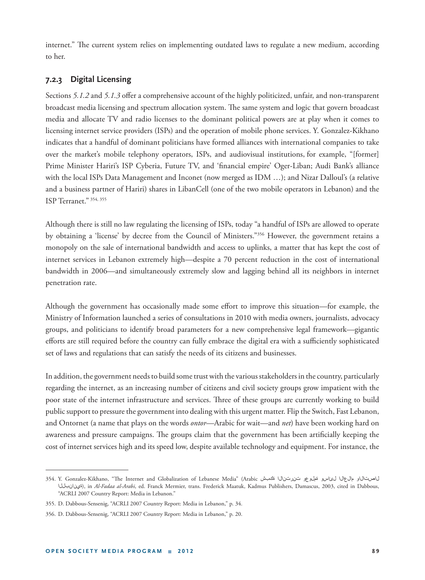internet." The current system relies on implementing outdated laws to regulate a new medium, according to her.

#### **7.2.3 Digital Licensing**

Sections 5.1.2 and 5.1.3 offer a comprehensive account of the highly politicized, unfair, and non-transparent broadcast media licensing and spectrum allocation system. The same system and logic that govern broadcast media and allocate TV and radio licenses to the dominant political powers are at play when it comes to licensing internet service providers (ISPs) and the operation of mobile phone services. Y. Gonzalez-Kikhano indicates that a handful of dominant politicians have formed alliances with international companies to take over the market's mobile telephony operators, ISPs, and audiovisual institutions, for example, "[former] Prime Minister Hariri's ISP Cyberia, Future TV, and 'financial empire' Oger-Liban; Audi Bank's alliance with the local ISPs Data Management and Inconet (now merged as IDM …); and Nizar Dalloul's (a relative and a business partner of Hariri) shares in LibanCell (one of the two mobile operators in Lebanon) and the ISP Terranet." 354, 355

Although there is still no law regulating the licensing of ISPs, today "a handful of ISPs are allowed to operate by obtaining a 'license' by decree from the Council of Ministers."356 However, the government retains a monopoly on the sale of international bandwidth and access to uplinks, a matter that has kept the cost of internet services in Lebanon extremely high—despite a 70 percent reduction in the cost of international bandwidth in 2006—and simultaneously extremely slow and lagging behind all its neighbors in internet penetration rate.

Although the government has occasionally made some effort to improve this situation—for example, the Ministry of Information launched a series of consultations in 2010 with media owners, journalists, advocacy groups, and politicians to identify broad parameters for a new comprehensive legal framework—gigantic efforts are still required before the country can fully embrace the digital era with a sufficiently sophisticated set of laws and regulations that can satisfy the needs of its citizens and businesses.

In addition, the government needs to build some trust with the various stakeholders in the country, particularly regarding the internet, as an increasing number of citizens and civil society groups grow impatient with the poor state of the internet infrastructure and services. Three of these groups are currently working to build public support to pressure the government into dealing with this urgent matter. Flip the Switch, Fast Lebanon, and Ontornet (a name that plays on the words *ontor*—Arabic for wait—and *net*) have been working hard on awareness and pressure campaigns. The groups claim that the government has been artificially keeping the cost of internet services high and its speed low, despite available technology and equipment. For instance, the

<sup>354.</sup> Y. Gonzalez-Kikhano, "Th e Internet and Globalization of Lebanese Media" (Arabic ةكبش تنرتنالا ةملوعو لئاسو مالعالا لاصتالاو ةينانبللا(, in *Al-Fadaa al-Arabi*, ed. Franck Mermier, trans. Frederick Maatuk, Kadmus Publishers, Damascus, 2003, cited in Dabbous, "ACRLI 2007 Country Report: Media in Lebanon."

<sup>355.</sup> D. Dabbous-Sensenig, "ACRLI 2007 Country Report: Media in Lebanon," p. 34.

<sup>356.</sup> D. Dabbous-Sensenig, "ACRLI 2007 Country Report: Media in Lebanon," p. 20.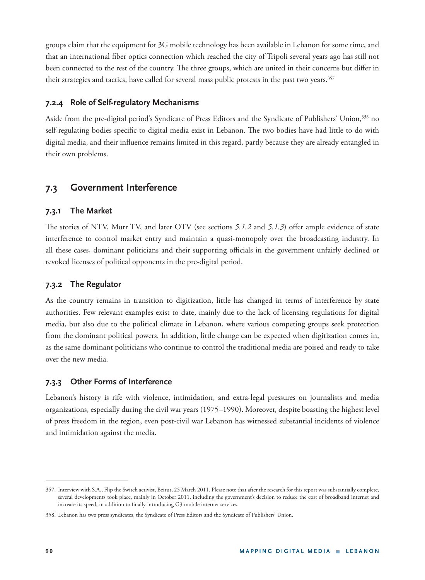groups claim that the equipment for 3G mobile technology has been available in Lebanon for some time, and that an international fiber optics connection which reached the city of Tripoli several years ago has still not been connected to the rest of the country. The three groups, which are united in their concerns but differ in their strategies and tactics, have called for several mass public protests in the past two years.<sup>357</sup>

### **7.2.4 Role of Self-regulatory Mechanisms**

Aside from the pre-digital period's Syndicate of Press Editors and the Syndicate of Publishers' Union,358 no self-regulating bodies specific to digital media exist in Lebanon. The two bodies have had little to do with digital media, and their influence remains limited in this regard, partly because they are already entangled in their own problems.

# **7.3 Government Interference**

#### **7.3.1 The Market**

The stories of NTV, Murr TV, and later OTV (see sections 5.1.2 and 5.1.3) offer ample evidence of state interference to control market entry and maintain a quasi-monopoly over the broadcasting industry. In all these cases, dominant politicians and their supporting officials in the government unfairly declined or revoked licenses of political opponents in the pre-digital period.

#### **7.3.2 The Regulator**

As the country remains in transition to digitization, little has changed in terms of interference by state authorities. Few relevant examples exist to date, mainly due to the lack of licensing regulations for digital media, but also due to the political climate in Lebanon, where various competing groups seek protection from the dominant political powers. In addition, little change can be expected when digitization comes in, as the same dominant politicians who continue to control the traditional media are poised and ready to take over the new media.

#### **7.3.3 Other Forms of Interference**

Lebanon's history is rife with violence, intimidation, and extra-legal pressures on journalists and media organizations, especially during the civil war years (1975–1990). Moreover, despite boasting the highest level of press freedom in the region, even post-civil war Lebanon has witnessed substantial incidents of violence and intimidation against the media.

<sup>357.</sup> Interview with S.A., Flip the Switch activist, Beirut, 25 March 2011. Please note that after the research for this report was substantially complete, several developments took place, mainly in October 2011, including the government's decision to reduce the cost of broadband internet and increase its speed, in addition to finally introducing G3 mobile internet services.

<sup>358.</sup> Lebanon has two press syndicates, the Syndicate of Press Editors and the Syndicate of Publishers' Union.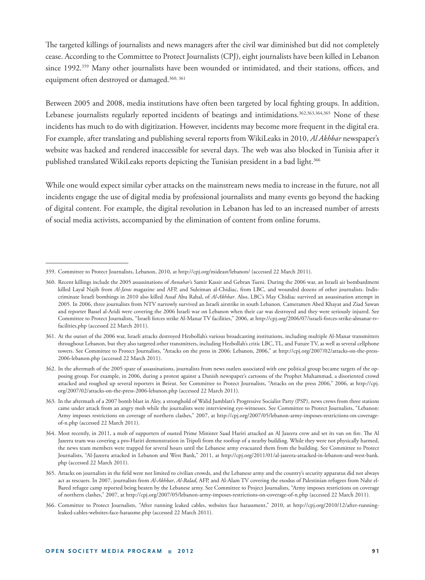The targeted killings of journalists and news managers after the civil war diminished but did not completely cease. According to the Committee to Protect Journalists (CPJ), eight journalists have been killed in Lebanon since 1992.<sup>359</sup> Many other journalists have been wounded or intimidated, and their stations, offices, and equipment often destroyed or damaged.<sup>360, 361</sup>

Between 2005 and 2008, media institutions have often been targeted by local fighting groups. In addition, Lebanese journalists regularly reported incidents of beatings and intimidations.<sup>362,363,364,365</sup> None of these incidents has much to do with digitization. However, incidents may become more frequent in the digital era. For example, after translating and publishing several reports from WikiLeaks in 2010, *Al Akhbar* newspaper's website was hacked and rendered inaccessible for several days. The web was also blocked in Tunisia after it published translated WikiLeaks reports depicting the Tunisian president in a bad light.<sup>366</sup>

While one would expect similar cyber attacks on the mainstream news media to increase in the future, not all incidents engage the use of digital media by professional journalists and many events go beyond the hacking of digital content. For example, the digital revolution in Lebanon has led to an increased number of arrests of social media activists, accompanied by the elimination of content from online forums.

<sup>359.</sup> Committee to Protect Journalists, Lebanon, 2010, at http://cpj.org/mideast/lebanon/ (accessed 22 March 2011).

<sup>360.</sup> Recent killings include the 2005 assassinations of *Annahar*'s Samir Kassir and Gebran Tueni. During the 2006 war, an Israeli air bombardment killed Layal Najib from *Al-Jaras* magazine and AFP, and Suleiman al-Chidiac, from LBC, and wounded dozens of other journalists. Indiscriminate Israeli bombings in 2010 also killed Assaf Abu Rahal, of *Al-Akhbar*. Also, LBC's May Chidiac survived an assassination attempt in 2005. In 2006, three journalists from NTV narrowly survived an Israeli airstrike in south Lebanon. Cameramen Abed Khayat and Ziad Sawan and reporter Bassel al-Aridi were covering the 2006 Israeli war on Lebanon when their car was destroyed and they were seriously injured. See Committee to Protect Journalists, "Israeli forces strike Al-Manar TV facilities," 2006, at http://cpj.org/2006/07/israeli-forces-strike-almanar-tvfacilities.php (accessed 22 March 2011).

<sup>361.</sup> At the outset of the 2006 war, Israeli attacks destroyed Hezbollah's various broadcasting institutions, including multiple Al-Manar transmitters throughout Lebanon, but they also targeted other transmitters, including Hezbollah's critic LBC, TL, and Future TV, as well as several cellphone towers. See Committee to Protect Journalists, "Attacks on the press in 2006: Lebanon, 2006," at http://cpj.org/2007/02/attacks-on-the-press-2006-lebanon.php (accessed 22 March 2011).

<sup>362.</sup> In the aftermath of the 2005 spate of assassinations, journalists from news outlets associated with one political group became targets of the opposing group. For example, in 2006, during a protest against a Danish newspaper's cartoons of the Prophet Muhammad, a disoriented crowd attacked and roughed up several reporters in Beirut. See Committee to Protect Journalists, "Attacks on the press 2006," 2006, at http://cpj. org/2007/02/attacks-on-the-press-2006-lebanon.php (accessed 22 March 2011).

<sup>363.</sup> In the aftermath of a 2007 bomb blast in Aley, a stronghold of Walid Jumblatt's Progressive Socialist Party (PSP), news crews from three stations came under attack from an angry mob while the journalists were interviewing eye-witnesses. See Committee to Protect Journalists, "Lebanon: Army imposes restrictions on coverage of northern clashes," 2007, at http://cpj.org/2007/05/lebanon-army-imposes-restrictions-on-coverageof-n.php (accessed 22 March 2011).

<sup>364.</sup> Most recently, in 2011, a mob of supporters of ousted Prime Minister Saad Hariri attacked an Al Jazeera crew and set its van on fire. The Al Jazeera team was covering a pro-Hariri demonstration in Tripoli from the rooftop of a nearby building. While they were not physically harmed, the news team members were trapped for several hours until the Lebanese army evacuated them from the building. See Committee to Protect Journalists, "Al-Jazeera attacked in Lebanon and West Bank," 2011, at http://cpj.org/2011/01/al-jazeera-attacked-in-lebanon-and-west-bank. php (accessed 22 March 2011).

<sup>365.</sup> Attacks on journalists in the field were not limited to civilian crowds, and the Lebanese army and the country's security apparatus did not always act as rescuers. In 2007, journalists from *Al-Akhbar*, *Al-Balad*, AFP, and Al-Alam TV covering the exodus of Palestinian refugees from Nahr el-Bared refugee camp reported being beaten by the Lebanese army. See Committee to Project Journalists, "Army imposes restrictions on coverage of northern clashes," 2007, at http://cpj.org/2007/05/lebanon-army-imposes-restrictions-on-coverage-of-n.php (accessed 22 March 2011).

<sup>366.</sup> Committee to Protect Journalists, "After running leaked cables, websites face harassment," 2010, at http://cpj.org/2010/12/after-runningleaked-cables-websites-face-harassme.php (accessed 22 March 2011).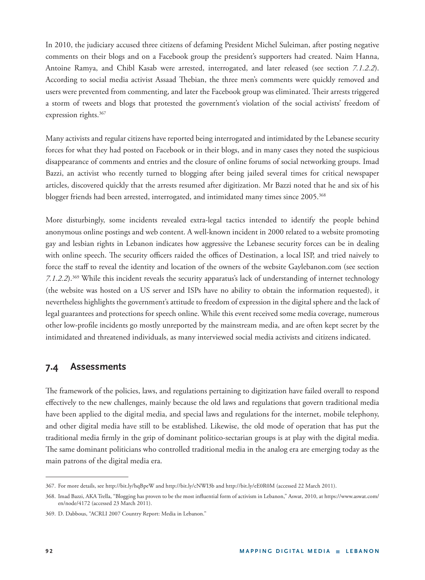In 2010, the judiciary accused three citizens of defaming President Michel Suleiman, after posting negative comments on their blogs and on a Facebook group the president's supporters had created. Naim Hanna, Antoine Ramya, and Chibl Kasab were arrested, interrogated, and later released (see section *7.1.2.2*). According to social media activist Assaad Thebian, the three men's comments were quickly removed and users were prevented from commenting, and later the Facebook group was eliminated. Their arrests triggered a storm of tweets and blogs that protested the government's violation of the social activists' freedom of expression rights.<sup>367</sup>

Many activists and regular citizens have reported being interrogated and intimidated by the Lebanese security forces for what they had posted on Facebook or in their blogs, and in many cases they noted the suspicious disappearance of comments and entries and the closure of online forums of social networking groups. Imad Bazzi, an activist who recently turned to blogging after being jailed several times for critical newspaper articles, discovered quickly that the arrests resumed after digitization. Mr Bazzi noted that he and six of his blogger friends had been arrested, interrogated, and intimidated many times since 2005.<sup>368</sup>

More disturbingly, some incidents revealed extra-legal tactics intended to identify the people behind anonymous online postings and web content. A well-known incident in 2000 related to a website promoting gay and lesbian rights in Lebanon indicates how aggressive the Lebanese security forces can be in dealing with online speech. The security officers raided the offices of Destination, a local ISP, and tried naively to force the staff to reveal the identity and location of the owners of the website Gaylebanon.com (see section *7.1.2.2*).369 While this incident reveals the security apparatus's lack of understanding of internet technology (the website was hosted on a US server and ISPs have no ability to obtain the information requested), it nevertheless highlights the government's attitude to freedom of expression in the digital sphere and the lack of legal guarantees and protections for speech online. While this event received some media coverage, numerous other low-profile incidents go mostly unreported by the mainstream media, and are often kept secret by the intimidated and threatened individuals, as many interviewed social media activists and citizens indicated.

#### **7.4 Assessments**

The framework of the policies, laws, and regulations pertaining to digitization have failed overall to respond effectively to the new challenges, mainly because the old laws and regulations that govern traditional media have been applied to the digital media, and special laws and regulations for the internet, mobile telephony, and other digital media have still to be established. Likewise, the old mode of operation that has put the traditional media firmly in the grip of dominant politico-sectarian groups is at play with the digital media. The same dominant politicians who controlled traditional media in the analog era are emerging today as the main patrons of the digital media era.

<sup>367.</sup> For more details, see http://bit.ly/hqBpeW and http://bit.ly/cNWI3b and http://bit.ly/eE0R0M (accessed 22 March 2011).

<sup>368.</sup> Imad Bazzi, AKA Trella, "Blogging has proven to be the most influential form of activism in Lebanon," Aswat, 2010, at https://www.aswat.com/ en/node/4172 (accessed 23 March 2011).

<sup>369.</sup> D. Dabbous, "ACRLI 2007 Country Report: Media in Lebanon."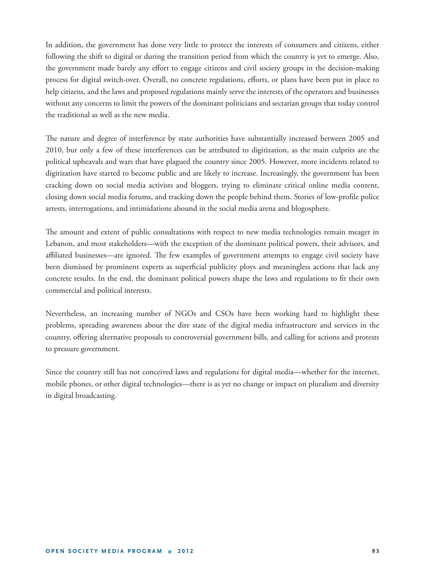In addition, the government has done very little to protect the interests of consumers and citizens, either following the shift to digital or during the transition period from which the country is yet to emerge. Also, the government made barely any effort to engage citizens and civil society groups in the decision-making process for digital switch-over. Overall, no concrete regulations, efforts, or plans have been put in place to help citizens, and the laws and proposed regulations mainly serve the interests of the operators and businesses without any concerns to limit the powers of the dominant politicians and sectarian groups that today control the traditional as well as the new media.

The nature and degree of interference by state authorities have substantially increased between 2005 and 2010, but only a few of these interferences can be attributed to digitization, as the main culprits are the political upheavals and wars that have plagued the country since 2005. However, more incidents related to digitization have started to become public and are likely to increase. Increasingly, the government has been cracking down on social media activists and bloggers, trying to eliminate critical online media content, closing down social media forums, and tracking down the people behind them. Stories of low-profile police arrests, interrogations, and intimidations abound in the social media arena and blogosphere.

The amount and extent of public consultations with respect to new media technologies remain meager in Lebanon, and most stakeholders—with the exception of the dominant political powers, their advisors, and affiliated businesses—are ignored. The few examples of government attempts to engage civil society have been dismissed by prominent experts as superficial publicity ploys and meaningless actions that lack any concrete results. In the end, the dominant political powers shape the laws and regulations to fit their own commercial and political interests.

Nevertheless, an increasing number of NGOs and CSOs have been working hard to highlight these problems, spreading awareness about the dire state of the digital media infrastructure and services in the country, offering alternative proposals to controversial government bills, and calling for actions and protests to pressure government.

Since the country still has not conceived laws and regulations for digital media—whether for the internet, mobile phones, or other digital technologies—there is as yet no change or impact on pluralism and diversity in digital broadcasting.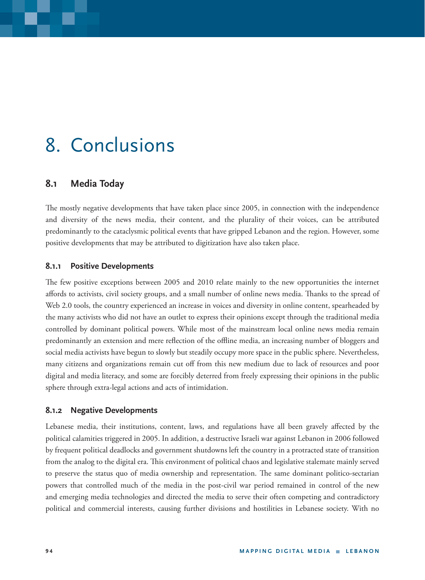# 8. Conclusions

## **8.1 Media Today**

The mostly negative developments that have taken place since 2005, in connection with the independence and diversity of the news media, their content, and the plurality of their voices, can be attributed predominantly to the cataclysmic political events that have gripped Lebanon and the region. However, some positive developments that may be attributed to digitization have also taken place.

#### **8.1.1 Positive Developments**

The few positive exceptions between 2005 and 2010 relate mainly to the new opportunities the internet affords to activists, civil society groups, and a small number of online news media. Thanks to the spread of Web 2.0 tools, the country experienced an increase in voices and diversity in online content, spearheaded by the many activists who did not have an outlet to express their opinions except through the traditional media controlled by dominant political powers. While most of the mainstream local online news media remain predominantly an extension and mere reflection of the offline media, an increasing number of bloggers and social media activists have begun to slowly but steadily occupy more space in the public sphere. Nevertheless, many citizens and organizations remain cut off from this new medium due to lack of resources and poor digital and media literacy, and some are forcibly deterred from freely expressing their opinions in the public sphere through extra-legal actions and acts of intimidation.

#### **8.1.2 Negative Developments**

Lebanese media, their institutions, content, laws, and regulations have all been gravely affected by the political calamities triggered in 2005. In addition, a destructive Israeli war against Lebanon in 2006 followed by frequent political deadlocks and government shutdowns left the country in a protracted state of transition from the analog to the digital era. This environment of political chaos and legislative stalemate mainly served to preserve the status quo of media ownership and representation. The same dominant politico-sectarian powers that controlled much of the media in the post-civil war period remained in control of the new and emerging media technologies and directed the media to serve their often competing and contradictory political and commercial interests, causing further divisions and hostilities in Lebanese society. With no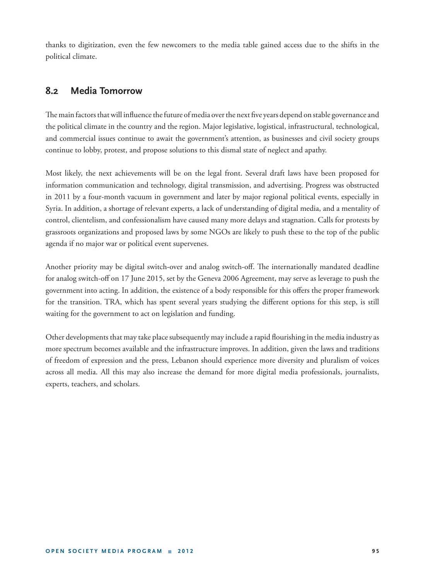thanks to digitization, even the few newcomers to the media table gained access due to the shifts in the political climate.

## **8.2 Media Tomorrow**

The main factors that will influence the future of media over the next five years depend on stable governance and the political climate in the country and the region. Major legislative, logistical, infrastructural, technological, and commercial issues continue to await the government's attention, as businesses and civil society groups continue to lobby, protest, and propose solutions to this dismal state of neglect and apathy.

Most likely, the next achievements will be on the legal front. Several draft laws have been proposed for information communication and technology, digital transmission, and advertising. Progress was obstructed in 2011 by a four-month vacuum in government and later by major regional political events, especially in Syria. In addition, a shortage of relevant experts, a lack of understanding of digital media, and a mentality of control, clientelism, and confessionalism have caused many more delays and stagnation. Calls for protests by grassroots organizations and proposed laws by some NGOs are likely to push these to the top of the public agenda if no major war or political event supervenes.

Another priority may be digital switch-over and analog switch-off. The internationally mandated deadline for analog switch-off on 17 June 2015, set by the Geneva 2006 Agreement, may serve as leverage to push the government into acting. In addition, the existence of a body responsible for this offers the proper framework for the transition. TRA, which has spent several years studying the different options for this step, is still waiting for the government to act on legislation and funding.

Other developments that may take place subsequently may include a rapid flourishing in the media industry as more spectrum becomes available and the infrastructure improves. In addition, given the laws and traditions of freedom of expression and the press, Lebanon should experience more diversity and pluralism of voices across all media. All this may also increase the demand for more digital media professionals, journalists, experts, teachers, and scholars.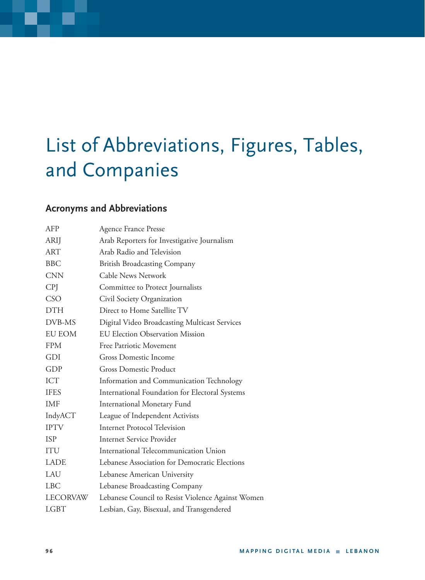# List of Abbreviations, Figures, Tables, and Companies

# **Acronyms and Abbreviations**

| AFP             | <b>Agence France Presse</b>                       |
|-----------------|---------------------------------------------------|
| <b>ARIJ</b>     | Arab Reporters for Investigative Journalism       |
| <b>ART</b>      | Arab Radio and Television                         |
| <b>BBC</b>      | <b>British Broadcasting Company</b>               |
| <b>CNN</b>      | Cable News Network                                |
| <b>CPJ</b>      | Committee to Protect Journalists                  |
| CSO             | Civil Society Organization                        |
| <b>DTH</b>      | Direct to Home Satellite TV                       |
| DVB-MS          | Digital Video Broadcasting Multicast Services     |
| <b>EU EOM</b>   | <b>EU Election Observation Mission</b>            |
| <b>FPM</b>      | Free Patriotic Movement                           |
| GDI             | <b>Gross Domestic Income</b>                      |
| GDP             | Gross Domestic Product                            |
| <b>ICT</b>      | Information and Communication Technology          |
| <b>IFES</b>     | International Foundation for Electoral Systems    |
| <b>IMF</b>      | <b>International Monetary Fund</b>                |
| IndyACT         | League of Independent Activists                   |
| <b>IPTV</b>     | <b>Internet Protocol Television</b>               |
| <b>ISP</b>      | Internet Service Provider                         |
| <b>ITU</b>      | International Telecommunication Union             |
| <b>LADE</b>     | Lebanese Association for Democratic Elections     |
| LAU             | Lebanese American University                      |
| <b>LBC</b>      | Lebanese Broadcasting Company                     |
| <b>LECORVAW</b> | Lebanese Council to Resist Violence Against Women |
| <b>LGBT</b>     | Lesbian, Gay, Bisexual, and Transgendered         |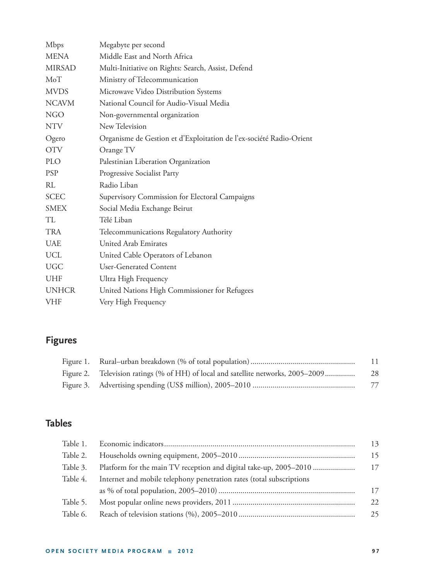| Mbps          | Megabyte per second                                                 |
|---------------|---------------------------------------------------------------------|
| <b>MENA</b>   | Middle East and North Africa                                        |
| <b>MIRSAD</b> | Multi-Initiative on Rights: Search, Assist, Defend                  |
| MoT           | Ministry of Telecommunication                                       |
| <b>MVDS</b>   | Microwave Video Distribution Systems                                |
| <b>NCAVM</b>  | National Council for Audio-Visual Media                             |
| <b>NGO</b>    | Non-governmental organization                                       |
| <b>NTV</b>    | New Television                                                      |
| Ogero         | Organisme de Gestion et d'Exploitation de l'ex-société Radio-Orient |
| <b>OTV</b>    | Orange TV                                                           |
| <b>PLO</b>    | Palestinian Liberation Organization                                 |
| <b>PSP</b>    | Progressive Socialist Party                                         |
| RL            | Radio Liban                                                         |
| <b>SCEC</b>   | Supervisory Commission for Electoral Campaigns                      |
| <b>SMEX</b>   | Social Media Exchange Beirut                                        |
| TL            | Télé Liban                                                          |
| <b>TRA</b>    | Telecommunications Regulatory Authority                             |
| <b>UAE</b>    | United Arab Emirates                                                |
| <b>UCL</b>    | United Cable Operators of Lebanon                                   |
| <b>UGC</b>    | User-Generated Content                                              |
| <b>UHF</b>    | Ultra High Frequency                                                |
| <b>UNHCR</b>  | United Nations High Commissioner for Refugees                       |
| <b>VHF</b>    | Very High Frequency                                                 |
|               |                                                                     |

# **Figures**

|                                                                                   | 11  |
|-----------------------------------------------------------------------------------|-----|
| Figure 2. Television ratings (% of HH) of local and satellite networks, 2005–2009 | -28 |
|                                                                                   | 77  |

# **Tables**

|          |                                                                      | 13  |
|----------|----------------------------------------------------------------------|-----|
| Table 2. |                                                                      | 15  |
| Table 3. |                                                                      | 17  |
| Table 4. | Internet and mobile telephony penetration rates (total subscriptions |     |
|          |                                                                      | 17  |
| Table 5. |                                                                      | 22. |
| Table 6. |                                                                      | 25  |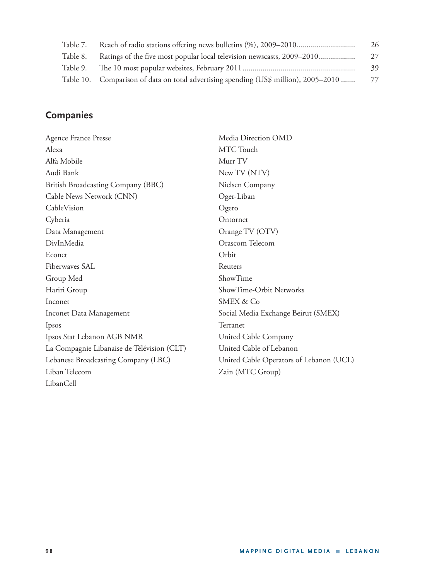| Table 7. |                                                                                      | 26 |
|----------|--------------------------------------------------------------------------------------|----|
| Table 8. | Ratings of the five most popular local television newscasts, 2009–2010               | 27 |
| Table 9. |                                                                                      | 39 |
|          | Table 10. Comparison of data on total advertising spending (US\$ million), 2005–2010 | 77 |

# **Companies**

| <b>Agence France Presse</b>                | Media Direction OMD                     |
|--------------------------------------------|-----------------------------------------|
| Alexa                                      | MTC Touch                               |
| Alfa Mobile                                | Murr TV                                 |
| Audi Bank                                  | New TV (NTV)                            |
| British Broadcasting Company (BBC)         | Nielsen Company                         |
| Cable News Network (CNN)                   | Oger-Liban                              |
| CableVision                                | Ogero                                   |
| Cyberia                                    | Ontornet                                |
| Data Management                            | Orange TV (OTV)                         |
| DivInMedia                                 | Orascom Telecom                         |
| Econet                                     | Orbit                                   |
| Fiberwaves SAL                             | Reuters                                 |
| Group Med                                  | ShowTime                                |
| Hariri Group                               | ShowTime-Orbit Networks                 |
| Inconet                                    | <b>SMEX &amp; Co</b>                    |
| Inconet Data Management                    | Social Media Exchange Beirut (SMEX)     |
| Ipsos                                      | Terranet                                |
| Ipsos Stat Lebanon AGB NMR                 | United Cable Company                    |
| La Compagnie Libanaise de Télévision (CLT) | United Cable of Lebanon                 |
| Lebanese Broadcasting Company (LBC)        | United Cable Operators of Lebanon (UCL) |
| Liban Telecom                              | Zain (MTC Group)                        |
| LibanCell                                  |                                         |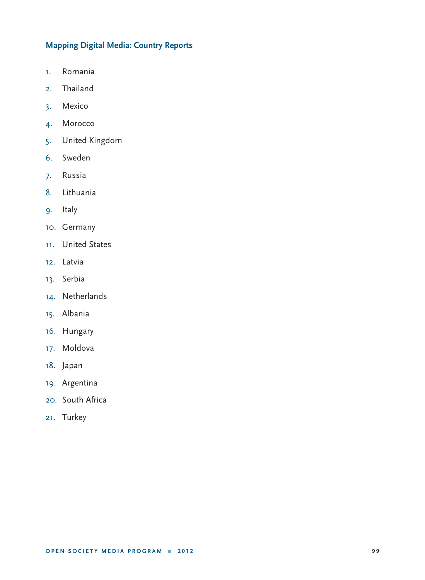## **Mapping Digital Media: Country Reports**

- 1. Romania
- 2. Thailand
- 3. Mexico
- 4. Morocco
- 5. United Kingdom
- 6. Sweden
- 7. Russia
- 8. Lithuania
- 9. Italy
- 10. Germany
- 11. United States
- 12. Latvia
- 13. Serbia
- 14. Netherlands
- 15. Albania
- 16. Hungary
- 17. Moldova
- 18. Japan
- 19. Argentina
- 20. South Africa
- 21. Turkey